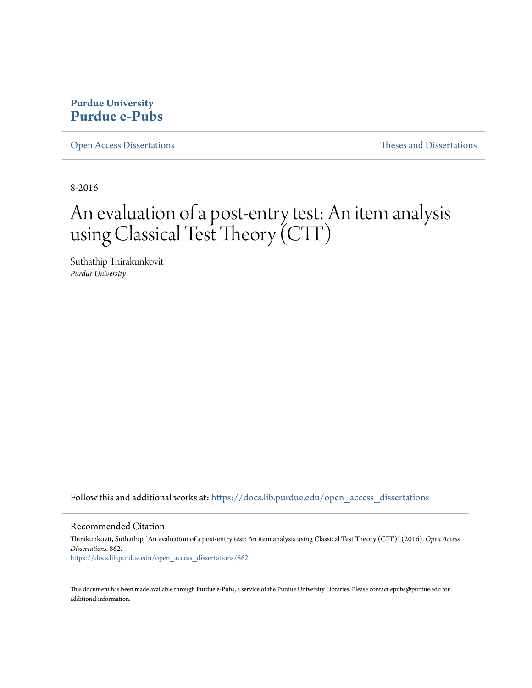## **Purdue University [Purdue e-Pubs](https://docs.lib.purdue.edu?utm_source=docs.lib.purdue.edu%2Fopen_access_dissertations%2F862&utm_medium=PDF&utm_campaign=PDFCoverPages)**

[Open Access Dissertations](https://docs.lib.purdue.edu/open_access_dissertations?utm_source=docs.lib.purdue.edu%2Fopen_access_dissertations%2F862&utm_medium=PDF&utm_campaign=PDFCoverPages) [Theses and Dissertations](https://docs.lib.purdue.edu/etd?utm_source=docs.lib.purdue.edu%2Fopen_access_dissertations%2F862&utm_medium=PDF&utm_campaign=PDFCoverPages)

8-2016

# An evaluation of a post-entry test: An item analysis using Classical Test Theory (CTT)

Suthathip Thirakunkovit *Purdue University*

Follow this and additional works at: [https://docs.lib.purdue.edu/open\\_access\\_dissertations](https://docs.lib.purdue.edu/open_access_dissertations?utm_source=docs.lib.purdue.edu%2Fopen_access_dissertations%2F862&utm_medium=PDF&utm_campaign=PDFCoverPages)

#### Recommended Citation

Thirakunkovit, Suthathip, "An evaluation of a post-entry test: An item analysis using Classical Test Theory (CTT)" (2016). *Open Access Dissertations*. 862. [https://docs.lib.purdue.edu/open\\_access\\_dissertations/862](https://docs.lib.purdue.edu/open_access_dissertations/862?utm_source=docs.lib.purdue.edu%2Fopen_access_dissertations%2F862&utm_medium=PDF&utm_campaign=PDFCoverPages)

This document has been made available through Purdue e-Pubs, a service of the Purdue University Libraries. Please contact epubs@purdue.edu for additional information.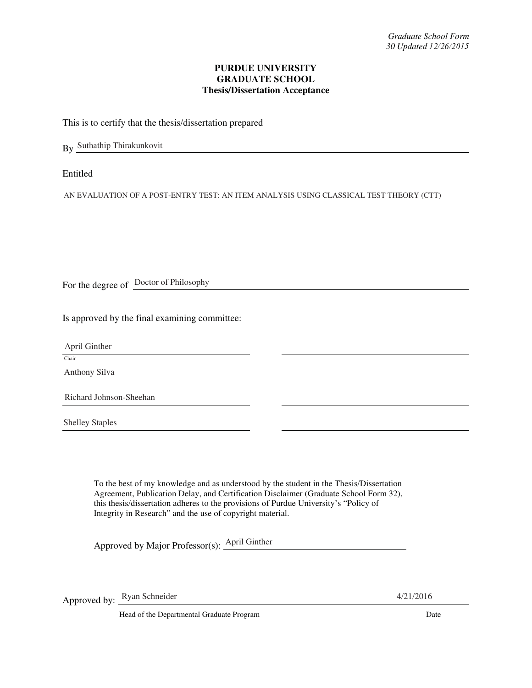#### **PURDUE UNIVERSITY GRADUATE SCHOOL Thesis/Dissertation Acceptance**

This is to certify that the thesis/dissertation prepared

By Suthathip Thirakunkovit

Entitled

AN EVALUATION OF A POST-ENTRY TEST: AN ITEM ANALYSIS USING CLASSICAL TEST THEORY (CTT)

For the degree of Doctor of Philosophy

Is approved by the final examining committee:

April Ginther

Chair

Anthony Silva

Richard Johnson-Sheehan

Shelley Staples

To the best of my knowledge and as understood by the student in the Thesis/Dissertation Agreement, Publication Delay, and Certification Disclaimer (Graduate School Form 32), this thesis/dissertation adheres to the provisions of Purdue University's "Policy of Integrity in Research" and the use of copyright material.

Approved by Major Professor(s): April Ginther

Approved by: <u>Ryan Schneider</u> 4/21/2016

Head of the Departmental Graduate Program Date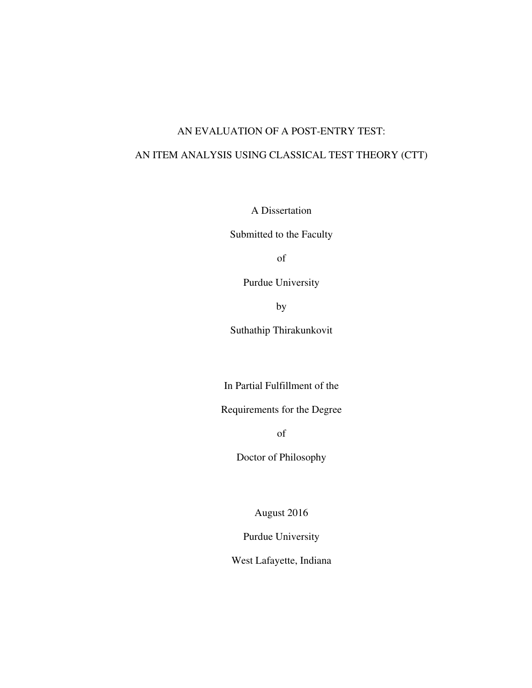### AN EVALUATION OF A POST-ENTRY TEST:

## AN ITEM ANALYSIS USING CLASSICAL TEST THEORY (CTT)

A Dissertation

Submitted to the Faculty

of

Purdue University

by

Suthathip Thirakunkovit

In Partial Fulfillment of the

Requirements for the Degree

of

Doctor of Philosophy

August 2016

Purdue University

West Lafayette, Indiana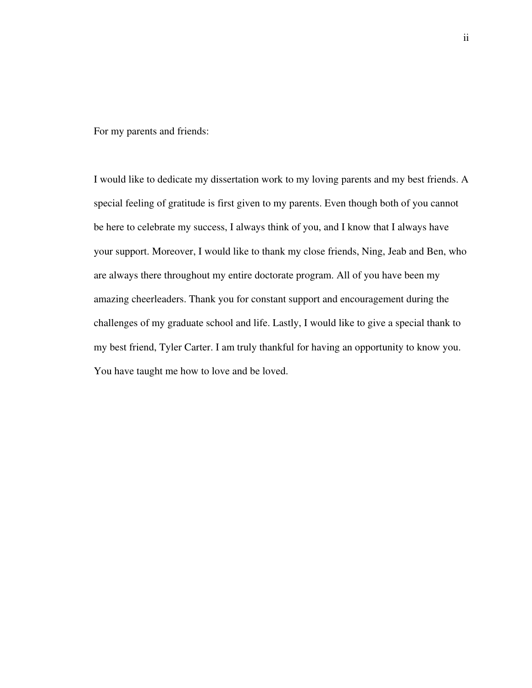For my parents and friends:

I would like to dedicate my dissertation work to my loving parents and my best friends. A special feeling of gratitude is first given to my parents. Even though both of you cannot be here to celebrate my success, I always think of you, and I know that I always have your support. Moreover, I would like to thank my close friends, Ning, Jeab and Ben, who are always there throughout my entire doctorate program. All of you have been my amazing cheerleaders. Thank you for constant support and encouragement during the challenges of my graduate school and life. Lastly, I would like to give a special thank to my best friend, Tyler Carter. I am truly thankful for having an opportunity to know you. You have taught me how to love and be loved.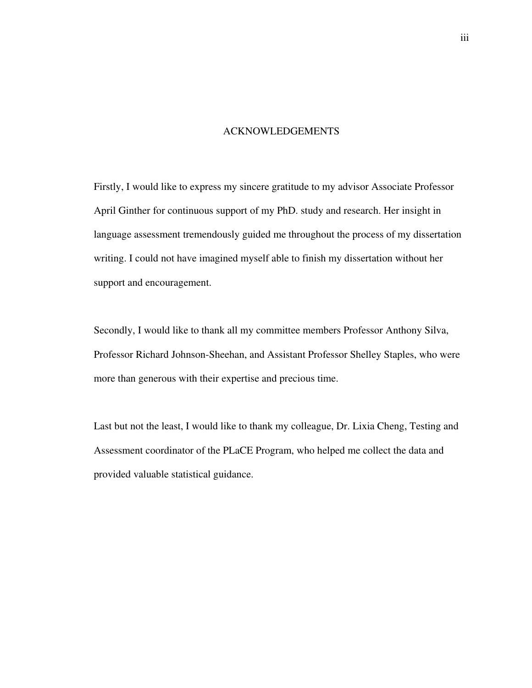#### ACKNOWLEDGEMENTS

Firstly, I would like to express my sincere gratitude to my advisor Associate Professor April Ginther for continuous support of my PhD. study and research. Her insight in language assessment tremendously guided me throughout the process of my dissertation writing. I could not have imagined myself able to finish my dissertation without her support and encouragement.

Secondly, I would like to thank all my committee members Professor Anthony Silva, Professor Richard Johnson-Sheehan, and Assistant Professor Shelley Staples, who were more than generous with their expertise and precious time.

Last but not the least, I would like to thank my colleague, Dr. Lixia Cheng, Testing and Assessment coordinator of the PLaCE Program, who helped me collect the data and provided valuable statistical guidance.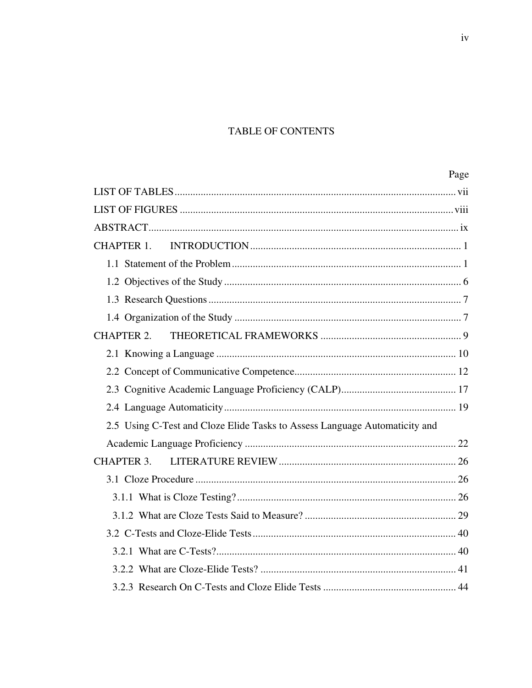## TABLE OF CONTENTS

|                                                                            | Page |
|----------------------------------------------------------------------------|------|
|                                                                            |      |
|                                                                            |      |
|                                                                            |      |
|                                                                            |      |
|                                                                            |      |
|                                                                            |      |
|                                                                            |      |
|                                                                            |      |
| CHAPTER 2.                                                                 |      |
|                                                                            |      |
|                                                                            |      |
|                                                                            |      |
|                                                                            |      |
| 2.5 Using C-Test and Cloze Elide Tasks to Assess Language Automaticity and |      |
|                                                                            |      |
| CHAPTER 3.                                                                 |      |
|                                                                            |      |
|                                                                            |      |
|                                                                            |      |
|                                                                            |      |
|                                                                            |      |
|                                                                            |      |
|                                                                            |      |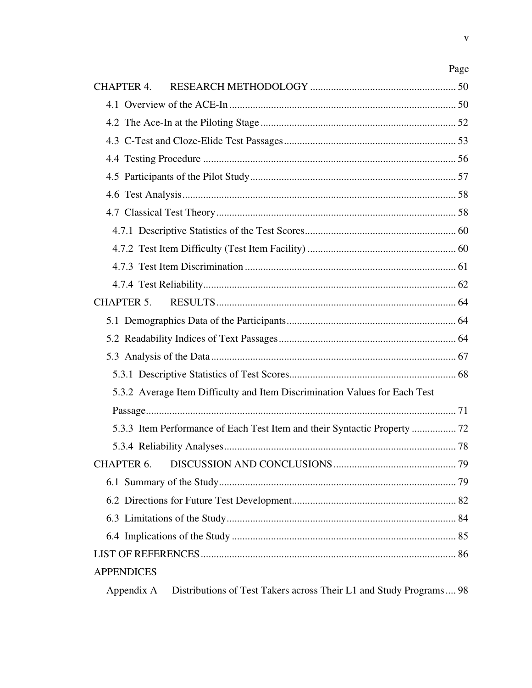| CHAPTER 4.        |                                                                            |    |
|-------------------|----------------------------------------------------------------------------|----|
|                   |                                                                            |    |
|                   |                                                                            |    |
|                   |                                                                            |    |
|                   |                                                                            |    |
|                   |                                                                            |    |
|                   |                                                                            |    |
|                   |                                                                            |    |
|                   |                                                                            |    |
|                   |                                                                            |    |
|                   |                                                                            |    |
|                   |                                                                            |    |
| CHAPTER 5.        |                                                                            |    |
|                   |                                                                            |    |
|                   |                                                                            |    |
|                   |                                                                            |    |
|                   |                                                                            |    |
|                   | 5.3.2 Average Item Difficulty and Item Discrimination Values for Each Test |    |
|                   |                                                                            |    |
|                   |                                                                            |    |
|                   |                                                                            |    |
|                   | CHAPTER 6. DISCUSSION AND CONCLUSIONS                                      | 79 |
|                   |                                                                            |    |
|                   |                                                                            |    |
|                   |                                                                            |    |
|                   |                                                                            |    |
|                   |                                                                            |    |
| <b>APPENDICES</b> |                                                                            |    |
| Appendix A        | Distributions of Test Takers across Their L1 and Study Programs 98         |    |

 $\mathbf{V}$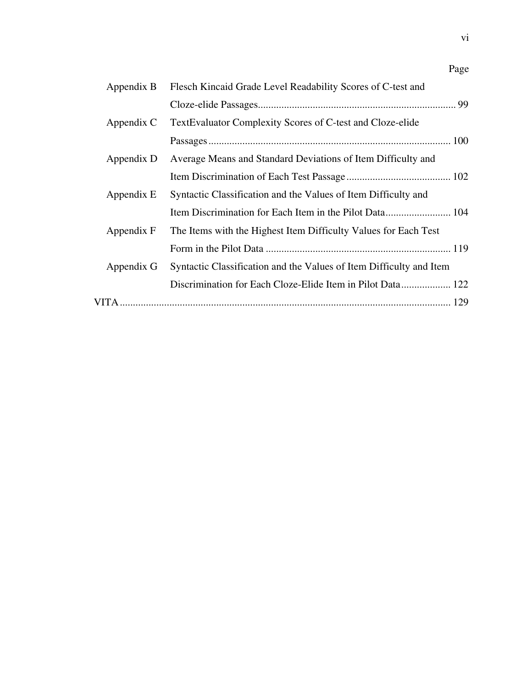| Appendix B | Flesch Kincaid Grade Level Readability Scores of C-test and         |
|------------|---------------------------------------------------------------------|
|            |                                                                     |
| Appendix C | TextEvaluator Complexity Scores of C-test and Cloze-elide           |
|            |                                                                     |
| Appendix D | Average Means and Standard Deviations of Item Difficulty and        |
|            |                                                                     |
| Appendix E | Syntactic Classification and the Values of Item Difficulty and      |
|            |                                                                     |
| Appendix F | The Items with the Highest Item Difficulty Values for Each Test     |
|            |                                                                     |
| Appendix G | Syntactic Classification and the Values of Item Difficulty and Item |
|            | Discrimination for Each Cloze-Elide Item in Pilot Data 122          |
|            |                                                                     |

Page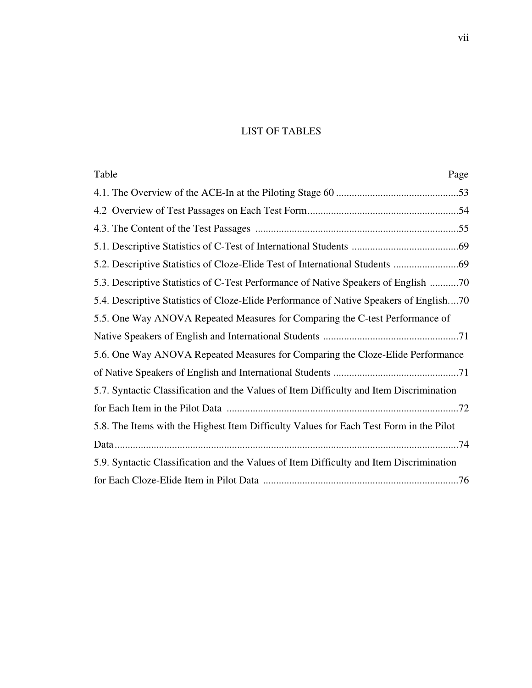## LIST OF TABLES

| Table<br>Page                                                                           |
|-----------------------------------------------------------------------------------------|
|                                                                                         |
|                                                                                         |
|                                                                                         |
|                                                                                         |
|                                                                                         |
| 5.3. Descriptive Statistics of C-Test Performance of Native Speakers of English 70      |
| 5.4. Descriptive Statistics of Cloze-Elide Performance of Native Speakers of English70  |
| 5.5. One Way ANOVA Repeated Measures for Comparing the C-test Performance of            |
|                                                                                         |
| 5.6. One Way ANOVA Repeated Measures for Comparing the Cloze-Elide Performance          |
|                                                                                         |
| 5.7. Syntactic Classification and the Values of Item Difficulty and Item Discrimination |
|                                                                                         |
| 5.8. The Items with the Highest Item Difficulty Values for Each Test Form in the Pilot  |
|                                                                                         |
| 5.9. Syntactic Classification and the Values of Item Difficulty and Item Discrimination |
|                                                                                         |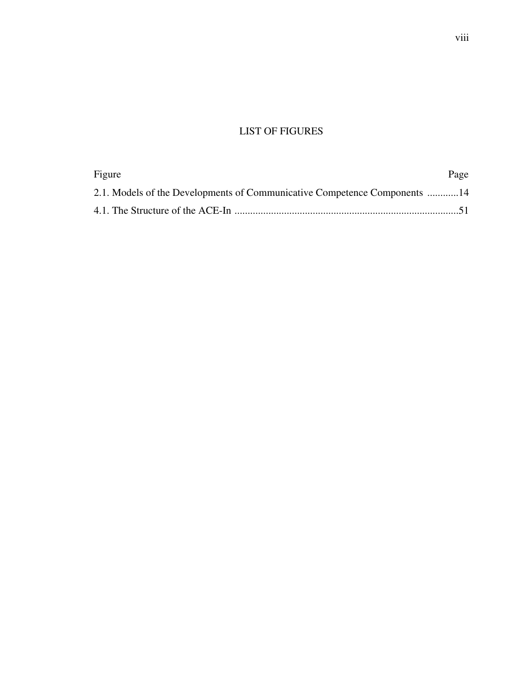## LIST OF FIGURES

| Figure                                                                    | Page |
|---------------------------------------------------------------------------|------|
| 2.1. Models of the Developments of Communicative Competence Components 14 |      |
|                                                                           |      |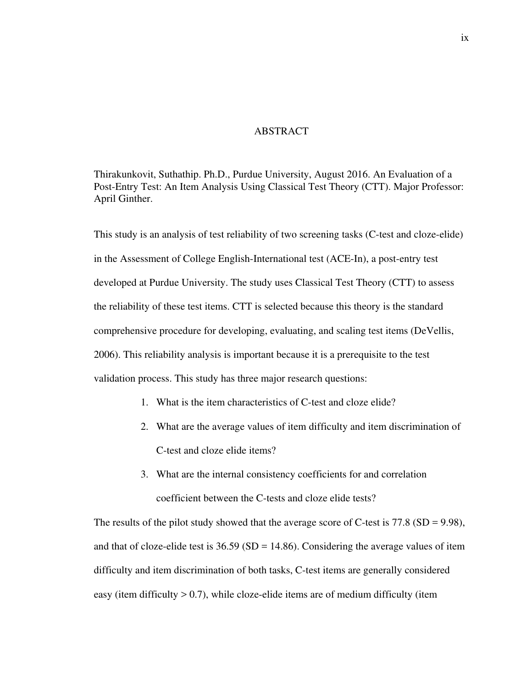#### ABSTRACT

Thirakunkovit, Suthathip. Ph.D., Purdue University, August 2016. An Evaluation of a Post-Entry Test: An Item Analysis Using Classical Test Theory (CTT). Major Professor: April Ginther.

This study is an analysis of test reliability of two screening tasks (C-test and cloze-elide) in the Assessment of College English-International test (ACE-In), a post-entry test developed at Purdue University. The study uses Classical Test Theory (CTT) to assess the reliability of these test items. CTT is selected because this theory is the standard comprehensive procedure for developing, evaluating, and scaling test items (DeVellis, 2006). This reliability analysis is important because it is a prerequisite to the test validation process. This study has three major research questions:

- 1. What is the item characteristics of C-test and cloze elide?
- 2. What are the average values of item difficulty and item discrimination of C-test and cloze elide items?
- 3. What are the internal consistency coefficients for and correlation coefficient between the C-tests and cloze elide tests?

The results of the pilot study showed that the average score of C-test is 77.8 (SD = 9.98), and that of cloze-elide test is  $36.59$  (SD = 14.86). Considering the average values of item difficulty and item discrimination of both tasks, C-test items are generally considered easy (item difficulty  $> 0.7$ ), while cloze-elide items are of medium difficulty (item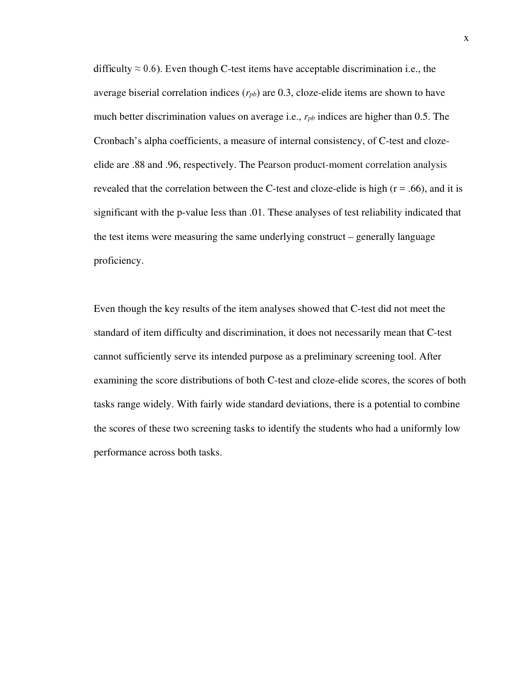difficulty  $\approx 0.6$ ). Even though C-test items have acceptable discrimination i.e., the average biserial correlation indices  $(r_{pb})$  are 0.3, cloze-elide items are shown to have much better discrimination values on average i.e., *rpb* indices are higher than 0.5. The Cronbach's alpha coefficients, a measure of internal consistency, of C-test and clozeelide are .88 and .96, respectively. The Pearson product-moment correlation analysis revealed that the correlation between the C-test and cloze-elide is high  $(r = .66)$ , and it is significant with the p-value less than .01. These analyses of test reliability indicated that the test items were measuring the same underlying construct – generally language proficiency.

Even though the key results of the item analyses showed that C-test did not meet the standard of item difficulty and discrimination, it does not necessarily mean that C-test cannot sufficiently serve its intended purpose as a preliminary screening tool. After examining the score distributions of both C-test and cloze-elide scores, the scores of both tasks range widely. With fairly wide standard deviations, there is a potential to combine the scores of these two screening tasks to identify the students who had a uniformly low performance across both tasks.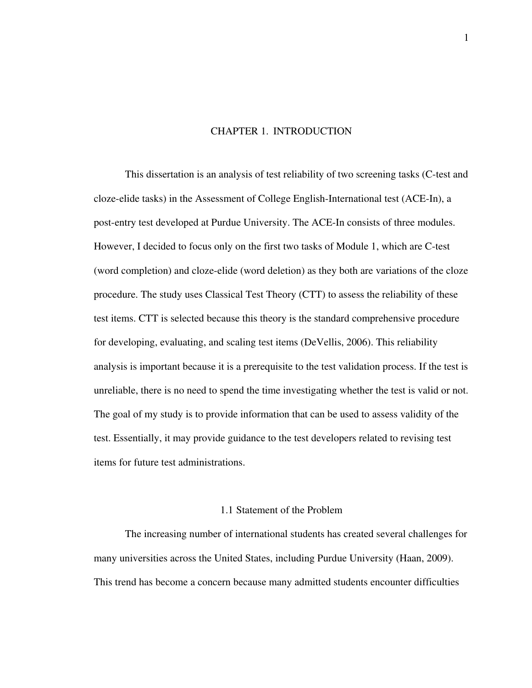#### CHAPTER 1. INTRODUCTION

This dissertation is an analysis of test reliability of two screening tasks (C-test and cloze-elide tasks) in the Assessment of College English-International test (ACE-In), a post-entry test developed at Purdue University. The ACE-In consists of three modules. However, I decided to focus only on the first two tasks of Module 1, which are C-test (word completion) and cloze-elide (word deletion) as they both are variations of the cloze procedure. The study uses Classical Test Theory (CTT) to assess the reliability of these test items. CTT is selected because this theory is the standard comprehensive procedure for developing, evaluating, and scaling test items (DeVellis, 2006). This reliability analysis is important because it is a prerequisite to the test validation process. If the test is unreliable, there is no need to spend the time investigating whether the test is valid or not. The goal of my study is to provide information that can be used to assess validity of the test. Essentially, it may provide guidance to the test developers related to revising test items for future test administrations.

#### 1.1 Statement of the Problem

The increasing number of international students has created several challenges for many universities across the United States, including Purdue University (Haan, 2009). This trend has become a concern because many admitted students encounter difficulties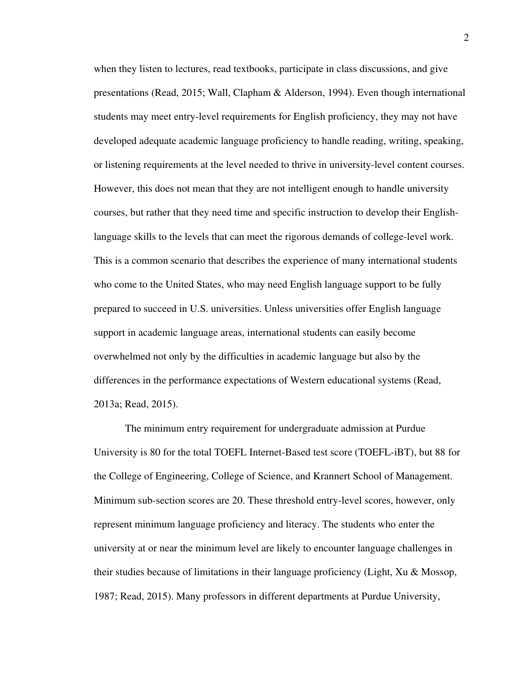when they listen to lectures, read textbooks, participate in class discussions, and give presentations (Read, 2015; Wall, Clapham & Alderson, 1994). Even though international students may meet entry-level requirements for English proficiency, they may not have developed adequate academic language proficiency to handle reading, writing, speaking, or listening requirements at the level needed to thrive in university-level content courses. However, this does not mean that they are not intelligent enough to handle university courses, but rather that they need time and specific instruction to develop their Englishlanguage skills to the levels that can meet the rigorous demands of college-level work. This is a common scenario that describes the experience of many international students who come to the United States, who may need English language support to be fully prepared to succeed in U.S. universities. Unless universities offer English language support in academic language areas, international students can easily become overwhelmed not only by the difficulties in academic language but also by the differences in the performance expectations of Western educational systems (Read, 2013a; Read, 2015).

The minimum entry requirement for undergraduate admission at Purdue University is 80 for the total TOEFL Internet-Based test score (TOEFL-iBT), but 88 for the College of Engineering, College of Science, and Krannert School of Management. Minimum sub-section scores are 20. These threshold entry-level scores, however, only represent minimum language proficiency and literacy. The students who enter the university at or near the minimum level are likely to encounter language challenges in their studies because of limitations in their language proficiency (Light, Xu & Mossop, 1987; Read, 2015). Many professors in different departments at Purdue University,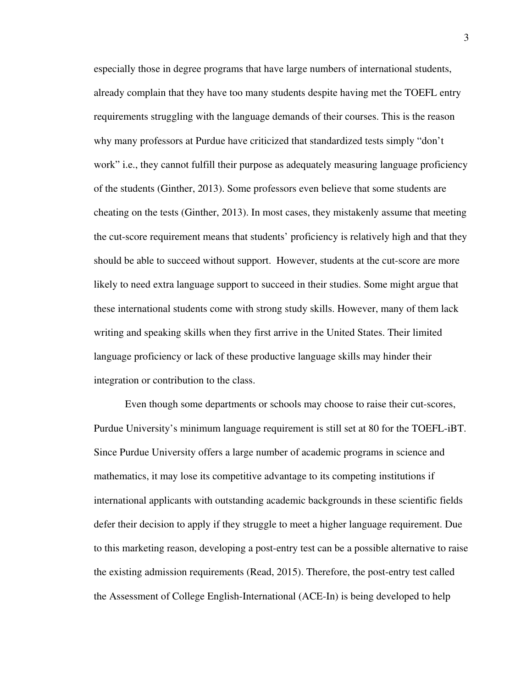especially those in degree programs that have large numbers of international students, already complain that they have too many students despite having met the TOEFL entry requirements struggling with the language demands of their courses. This is the reason why many professors at Purdue have criticized that standardized tests simply "don't work" i.e., they cannot fulfill their purpose as adequately measuring language proficiency of the students (Ginther, 2013). Some professors even believe that some students are cheating on the tests (Ginther, 2013). In most cases, they mistakenly assume that meeting the cut-score requirement means that students' proficiency is relatively high and that they should be able to succeed without support. However, students at the cut-score are more likely to need extra language support to succeed in their studies. Some might argue that these international students come with strong study skills. However, many of them lack writing and speaking skills when they first arrive in the United States. Their limited language proficiency or lack of these productive language skills may hinder their integration or contribution to the class.

Even though some departments or schools may choose to raise their cut-scores, Purdue University's minimum language requirement is still set at 80 for the TOEFL-iBT. Since Purdue University offers a large number of academic programs in science and mathematics, it may lose its competitive advantage to its competing institutions if international applicants with outstanding academic backgrounds in these scientific fields defer their decision to apply if they struggle to meet a higher language requirement. Due to this marketing reason, developing a post-entry test can be a possible alternative to raise the existing admission requirements (Read, 2015). Therefore, the post-entry test called the Assessment of College English-International (ACE-In) is being developed to help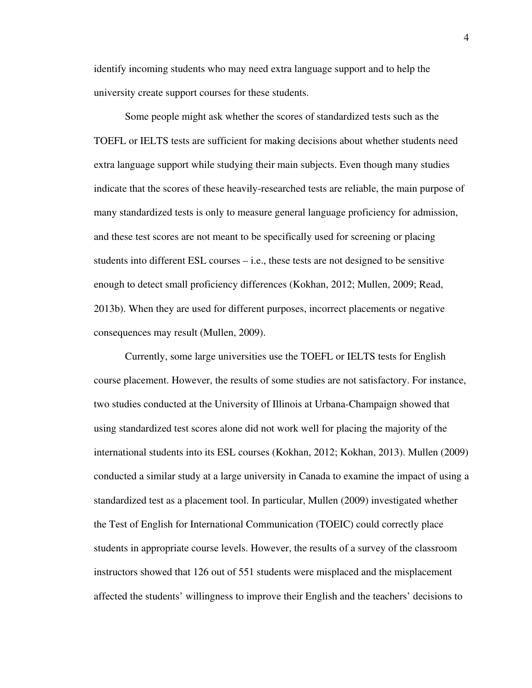identify incoming students who may need extra language support and to help the university create support courses for these students.

Some people might ask whether the scores of standardized tests such as the TOEFL or IELTS tests are sufficient for making decisions about whether students need extra language support while studying their main subjects. Even though many studies indicate that the scores of these heavily-researched tests are reliable, the main purpose of many standardized tests is only to measure general language proficiency for admission, and these test scores are not meant to be specifically used for screening or placing students into different ESL courses – i.e., these tests are not designed to be sensitive enough to detect small proficiency differences (Kokhan, 2012; Mullen, 2009; Read, 2013b). When they are used for different purposes, incorrect placements or negative consequences may result (Mullen, 2009).

Currently, some large universities use the TOEFL or IELTS tests for English course placement. However, the results of some studies are not satisfactory. For instance, two studies conducted at the University of Illinois at Urbana-Champaign showed that using standardized test scores alone did not work well for placing the majority of the international students into its ESL courses (Kokhan, 2012; Kokhan, 2013). Mullen (2009) conducted a similar study at a large university in Canada to examine the impact of using a standardized test as a placement tool. In particular, Mullen (2009) investigated whether the Test of English for International Communication (TOEIC) could correctly place students in appropriate course levels. However, the results of a survey of the classroom instructors showed that 126 out of 551 students were misplaced and the misplacement affected the students' willingness to improve their English and the teachers' decisions to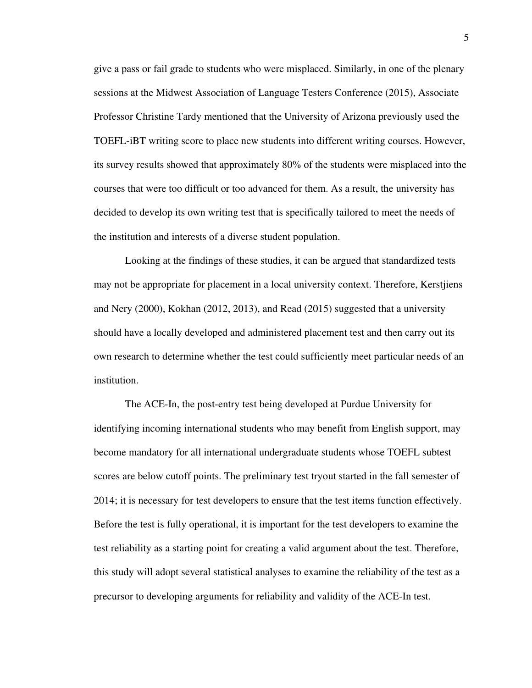give a pass or fail grade to students who were misplaced. Similarly, in one of the plenary sessions at the Midwest Association of Language Testers Conference (2015), Associate Professor Christine Tardy mentioned that the University of Arizona previously used the TOEFL-iBT writing score to place new students into different writing courses. However, its survey results showed that approximately 80% of the students were misplaced into the courses that were too difficult or too advanced for them. As a result, the university has decided to develop its own writing test that is specifically tailored to meet the needs of the institution and interests of a diverse student population.

Looking at the findings of these studies, it can be argued that standardized tests may not be appropriate for placement in a local university context. Therefore, Kerstjiens and Nery (2000), Kokhan (2012, 2013), and Read (2015) suggested that a university should have a locally developed and administered placement test and then carry out its own research to determine whether the test could sufficiently meet particular needs of an institution.

The ACE-In, the post-entry test being developed at Purdue University for identifying incoming international students who may benefit from English support, may become mandatory for all international undergraduate students whose TOEFL subtest scores are below cutoff points. The preliminary test tryout started in the fall semester of 2014; it is necessary for test developers to ensure that the test items function effectively. Before the test is fully operational, it is important for the test developers to examine the test reliability as a starting point for creating a valid argument about the test. Therefore, this study will adopt several statistical analyses to examine the reliability of the test as a precursor to developing arguments for reliability and validity of the ACE-In test.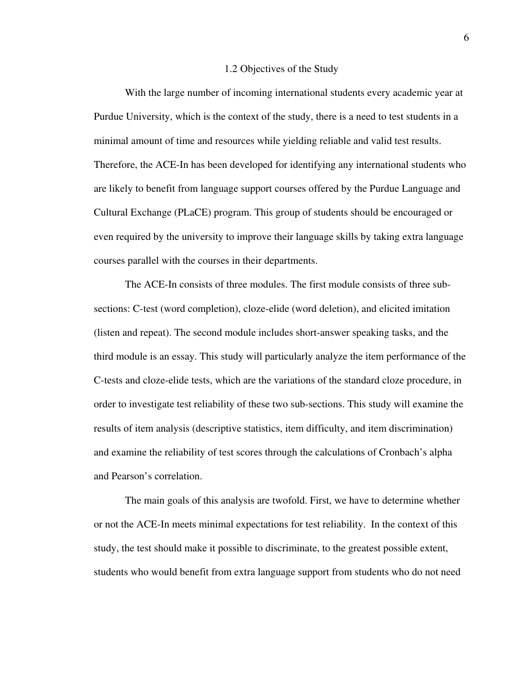#### 1.2 Objectives of the Study

With the large number of incoming international students every academic year at Purdue University, which is the context of the study, there is a need to test students in a minimal amount of time and resources while yielding reliable and valid test results. Therefore, the ACE-In has been developed for identifying any international students who are likely to benefit from language support courses offered by the Purdue Language and Cultural Exchange (PLaCE) program. This group of students should be encouraged or even required by the university to improve their language skills by taking extra language courses parallel with the courses in their departments.

The ACE-In consists of three modules. The first module consists of three subsections: C-test (word completion), cloze-elide (word deletion), and elicited imitation (listen and repeat). The second module includes short-answer speaking tasks, and the third module is an essay. This study will particularly analyze the item performance of the C-tests and cloze-elide tests, which are the variations of the standard cloze procedure, in order to investigate test reliability of these two sub-sections. This study will examine the results of item analysis (descriptive statistics, item difficulty, and item discrimination) and examine the reliability of test scores through the calculations of Cronbach's alpha and Pearson's correlation.

The main goals of this analysis are twofold. First, we have to determine whether or not the ACE-In meets minimal expectations for test reliability. In the context of this study, the test should make it possible to discriminate, to the greatest possible extent, students who would benefit from extra language support from students who do not need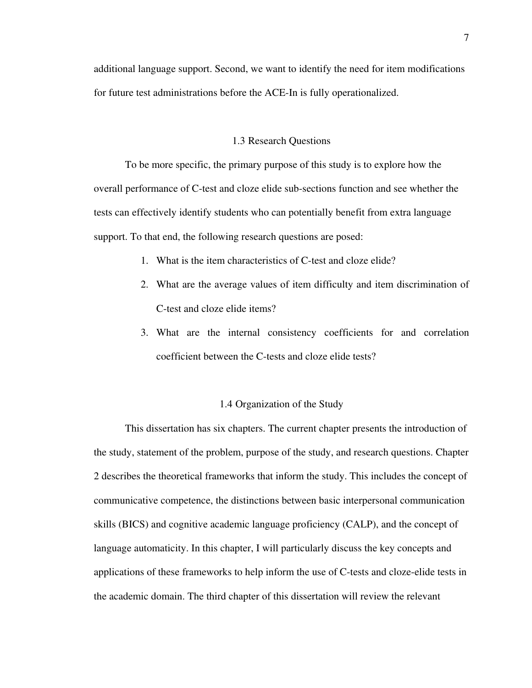additional language support. Second, we want to identify the need for item modifications for future test administrations before the ACE-In is fully operationalized.

#### 1.3 Research Questions

To be more specific, the primary purpose of this study is to explore how the overall performance of C-test and cloze elide sub-sections function and see whether the tests can effectively identify students who can potentially benefit from extra language support. To that end, the following research questions are posed:

- 1. What is the item characteristics of C-test and cloze elide?
- 2. What are the average values of item difficulty and item discrimination of C-test and cloze elide items?
- 3. What are the internal consistency coefficients for and correlation coefficient between the C-tests and cloze elide tests?

#### 1.4 Organization of the Study

This dissertation has six chapters. The current chapter presents the introduction of the study, statement of the problem, purpose of the study, and research questions. Chapter 2 describes the theoretical frameworks that inform the study. This includes the concept of communicative competence, the distinctions between basic interpersonal communication skills (BICS) and cognitive academic language proficiency (CALP), and the concept of language automaticity. In this chapter, I will particularly discuss the key concepts and applications of these frameworks to help inform the use of C-tests and cloze-elide tests in the academic domain. The third chapter of this dissertation will review the relevant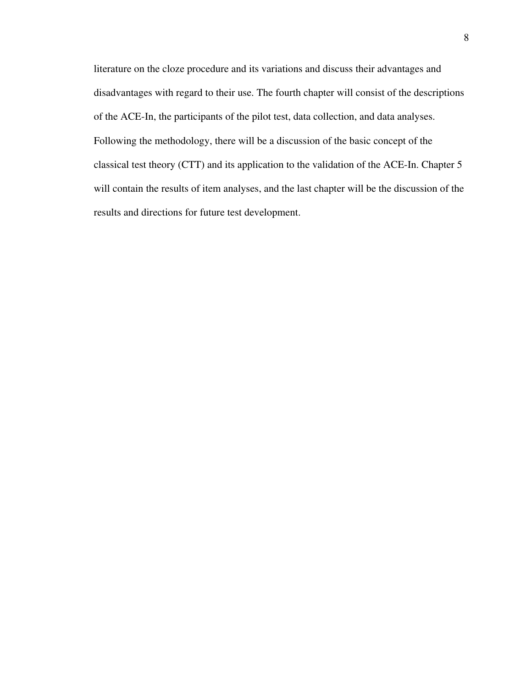literature on the cloze procedure and its variations and discuss their advantages and disadvantages with regard to their use. The fourth chapter will consist of the descriptions of the ACE-In, the participants of the pilot test, data collection, and data analyses. Following the methodology, there will be a discussion of the basic concept of the classical test theory (CTT) and its application to the validation of the ACE-In. Chapter 5 will contain the results of item analyses, and the last chapter will be the discussion of the results and directions for future test development.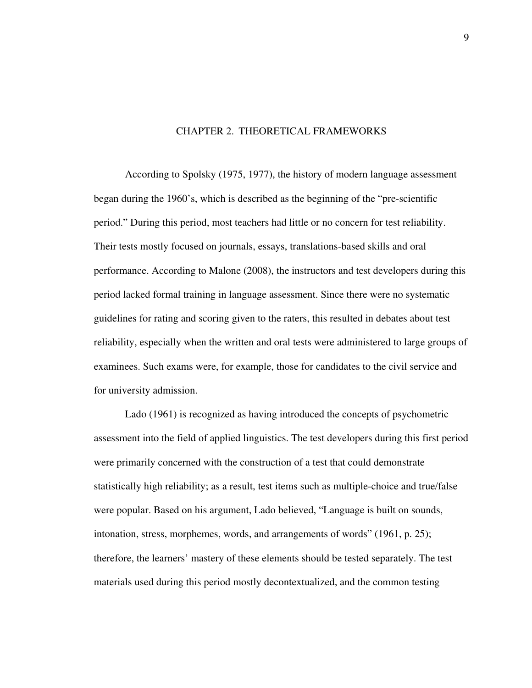#### CHAPTER 2. THEORETICAL FRAMEWORKS

According to Spolsky (1975, 1977), the history of modern language assessment began during the 1960's, which is described as the beginning of the "pre-scientific period." During this period, most teachers had little or no concern for test reliability. Their tests mostly focused on journals, essays, translations-based skills and oral performance. According to Malone (2008), the instructors and test developers during this period lacked formal training in language assessment. Since there were no systematic guidelines for rating and scoring given to the raters, this resulted in debates about test reliability, especially when the written and oral tests were administered to large groups of examinees. Such exams were, for example, those for candidates to the civil service and for university admission.

Lado (1961) is recognized as having introduced the concepts of psychometric assessment into the field of applied linguistics. The test developers during this first period were primarily concerned with the construction of a test that could demonstrate statistically high reliability; as a result, test items such as multiple-choice and true/false were popular. Based on his argument, Lado believed, "Language is built on sounds, intonation, stress, morphemes, words, and arrangements of words" (1961, p. 25); therefore, the learners' mastery of these elements should be tested separately. The test materials used during this period mostly decontextualized, and the common testing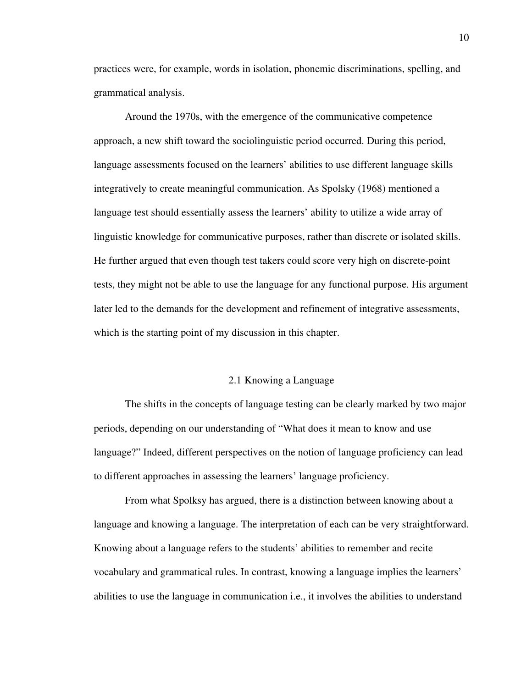practices were, for example, words in isolation, phonemic discriminations, spelling, and grammatical analysis.

Around the 1970s, with the emergence of the communicative competence approach, a new shift toward the sociolinguistic period occurred. During this period, language assessments focused on the learners' abilities to use different language skills integratively to create meaningful communication. As Spolsky (1968) mentioned a language test should essentially assess the learners' ability to utilize a wide array of linguistic knowledge for communicative purposes, rather than discrete or isolated skills. He further argued that even though test takers could score very high on discrete-point tests, they might not be able to use the language for any functional purpose. His argument later led to the demands for the development and refinement of integrative assessments, which is the starting point of my discussion in this chapter.

#### 2.1 Knowing a Language

The shifts in the concepts of language testing can be clearly marked by two major periods, depending on our understanding of "What does it mean to know and use language?" Indeed, different perspectives on the notion of language proficiency can lead to different approaches in assessing the learners' language proficiency.

From what Spolksy has argued, there is a distinction between knowing about a language and knowing a language. The interpretation of each can be very straightforward. Knowing about a language refers to the students' abilities to remember and recite vocabulary and grammatical rules. In contrast, knowing a language implies the learners' abilities to use the language in communication i.e., it involves the abilities to understand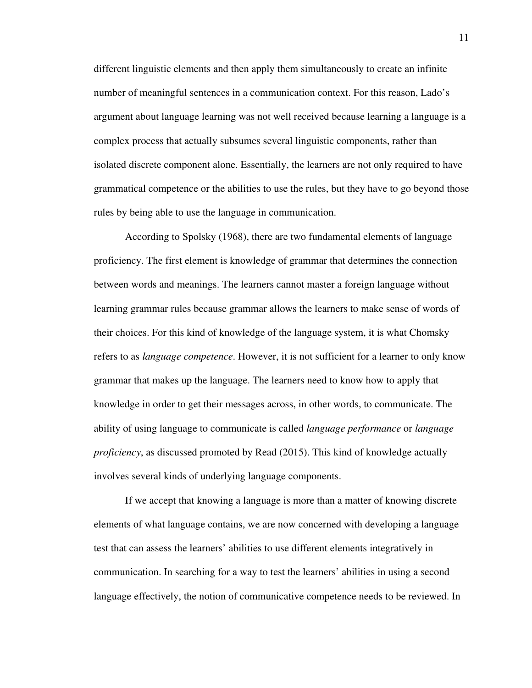different linguistic elements and then apply them simultaneously to create an infinite number of meaningful sentences in a communication context. For this reason, Lado's argument about language learning was not well received because learning a language is a complex process that actually subsumes several linguistic components, rather than isolated discrete component alone. Essentially, the learners are not only required to have grammatical competence or the abilities to use the rules, but they have to go beyond those rules by being able to use the language in communication.

According to Spolsky (1968), there are two fundamental elements of language proficiency. The first element is knowledge of grammar that determines the connection between words and meanings. The learners cannot master a foreign language without learning grammar rules because grammar allows the learners to make sense of words of their choices. For this kind of knowledge of the language system, it is what Chomsky refers to as *language competence*. However, it is not sufficient for a learner to only know grammar that makes up the language. The learners need to know how to apply that knowledge in order to get their messages across, in other words, to communicate. The ability of using language to communicate is called *language performance* or *language proficiency*, as discussed promoted by Read (2015). This kind of knowledge actually involves several kinds of underlying language components.

If we accept that knowing a language is more than a matter of knowing discrete elements of what language contains, we are now concerned with developing a language test that can assess the learners' abilities to use different elements integratively in communication. In searching for a way to test the learners' abilities in using a second language effectively, the notion of communicative competence needs to be reviewed. In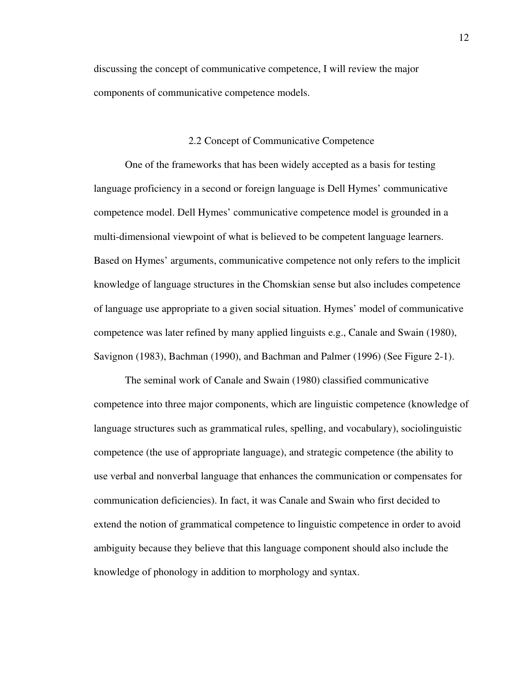discussing the concept of communicative competence, I will review the major components of communicative competence models.

#### 2.2 Concept of Communicative Competence

One of the frameworks that has been widely accepted as a basis for testing language proficiency in a second or foreign language is Dell Hymes' communicative competence model. Dell Hymes' communicative competence model is grounded in a multi-dimensional viewpoint of what is believed to be competent language learners. Based on Hymes' arguments, communicative competence not only refers to the implicit knowledge of language structures in the Chomskian sense but also includes competence of language use appropriate to a given social situation. Hymes' model of communicative competence was later refined by many applied linguists e.g., Canale and Swain (1980), Savignon (1983), Bachman (1990), and Bachman and Palmer (1996) (See Figure 2-1).

The seminal work of Canale and Swain (1980) classified communicative competence into three major components, which are linguistic competence (knowledge of language structures such as grammatical rules, spelling, and vocabulary), sociolinguistic competence (the use of appropriate language), and strategic competence (the ability to use verbal and nonverbal language that enhances the communication or compensates for communication deficiencies). In fact, it was Canale and Swain who first decided to extend the notion of grammatical competence to linguistic competence in order to avoid ambiguity because they believe that this language component should also include the knowledge of phonology in addition to morphology and syntax.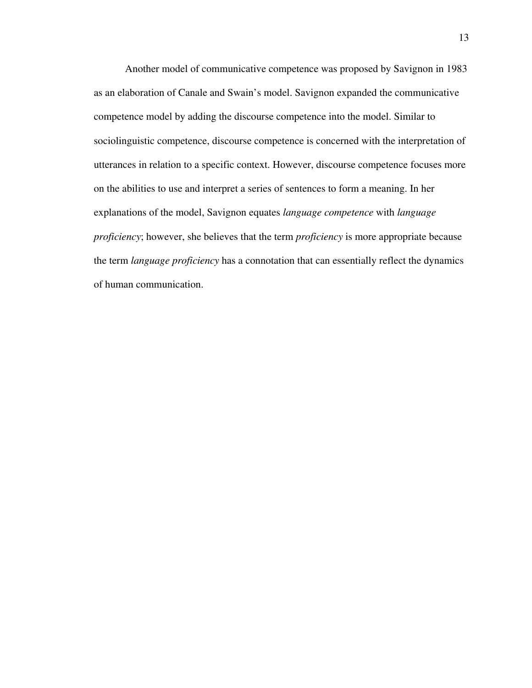Another model of communicative competence was proposed by Savignon in 1983 as an elaboration of Canale and Swain's model. Savignon expanded the communicative competence model by adding the discourse competence into the model. Similar to sociolinguistic competence, discourse competence is concerned with the interpretation of utterances in relation to a specific context. However, discourse competence focuses more on the abilities to use and interpret a series of sentences to form a meaning. In her explanations of the model, Savignon equates *language competence* with *language proficiency*; however, she believes that the term *proficiency* is more appropriate because the term *language proficiency* has a connotation that can essentially reflect the dynamics of human communication.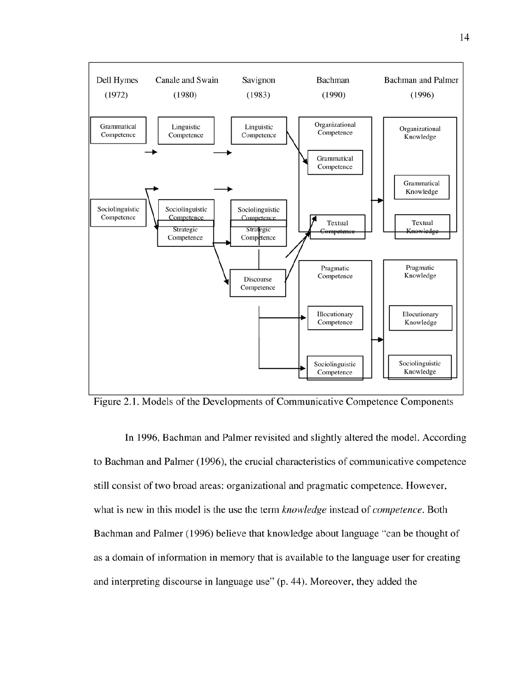

Figure 2.1. Models of the Developments of Communicative Competence Components

In 1996, Bachman and Palmer revisited and slightly altered the model. According to Bachman and Palmer (1996), the crucial characteristics of communicative competence still consist of two broad areas: organizational and pragmatic competence. However, what is new in this model is the use the term knowledge instead of competence. Both Bachman and Palmer (1996) believe that knowledge about language "can be thought of as a domain of information in memory that is available to the language user for creating and interpreting discourse in language use" (p. 44). Moreover, they added the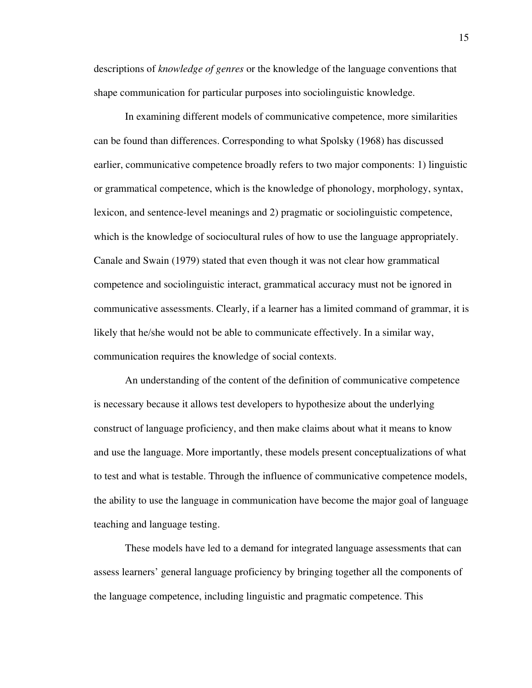descriptions of *knowledge of genres* or the knowledge of the language conventions that shape communication for particular purposes into sociolinguistic knowledge.

In examining different models of communicative competence, more similarities can be found than differences. Corresponding to what Spolsky (1968) has discussed earlier, communicative competence broadly refers to two major components: 1) linguistic or grammatical competence, which is the knowledge of phonology, morphology, syntax, lexicon, and sentence-level meanings and 2) pragmatic or sociolinguistic competence, which is the knowledge of sociocultural rules of how to use the language appropriately. Canale and Swain (1979) stated that even though it was not clear how grammatical competence and sociolinguistic interact, grammatical accuracy must not be ignored in communicative assessments. Clearly, if a learner has a limited command of grammar, it is likely that he/she would not be able to communicate effectively. In a similar way, communication requires the knowledge of social contexts.

An understanding of the content of the definition of communicative competence is necessary because it allows test developers to hypothesize about the underlying construct of language proficiency, and then make claims about what it means to know and use the language. More importantly, these models present conceptualizations of what to test and what is testable. Through the influence of communicative competence models, the ability to use the language in communication have become the major goal of language teaching and language testing.

These models have led to a demand for integrated language assessments that can assess learners' general language proficiency by bringing together all the components of the language competence, including linguistic and pragmatic competence. This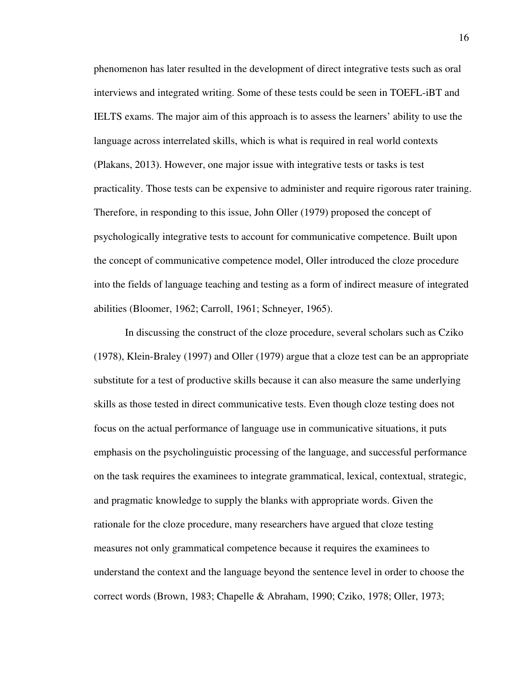phenomenon has later resulted in the development of direct integrative tests such as oral interviews and integrated writing. Some of these tests could be seen in TOEFL-iBT and IELTS exams. The major aim of this approach is to assess the learners' ability to use the language across interrelated skills, which is what is required in real world contexts (Plakans, 2013). However, one major issue with integrative tests or tasks is test practicality. Those tests can be expensive to administer and require rigorous rater training. Therefore, in responding to this issue, John Oller (1979) proposed the concept of psychologically integrative tests to account for communicative competence. Built upon the concept of communicative competence model, Oller introduced the cloze procedure into the fields of language teaching and testing as a form of indirect measure of integrated abilities (Bloomer, 1962; Carroll, 1961; Schneyer, 1965).

In discussing the construct of the cloze procedure, several scholars such as Cziko (1978), Klein-Braley (1997) and Oller (1979) argue that a cloze test can be an appropriate substitute for a test of productive skills because it can also measure the same underlying skills as those tested in direct communicative tests. Even though cloze testing does not focus on the actual performance of language use in communicative situations, it puts emphasis on the psycholinguistic processing of the language, and successful performance on the task requires the examinees to integrate grammatical, lexical, contextual, strategic, and pragmatic knowledge to supply the blanks with appropriate words. Given the rationale for the cloze procedure, many researchers have argued that cloze testing measures not only grammatical competence because it requires the examinees to understand the context and the language beyond the sentence level in order to choose the correct words (Brown, 1983; Chapelle & Abraham, 1990; Cziko, 1978; Oller, 1973;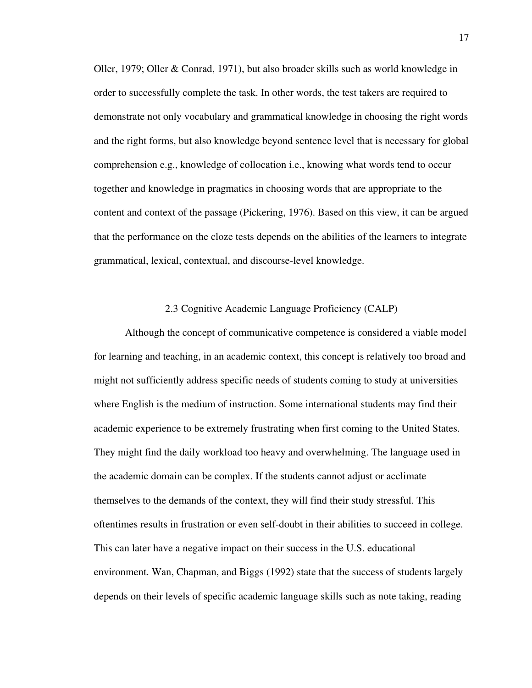Oller, 1979; Oller & Conrad, 1971), but also broader skills such as world knowledge in order to successfully complete the task. In other words, the test takers are required to demonstrate not only vocabulary and grammatical knowledge in choosing the right words and the right forms, but also knowledge beyond sentence level that is necessary for global comprehension e.g., knowledge of collocation i.e., knowing what words tend to occur together and knowledge in pragmatics in choosing words that are appropriate to the content and context of the passage (Pickering, 1976). Based on this view, it can be argued that the performance on the cloze tests depends on the abilities of the learners to integrate grammatical, lexical, contextual, and discourse-level knowledge.

#### 2.3 Cognitive Academic Language Proficiency (CALP)

Although the concept of communicative competence is considered a viable model for learning and teaching, in an academic context, this concept is relatively too broad and might not sufficiently address specific needs of students coming to study at universities where English is the medium of instruction. Some international students may find their academic experience to be extremely frustrating when first coming to the United States. They might find the daily workload too heavy and overwhelming. The language used in the academic domain can be complex. If the students cannot adjust or acclimate themselves to the demands of the context, they will find their study stressful. This oftentimes results in frustration or even self-doubt in their abilities to succeed in college. This can later have a negative impact on their success in the U.S. educational environment. Wan, Chapman, and Biggs (1992) state that the success of students largely depends on their levels of specific academic language skills such as note taking, reading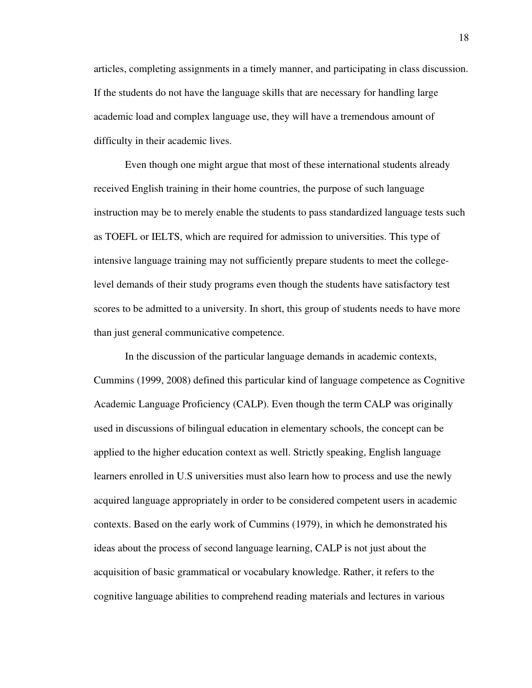articles, completing assignments in a timely manner, and participating in class discussion. If the students do not have the language skills that are necessary for handling large academic load and complex language use, they will have a tremendous amount of difficulty in their academic lives.

Even though one might argue that most of these international students already received English training in their home countries, the purpose of such language instruction may be to merely enable the students to pass standardized language tests such as TOEFL or IELTS, which are required for admission to universities. This type of intensive language training may not sufficiently prepare students to meet the collegelevel demands of their study programs even though the students have satisfactory test scores to be admitted to a university. In short, this group of students needs to have more than just general communicative competence.

In the discussion of the particular language demands in academic contexts, Cummins (1999, 2008) defined this particular kind of language competence as Cognitive Academic Language Proficiency (CALP). Even though the term CALP was originally used in discussions of bilingual education in elementary schools, the concept can be applied to the higher education context as well. Strictly speaking, English language learners enrolled in U.S universities must also learn how to process and use the newly acquired language appropriately in order to be considered competent users in academic contexts. Based on the early work of Cummins (1979), in which he demonstrated his ideas about the process of second language learning, CALP is not just about the acquisition of basic grammatical or vocabulary knowledge. Rather, it refers to the cognitive language abilities to comprehend reading materials and lectures in various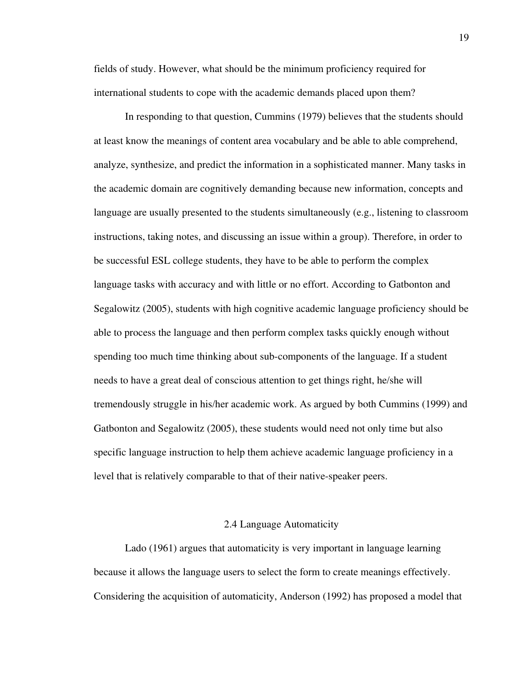fields of study. However, what should be the minimum proficiency required for international students to cope with the academic demands placed upon them?

In responding to that question, Cummins (1979) believes that the students should at least know the meanings of content area vocabulary and be able to able comprehend, analyze, synthesize, and predict the information in a sophisticated manner. Many tasks in the academic domain are cognitively demanding because new information, concepts and language are usually presented to the students simultaneously (e.g., listening to classroom instructions, taking notes, and discussing an issue within a group). Therefore, in order to be successful ESL college students, they have to be able to perform the complex language tasks with accuracy and with little or no effort. According to Gatbonton and Segalowitz (2005), students with high cognitive academic language proficiency should be able to process the language and then perform complex tasks quickly enough without spending too much time thinking about sub-components of the language. If a student needs to have a great deal of conscious attention to get things right, he/she will tremendously struggle in his/her academic work. As argued by both Cummins (1999) and Gatbonton and Segalowitz (2005), these students would need not only time but also specific language instruction to help them achieve academic language proficiency in a level that is relatively comparable to that of their native-speaker peers.

#### 2.4 Language Automaticity

Lado (1961) argues that automaticity is very important in language learning because it allows the language users to select the form to create meanings effectively. Considering the acquisition of automaticity, Anderson (1992) has proposed a model that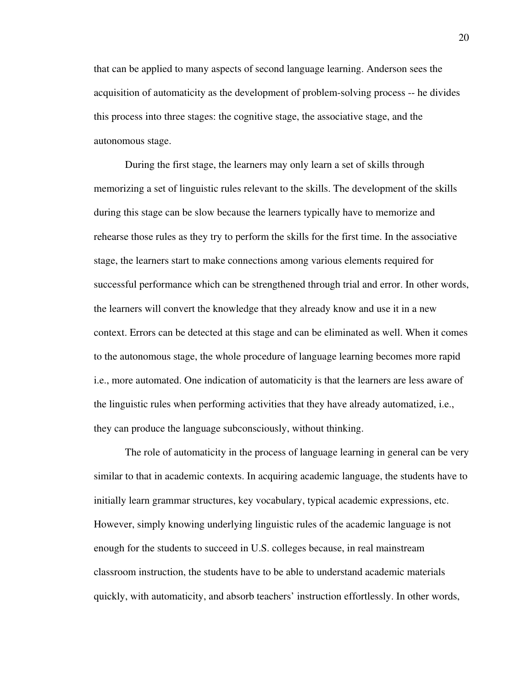that can be applied to many aspects of second language learning. Anderson sees the acquisition of automaticity as the development of problem-solving process -- he divides this process into three stages: the cognitive stage, the associative stage, and the autonomous stage.

During the first stage, the learners may only learn a set of skills through memorizing a set of linguistic rules relevant to the skills. The development of the skills during this stage can be slow because the learners typically have to memorize and rehearse those rules as they try to perform the skills for the first time. In the associative stage, the learners start to make connections among various elements required for successful performance which can be strengthened through trial and error. In other words, the learners will convert the knowledge that they already know and use it in a new context. Errors can be detected at this stage and can be eliminated as well. When it comes to the autonomous stage, the whole procedure of language learning becomes more rapid i.e., more automated. One indication of automaticity is that the learners are less aware of the linguistic rules when performing activities that they have already automatized, i.e., they can produce the language subconsciously, without thinking.

The role of automaticity in the process of language learning in general can be very similar to that in academic contexts. In acquiring academic language, the students have to initially learn grammar structures, key vocabulary, typical academic expressions, etc. However, simply knowing underlying linguistic rules of the academic language is not enough for the students to succeed in U.S. colleges because, in real mainstream classroom instruction, the students have to be able to understand academic materials quickly, with automaticity, and absorb teachers' instruction effortlessly. In other words,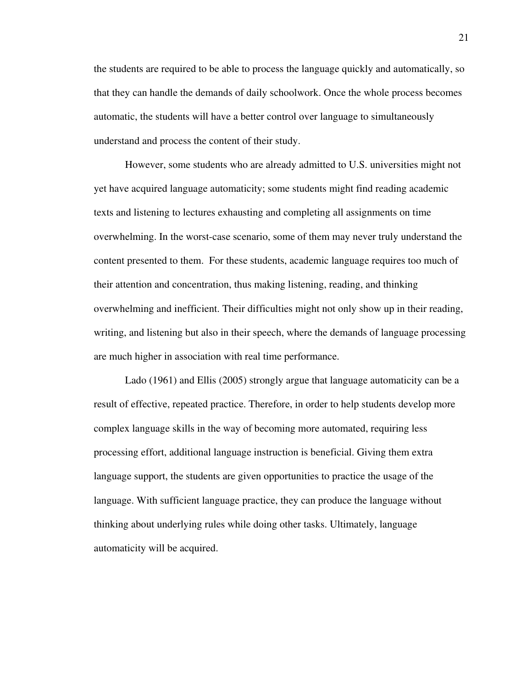the students are required to be able to process the language quickly and automatically, so that they can handle the demands of daily schoolwork. Once the whole process becomes automatic, the students will have a better control over language to simultaneously understand and process the content of their study.

However, some students who are already admitted to U.S. universities might not yet have acquired language automaticity; some students might find reading academic texts and listening to lectures exhausting and completing all assignments on time overwhelming. In the worst-case scenario, some of them may never truly understand the content presented to them. For these students, academic language requires too much of their attention and concentration, thus making listening, reading, and thinking overwhelming and inefficient. Their difficulties might not only show up in their reading, writing, and listening but also in their speech, where the demands of language processing are much higher in association with real time performance.

Lado (1961) and Ellis (2005) strongly argue that language automaticity can be a result of effective, repeated practice. Therefore, in order to help students develop more complex language skills in the way of becoming more automated, requiring less processing effort, additional language instruction is beneficial. Giving them extra language support, the students are given opportunities to practice the usage of the language. With sufficient language practice, they can produce the language without thinking about underlying rules while doing other tasks. Ultimately, language automaticity will be acquired.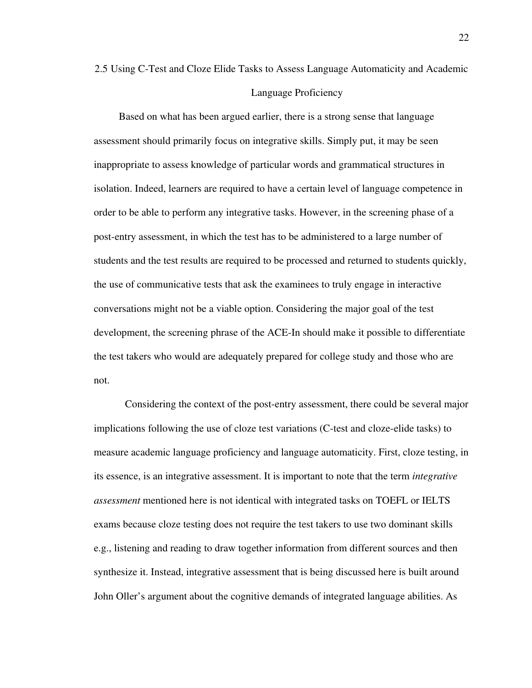## 2.5 Using C-Test and Cloze Elide Tasks to Assess Language Automaticity and Academic Language Proficiency

Based on what has been argued earlier, there is a strong sense that language assessment should primarily focus on integrative skills. Simply put, it may be seen inappropriate to assess knowledge of particular words and grammatical structures in isolation. Indeed, learners are required to have a certain level of language competence in order to be able to perform any integrative tasks. However, in the screening phase of a post-entry assessment, in which the test has to be administered to a large number of students and the test results are required to be processed and returned to students quickly, the use of communicative tests that ask the examinees to truly engage in interactive conversations might not be a viable option. Considering the major goal of the test development, the screening phrase of the ACE-In should make it possible to differentiate the test takers who would are adequately prepared for college study and those who are not.

Considering the context of the post-entry assessment, there could be several major implications following the use of cloze test variations (C-test and cloze-elide tasks) to measure academic language proficiency and language automaticity. First, cloze testing, in its essence, is an integrative assessment. It is important to note that the term *integrative assessment* mentioned here is not identical with integrated tasks on TOEFL or IELTS exams because cloze testing does not require the test takers to use two dominant skills e.g., listening and reading to draw together information from different sources and then synthesize it. Instead, integrative assessment that is being discussed here is built around John Oller's argument about the cognitive demands of integrated language abilities. As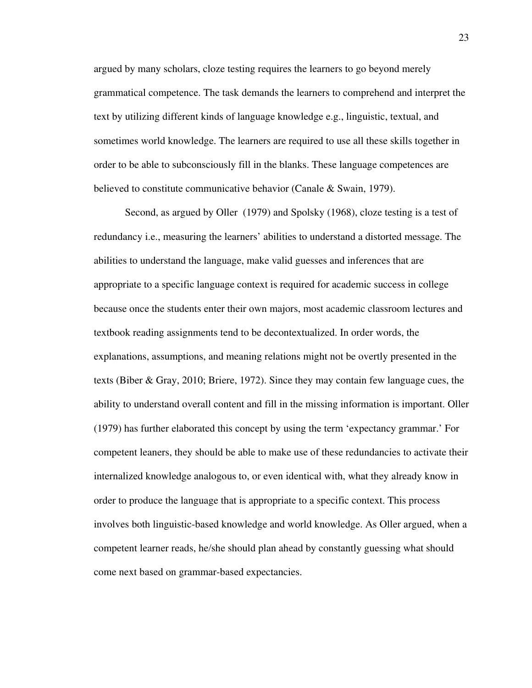argued by many scholars, cloze testing requires the learners to go beyond merely grammatical competence. The task demands the learners to comprehend and interpret the text by utilizing different kinds of language knowledge e.g., linguistic, textual, and sometimes world knowledge. The learners are required to use all these skills together in order to be able to subconsciously fill in the blanks. These language competences are believed to constitute communicative behavior (Canale & Swain, 1979).

Second, as argued by Oller (1979) and Spolsky (1968), cloze testing is a test of redundancy i.e., measuring the learners' abilities to understand a distorted message. The abilities to understand the language, make valid guesses and inferences that are appropriate to a specific language context is required for academic success in college because once the students enter their own majors, most academic classroom lectures and textbook reading assignments tend to be decontextualized. In order words, the explanations, assumptions, and meaning relations might not be overtly presented in the texts (Biber & Gray, 2010; Briere, 1972). Since they may contain few language cues, the ability to understand overall content and fill in the missing information is important. Oller (1979) has further elaborated this concept by using the term 'expectancy grammar.' For competent leaners, they should be able to make use of these redundancies to activate their internalized knowledge analogous to, or even identical with, what they already know in order to produce the language that is appropriate to a specific context. This process involves both linguistic-based knowledge and world knowledge. As Oller argued, when a competent learner reads, he/she should plan ahead by constantly guessing what should come next based on grammar-based expectancies.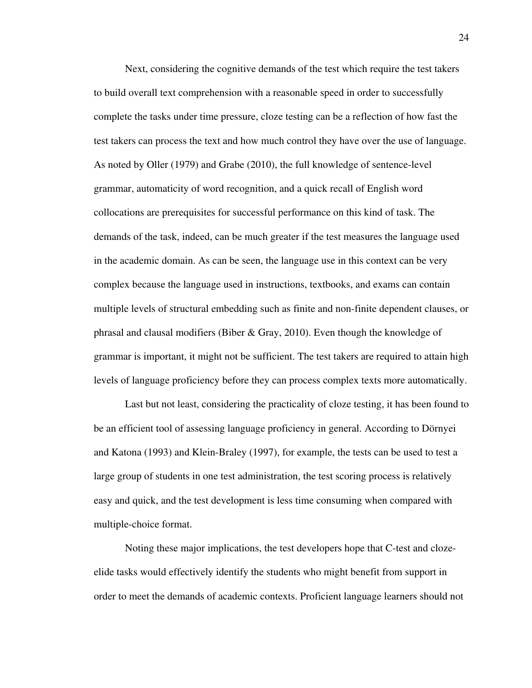Next, considering the cognitive demands of the test which require the test takers to build overall text comprehension with a reasonable speed in order to successfully complete the tasks under time pressure, cloze testing can be a reflection of how fast the test takers can process the text and how much control they have over the use of language. As noted by Oller (1979) and Grabe (2010), the full knowledge of sentence-level grammar, automaticity of word recognition, and a quick recall of English word collocations are prerequisites for successful performance on this kind of task. The demands of the task, indeed, can be much greater if the test measures the language used in the academic domain. As can be seen, the language use in this context can be very complex because the language used in instructions, textbooks, and exams can contain multiple levels of structural embedding such as finite and non-finite dependent clauses, or phrasal and clausal modifiers (Biber & Gray, 2010). Even though the knowledge of grammar is important, it might not be sufficient. The test takers are required to attain high levels of language proficiency before they can process complex texts more automatically.

Last but not least, considering the practicality of cloze testing, it has been found to be an efficient tool of assessing language proficiency in general. According to Dörnyei and Katona (1993) and Klein-Braley (1997), for example, the tests can be used to test a large group of students in one test administration, the test scoring process is relatively easy and quick, and the test development is less time consuming when compared with multiple-choice format.

Noting these major implications, the test developers hope that C-test and clozeelide tasks would effectively identify the students who might benefit from support in order to meet the demands of academic contexts. Proficient language learners should not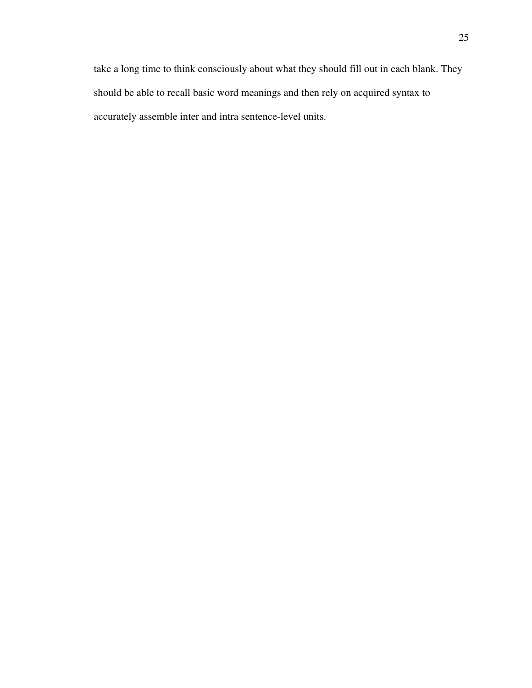take a long time to think consciously about what they should fill out in each blank. They should be able to recall basic word meanings and then rely on acquired syntax to accurately assemble inter and intra sentence-level units.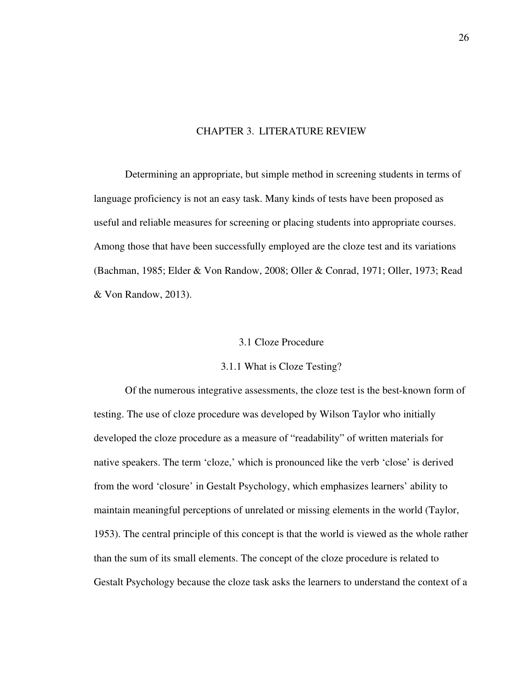# CHAPTER 3. LITERATURE REVIEW

Determining an appropriate, but simple method in screening students in terms of language proficiency is not an easy task. Many kinds of tests have been proposed as useful and reliable measures for screening or placing students into appropriate courses. Among those that have been successfully employed are the cloze test and its variations (Bachman, 1985; Elder & Von Randow, 2008; Oller & Conrad, 1971; Oller, 1973; Read & Von Randow, 2013).

#### 3.1 Cloze Procedure

#### 3.1.1 What is Cloze Testing?

Of the numerous integrative assessments, the cloze test is the best-known form of testing. The use of cloze procedure was developed by Wilson Taylor who initially developed the cloze procedure as a measure of "readability" of written materials for native speakers. The term 'cloze,' which is pronounced like the verb 'close' is derived from the word 'closure' in Gestalt Psychology, which emphasizes learners' ability to maintain meaningful perceptions of unrelated or missing elements in the world (Taylor, 1953). The central principle of this concept is that the world is viewed as the whole rather than the sum of its small elements. The concept of the cloze procedure is related to Gestalt Psychology because the cloze task asks the learners to understand the context of a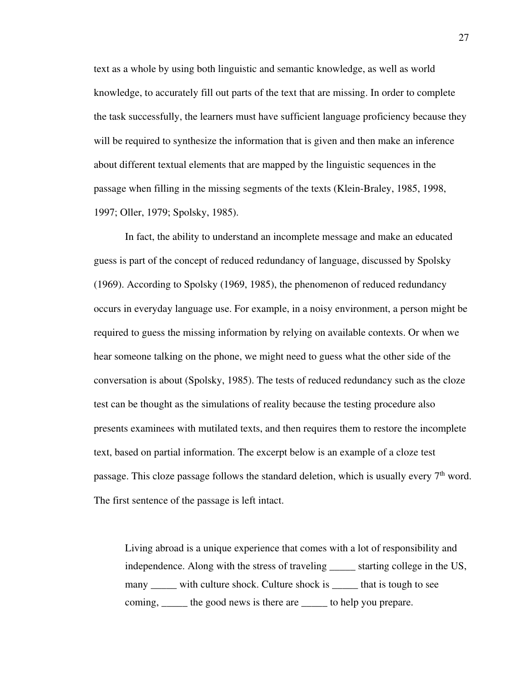text as a whole by using both linguistic and semantic knowledge, as well as world knowledge, to accurately fill out parts of the text that are missing. In order to complete the task successfully, the learners must have sufficient language proficiency because they will be required to synthesize the information that is given and then make an inference about different textual elements that are mapped by the linguistic sequences in the passage when filling in the missing segments of the texts (Klein-Braley, 1985, 1998, 1997; Oller, 1979; Spolsky, 1985).

In fact, the ability to understand an incomplete message and make an educated guess is part of the concept of reduced redundancy of language, discussed by Spolsky (1969). According to Spolsky (1969, 1985), the phenomenon of reduced redundancy occurs in everyday language use. For example, in a noisy environment, a person might be required to guess the missing information by relying on available contexts. Or when we hear someone talking on the phone, we might need to guess what the other side of the conversation is about (Spolsky, 1985). The tests of reduced redundancy such as the cloze test can be thought as the simulations of reality because the testing procedure also presents examinees with mutilated texts, and then requires them to restore the incomplete text, based on partial information. The excerpt below is an example of a cloze test passage. This cloze passage follows the standard deletion, which is usually every  $7<sup>th</sup>$  word. The first sentence of the passage is left intact.

Living abroad is a unique experience that comes with a lot of responsibility and independence. Along with the stress of traveling \_\_\_\_\_\_ starting college in the US, many \_\_\_\_\_\_ with culture shock. Culture shock is \_\_\_\_\_\_ that is tough to see coming, the good news is there are <u>the</u> to help you prepare.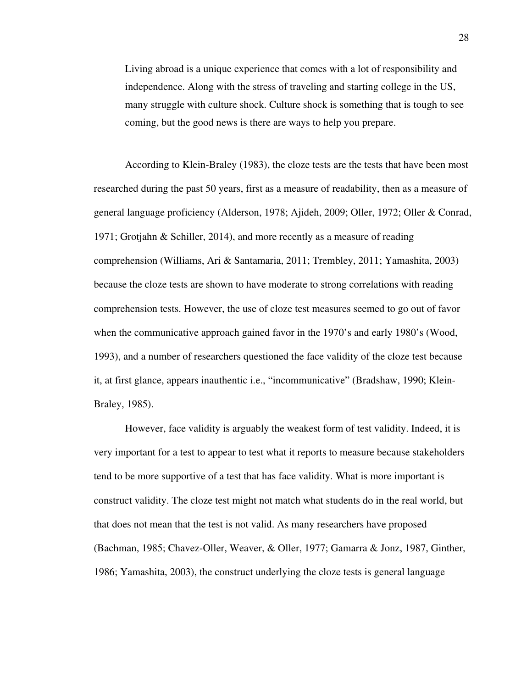Living abroad is a unique experience that comes with a lot of responsibility and independence. Along with the stress of traveling and starting college in the US, many struggle with culture shock. Culture shock is something that is tough to see coming, but the good news is there are ways to help you prepare.

According to Klein-Braley (1983), the cloze tests are the tests that have been most researched during the past 50 years, first as a measure of readability, then as a measure of general language proficiency (Alderson, 1978; Ajideh, 2009; Oller, 1972; Oller & Conrad, 1971; Grotjahn & Schiller, 2014), and more recently as a measure of reading comprehension (Williams, Ari & Santamaria, 2011; Trembley, 2011; Yamashita, 2003) because the cloze tests are shown to have moderate to strong correlations with reading comprehension tests. However, the use of cloze test measures seemed to go out of favor when the communicative approach gained favor in the 1970's and early 1980's (Wood, 1993), and a number of researchers questioned the face validity of the cloze test because it, at first glance, appears inauthentic i.e., "incommunicative" (Bradshaw, 1990; Klein-Braley, 1985).

However, face validity is arguably the weakest form of test validity. Indeed, it is very important for a test to appear to test what it reports to measure because stakeholders tend to be more supportive of a test that has face validity. What is more important is construct validity. The cloze test might not match what students do in the real world, but that does not mean that the test is not valid. As many researchers have proposed (Bachman, 1985; Chavez-Oller, Weaver, & Oller, 1977; Gamarra & Jonz, 1987, Ginther, 1986; Yamashita, 2003), the construct underlying the cloze tests is general language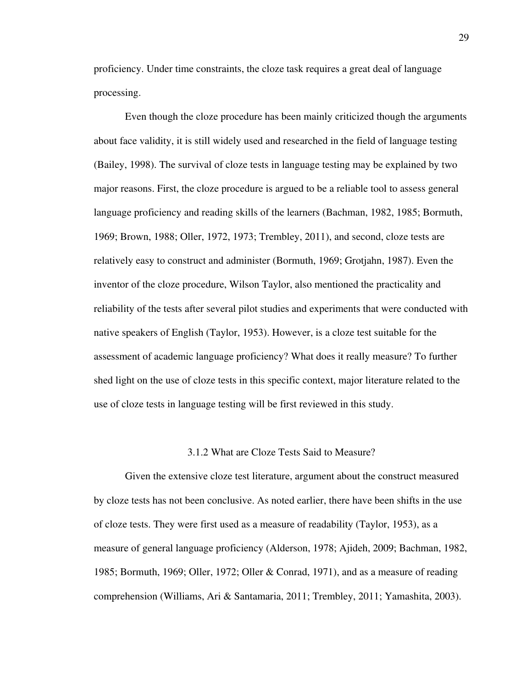proficiency. Under time constraints, the cloze task requires a great deal of language processing.

Even though the cloze procedure has been mainly criticized though the arguments about face validity, it is still widely used and researched in the field of language testing (Bailey, 1998). The survival of cloze tests in language testing may be explained by two major reasons. First, the cloze procedure is argued to be a reliable tool to assess general language proficiency and reading skills of the learners (Bachman, 1982, 1985; Bormuth, 1969; Brown, 1988; Oller, 1972, 1973; Trembley, 2011), and second, cloze tests are relatively easy to construct and administer (Bormuth, 1969; Grotjahn, 1987). Even the inventor of the cloze procedure, Wilson Taylor, also mentioned the practicality and reliability of the tests after several pilot studies and experiments that were conducted with native speakers of English (Taylor, 1953). However, is a cloze test suitable for the assessment of academic language proficiency? What does it really measure? To further shed light on the use of cloze tests in this specific context, major literature related to the use of cloze tests in language testing will be first reviewed in this study.

#### 3.1.2 What are Cloze Tests Said to Measure?

Given the extensive cloze test literature, argument about the construct measured by cloze tests has not been conclusive. As noted earlier, there have been shifts in the use of cloze tests. They were first used as a measure of readability (Taylor, 1953), as a measure of general language proficiency (Alderson, 1978; Ajideh, 2009; Bachman, 1982, 1985; Bormuth, 1969; Oller, 1972; Oller & Conrad, 1971), and as a measure of reading comprehension (Williams, Ari & Santamaria, 2011; Trembley, 2011; Yamashita, 2003).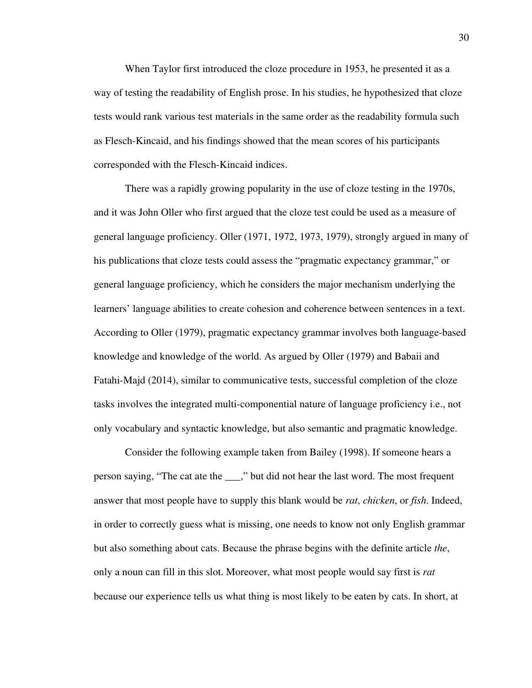When Taylor first introduced the cloze procedure in 1953, he presented it as a way of testing the readability of English prose. In his studies, he hypothesized that cloze tests would rank various test materials in the same order as the readability formula such as Flesch-Kincaid, and his findings showed that the mean scores of his participants corresponded with the Flesch-Kincaid indices.

There was a rapidly growing popularity in the use of cloze testing in the 1970s, and it was John Oller who first argued that the cloze test could be used as a measure of general language proficiency. Oller (1971, 1972, 1973, 1979), strongly argued in many of his publications that cloze tests could assess the "pragmatic expectancy grammar," or general language proficiency, which he considers the major mechanism underlying the learners' language abilities to create cohesion and coherence between sentences in a text. According to Oller (1979), pragmatic expectancy grammar involves both language-based knowledge and knowledge of the world. As argued by Oller (1979) and Babaii and Fatahi-Majd (2014), similar to communicative tests, successful completion of the cloze tasks involves the integrated multi-componential nature of language proficiency i.e., not only vocabulary and syntactic knowledge, but also semantic and pragmatic knowledge.

Consider the following example taken from Bailey (1998). If someone hears a person saying, "The cat ate the \_\_\_," but did not hear the last word. The most frequent answer that most people have to supply this blank would be *rat*, *chicken*, or *fish*. Indeed, in order to correctly guess what is missing, one needs to know not only English grammar but also something about cats. Because the phrase begins with the definite article *the*, only a noun can fill in this slot. Moreover, what most people would say first is *rat* because our experience tells us what thing is most likely to be eaten by cats. In short, at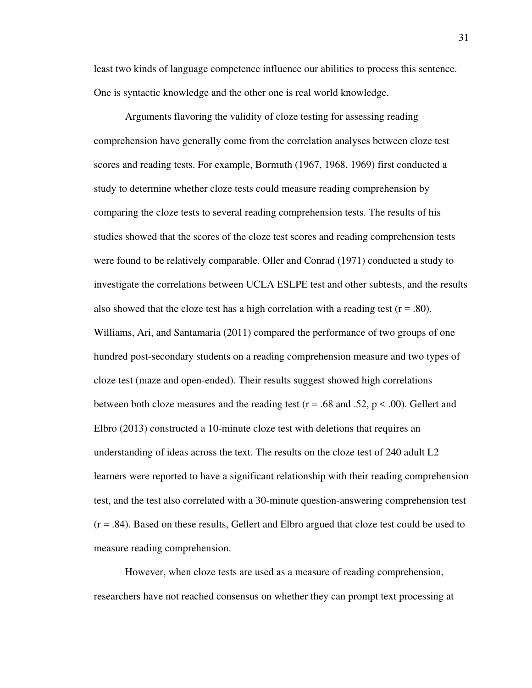least two kinds of language competence influence our abilities to process this sentence. One is syntactic knowledge and the other one is real world knowledge.

Arguments flavoring the validity of cloze testing for assessing reading comprehension have generally come from the correlation analyses between cloze test scores and reading tests. For example, Bormuth (1967, 1968, 1969) first conducted a study to determine whether cloze tests could measure reading comprehension by comparing the cloze tests to several reading comprehension tests. The results of his studies showed that the scores of the cloze test scores and reading comprehension tests were found to be relatively comparable. Oller and Conrad (1971) conducted a study to investigate the correlations between UCLA ESLPE test and other subtests, and the results also showed that the cloze test has a high correlation with a reading test  $(r = .80)$ . Williams, Ari, and Santamaria (2011) compared the performance of two groups of one hundred post-secondary students on a reading comprehension measure and two types of cloze test (maze and open-ended). Their results suggest showed high correlations between both cloze measures and the reading test ( $r = .68$  and .52,  $p < .00$ ). Gellert and Elbro (2013) constructed a 10-minute cloze test with deletions that requires an understanding of ideas across the text. The results on the cloze test of 240 adult L2 learners were reported to have a significant relationship with their reading comprehension test, and the test also correlated with a 30-minute question-answering comprehension test  $(r = .84)$ . Based on these results, Gellert and Elbro argued that cloze test could be used to measure reading comprehension.

However, when cloze tests are used as a measure of reading comprehension, researchers have not reached consensus on whether they can prompt text processing at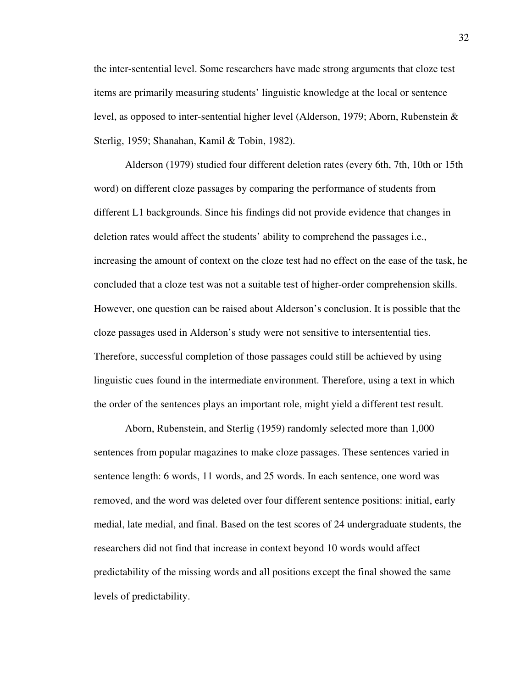the inter-sentential level. Some researchers have made strong arguments that cloze test items are primarily measuring students' linguistic knowledge at the local or sentence level, as opposed to inter-sentential higher level (Alderson, 1979; Aborn, Rubenstein & Sterlig, 1959; Shanahan, Kamil & Tobin, 1982).

Alderson (1979) studied four different deletion rates (every 6th, 7th, 10th or 15th word) on different cloze passages by comparing the performance of students from different L1 backgrounds. Since his findings did not provide evidence that changes in deletion rates would affect the students' ability to comprehend the passages i.e., increasing the amount of context on the cloze test had no effect on the ease of the task, he concluded that a cloze test was not a suitable test of higher-order comprehension skills. However, one question can be raised about Alderson's conclusion. It is possible that the cloze passages used in Alderson's study were not sensitive to intersentential ties. Therefore, successful completion of those passages could still be achieved by using linguistic cues found in the intermediate environment. Therefore, using a text in which the order of the sentences plays an important role, might yield a different test result.

Aborn, Rubenstein, and Sterlig (1959) randomly selected more than 1,000 sentences from popular magazines to make cloze passages. These sentences varied in sentence length: 6 words, 11 words, and 25 words. In each sentence, one word was removed, and the word was deleted over four different sentence positions: initial, early medial, late medial, and final. Based on the test scores of 24 undergraduate students, the researchers did not find that increase in context beyond 10 words would affect predictability of the missing words and all positions except the final showed the same levels of predictability.

32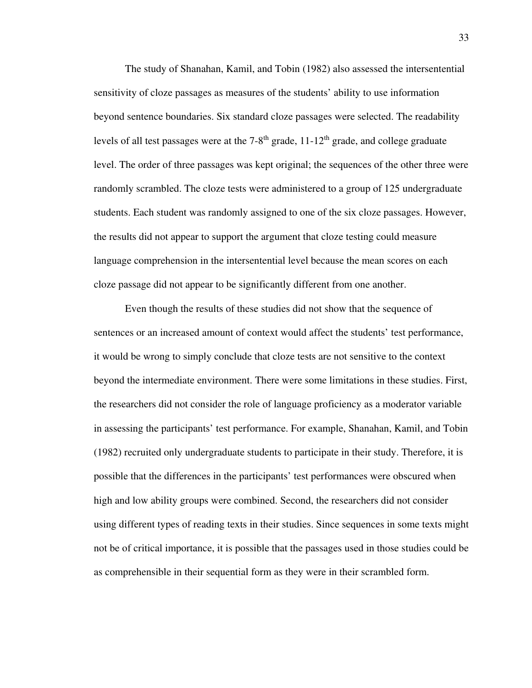The study of Shanahan, Kamil, and Tobin (1982) also assessed the intersentential sensitivity of cloze passages as measures of the students' ability to use information beyond sentence boundaries. Six standard cloze passages were selected. The readability levels of all test passages were at the  $7-8<sup>th</sup>$  grade, 11-12<sup>th</sup> grade, and college graduate level. The order of three passages was kept original; the sequences of the other three were randomly scrambled. The cloze tests were administered to a group of 125 undergraduate students. Each student was randomly assigned to one of the six cloze passages. However, the results did not appear to support the argument that cloze testing could measure language comprehension in the intersentential level because the mean scores on each cloze passage did not appear to be significantly different from one another.

Even though the results of these studies did not show that the sequence of sentences or an increased amount of context would affect the students' test performance, it would be wrong to simply conclude that cloze tests are not sensitive to the context beyond the intermediate environment. There were some limitations in these studies. First, the researchers did not consider the role of language proficiency as a moderator variable in assessing the participants' test performance. For example, Shanahan, Kamil, and Tobin (1982) recruited only undergraduate students to participate in their study. Therefore, it is possible that the differences in the participants' test performances were obscured when high and low ability groups were combined. Second, the researchers did not consider using different types of reading texts in their studies. Since sequences in some texts might not be of critical importance, it is possible that the passages used in those studies could be as comprehensible in their sequential form as they were in their scrambled form.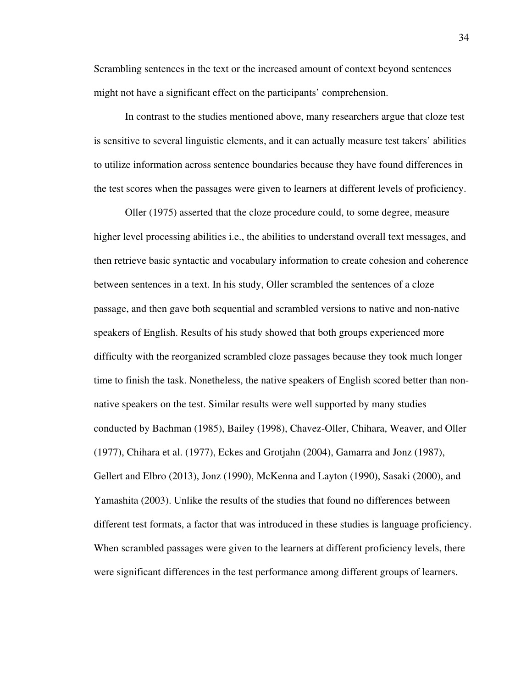Scrambling sentences in the text or the increased amount of context beyond sentences might not have a significant effect on the participants' comprehension.

In contrast to the studies mentioned above, many researchers argue that cloze test is sensitive to several linguistic elements, and it can actually measure test takers' abilities to utilize information across sentence boundaries because they have found differences in the test scores when the passages were given to learners at different levels of proficiency.

Oller (1975) asserted that the cloze procedure could, to some degree, measure higher level processing abilities i.e., the abilities to understand overall text messages, and then retrieve basic syntactic and vocabulary information to create cohesion and coherence between sentences in a text. In his study, Oller scrambled the sentences of a cloze passage, and then gave both sequential and scrambled versions to native and non-native speakers of English. Results of his study showed that both groups experienced more difficulty with the reorganized scrambled cloze passages because they took much longer time to finish the task. Nonetheless, the native speakers of English scored better than nonnative speakers on the test. Similar results were well supported by many studies conducted by Bachman (1985), Bailey (1998), Chavez-Oller, Chihara, Weaver, and Oller (1977), Chihara et al. (1977), Eckes and Grotjahn (2004), Gamarra and Jonz (1987), Gellert and Elbro (2013), Jonz (1990), McKenna and Layton (1990), Sasaki (2000), and Yamashita (2003). Unlike the results of the studies that found no differences between different test formats, a factor that was introduced in these studies is language proficiency. When scrambled passages were given to the learners at different proficiency levels, there were significant differences in the test performance among different groups of learners.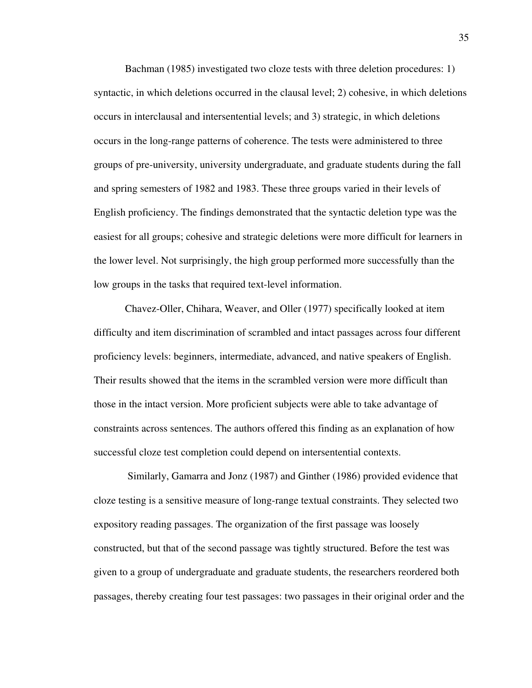Bachman (1985) investigated two cloze tests with three deletion procedures: 1) syntactic, in which deletions occurred in the clausal level; 2) cohesive, in which deletions occurs in interclausal and intersentential levels; and 3) strategic, in which deletions occurs in the long-range patterns of coherence. The tests were administered to three groups of pre-university, university undergraduate, and graduate students during the fall and spring semesters of 1982 and 1983. These three groups varied in their levels of English proficiency. The findings demonstrated that the syntactic deletion type was the easiest for all groups; cohesive and strategic deletions were more difficult for learners in the lower level. Not surprisingly, the high group performed more successfully than the low groups in the tasks that required text-level information.

Chavez-Oller, Chihara, Weaver, and Oller (1977) specifically looked at item difficulty and item discrimination of scrambled and intact passages across four different proficiency levels: beginners, intermediate, advanced, and native speakers of English. Their results showed that the items in the scrambled version were more difficult than those in the intact version. More proficient subjects were able to take advantage of constraints across sentences. The authors offered this finding as an explanation of how successful cloze test completion could depend on intersentential contexts.

 Similarly, Gamarra and Jonz (1987) and Ginther (1986) provided evidence that cloze testing is a sensitive measure of long-range textual constraints. They selected two expository reading passages. The organization of the first passage was loosely constructed, but that of the second passage was tightly structured. Before the test was given to a group of undergraduate and graduate students, the researchers reordered both passages, thereby creating four test passages: two passages in their original order and the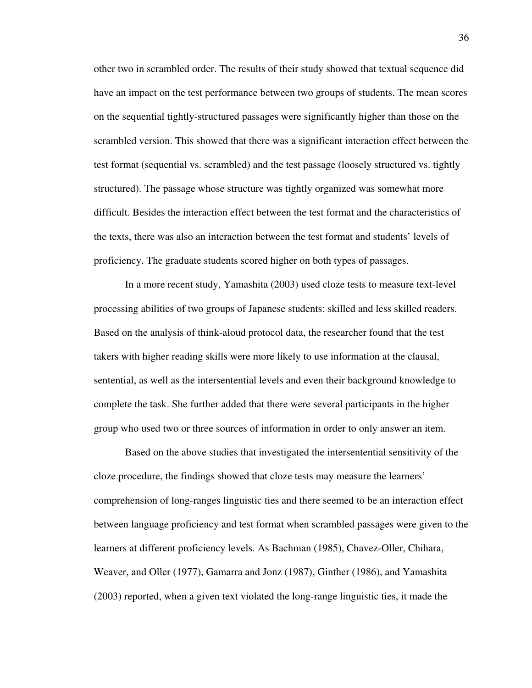other two in scrambled order. The results of their study showed that textual sequence did have an impact on the test performance between two groups of students. The mean scores on the sequential tightly-structured passages were significantly higher than those on the scrambled version. This showed that there was a significant interaction effect between the test format (sequential vs. scrambled) and the test passage (loosely structured vs. tightly structured). The passage whose structure was tightly organized was somewhat more difficult. Besides the interaction effect between the test format and the characteristics of the texts, there was also an interaction between the test format and students' levels of proficiency. The graduate students scored higher on both types of passages.

In a more recent study, Yamashita (2003) used cloze tests to measure text-level processing abilities of two groups of Japanese students: skilled and less skilled readers. Based on the analysis of think-aloud protocol data, the researcher found that the test takers with higher reading skills were more likely to use information at the clausal, sentential, as well as the intersentential levels and even their background knowledge to complete the task. She further added that there were several participants in the higher group who used two or three sources of information in order to only answer an item.

Based on the above studies that investigated the intersentential sensitivity of the cloze procedure, the findings showed that cloze tests may measure the learners' comprehension of long-ranges linguistic ties and there seemed to be an interaction effect between language proficiency and test format when scrambled passages were given to the learners at different proficiency levels. As Bachman (1985), Chavez-Oller, Chihara, Weaver, and Oller (1977), Gamarra and Jonz (1987), Ginther (1986), and Yamashita (2003) reported, when a given text violated the long-range linguistic ties, it made the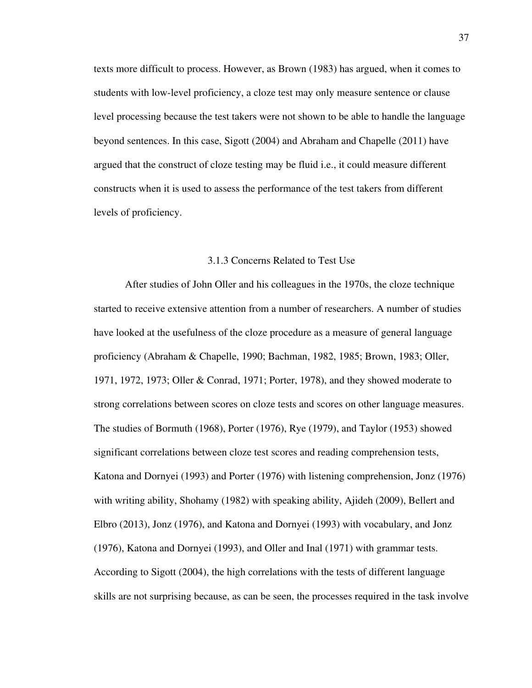texts more difficult to process. However, as Brown (1983) has argued, when it comes to students with low-level proficiency, a cloze test may only measure sentence or clause level processing because the test takers were not shown to be able to handle the language beyond sentences. In this case, Sigott (2004) and Abraham and Chapelle (2011) have argued that the construct of cloze testing may be fluid i.e., it could measure different constructs when it is used to assess the performance of the test takers from different levels of proficiency.

## 3.1.3 Concerns Related to Test Use

After studies of John Oller and his colleagues in the 1970s, the cloze technique started to receive extensive attention from a number of researchers. A number of studies have looked at the usefulness of the cloze procedure as a measure of general language proficiency (Abraham & Chapelle, 1990; Bachman, 1982, 1985; Brown, 1983; Oller, 1971, 1972, 1973; Oller & Conrad, 1971; Porter, 1978), and they showed moderate to strong correlations between scores on cloze tests and scores on other language measures. The studies of Bormuth (1968), Porter (1976), Rye (1979), and Taylor (1953) showed significant correlations between cloze test scores and reading comprehension tests, Katona and Dornyei (1993) and Porter (1976) with listening comprehension, Jonz (1976) with writing ability, Shohamy (1982) with speaking ability, Ajideh (2009), Bellert and Elbro (2013), Jonz (1976), and Katona and Dornyei (1993) with vocabulary, and Jonz (1976), Katona and Dornyei (1993), and Oller and Inal (1971) with grammar tests. According to Sigott (2004), the high correlations with the tests of different language skills are not surprising because, as can be seen, the processes required in the task involve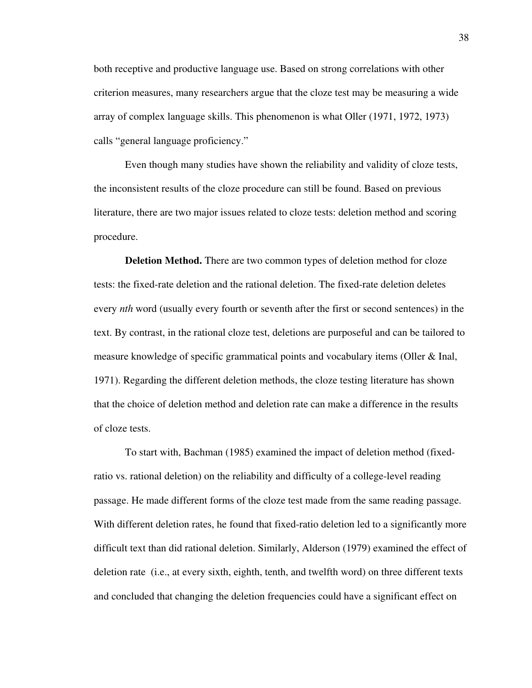both receptive and productive language use. Based on strong correlations with other criterion measures, many researchers argue that the cloze test may be measuring a wide array of complex language skills. This phenomenon is what Oller (1971, 1972, 1973) calls "general language proficiency."

Even though many studies have shown the reliability and validity of cloze tests, the inconsistent results of the cloze procedure can still be found. Based on previous literature, there are two major issues related to cloze tests: deletion method and scoring procedure.

**Deletion Method.** There are two common types of deletion method for cloze tests: the fixed-rate deletion and the rational deletion. The fixed-rate deletion deletes every *nth* word (usually every fourth or seventh after the first or second sentences) in the text. By contrast, in the rational cloze test, deletions are purposeful and can be tailored to measure knowledge of specific grammatical points and vocabulary items (Oller & Inal, 1971). Regarding the different deletion methods, the cloze testing literature has shown that the choice of deletion method and deletion rate can make a difference in the results of cloze tests.

To start with, Bachman (1985) examined the impact of deletion method (fixedratio vs. rational deletion) on the reliability and difficulty of a college-level reading passage. He made different forms of the cloze test made from the same reading passage. With different deletion rates, he found that fixed-ratio deletion led to a significantly more difficult text than did rational deletion. Similarly, Alderson (1979) examined the effect of deletion rate (i.e., at every sixth, eighth, tenth, and twelfth word) on three different texts and concluded that changing the deletion frequencies could have a significant effect on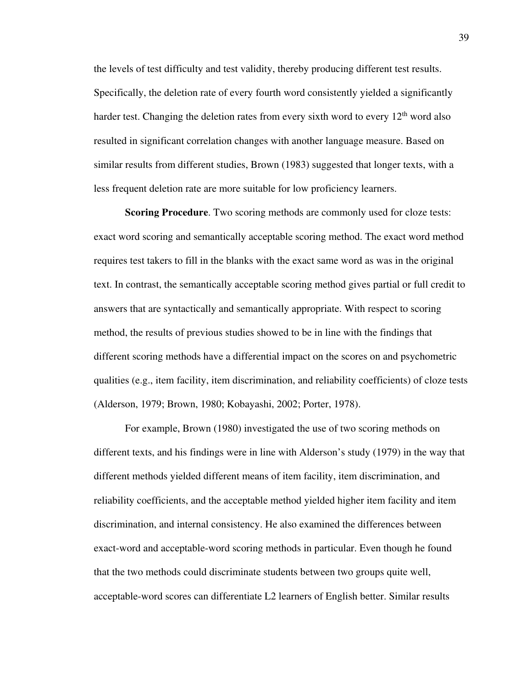the levels of test difficulty and test validity, thereby producing different test results. Specifically, the deletion rate of every fourth word consistently yielded a significantly harder test. Changing the deletion rates from every sixth word to every  $12<sup>th</sup>$  word also resulted in significant correlation changes with another language measure. Based on similar results from different studies, Brown (1983) suggested that longer texts, with a less frequent deletion rate are more suitable for low proficiency learners.

**Scoring Procedure**. Two scoring methods are commonly used for cloze tests: exact word scoring and semantically acceptable scoring method. The exact word method requires test takers to fill in the blanks with the exact same word as was in the original text. In contrast, the semantically acceptable scoring method gives partial or full credit to answers that are syntactically and semantically appropriate. With respect to scoring method, the results of previous studies showed to be in line with the findings that different scoring methods have a differential impact on the scores on and psychometric qualities (e.g., item facility, item discrimination, and reliability coefficients) of cloze tests (Alderson, 1979; Brown, 1980; Kobayashi, 2002; Porter, 1978).

For example, Brown (1980) investigated the use of two scoring methods on different texts, and his findings were in line with Alderson's study (1979) in the way that different methods yielded different means of item facility, item discrimination, and reliability coefficients, and the acceptable method yielded higher item facility and item discrimination, and internal consistency. He also examined the differences between exact-word and acceptable-word scoring methods in particular. Even though he found that the two methods could discriminate students between two groups quite well, acceptable-word scores can differentiate L2 learners of English better. Similar results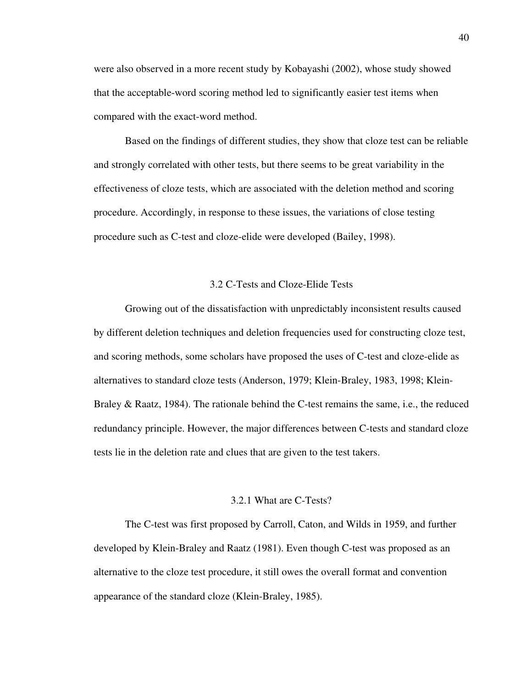were also observed in a more recent study by Kobayashi (2002), whose study showed that the acceptable-word scoring method led to significantly easier test items when compared with the exact-word method.

Based on the findings of different studies, they show that cloze test can be reliable and strongly correlated with other tests, but there seems to be great variability in the effectiveness of cloze tests, which are associated with the deletion method and scoring procedure. Accordingly, in response to these issues, the variations of close testing procedure such as C-test and cloze-elide were developed (Bailey, 1998).

#### 3.2 C-Tests and Cloze-Elide Tests

Growing out of the dissatisfaction with unpredictably inconsistent results caused by different deletion techniques and deletion frequencies used for constructing cloze test, and scoring methods, some scholars have proposed the uses of C-test and cloze-elide as alternatives to standard cloze tests (Anderson, 1979; Klein-Braley, 1983, 1998; Klein-Braley & Raatz, 1984). The rationale behind the C-test remains the same, i.e., the reduced redundancy principle. However, the major differences between C-tests and standard cloze tests lie in the deletion rate and clues that are given to the test takers.

#### 3.2.1 What are C-Tests?

The C-test was first proposed by Carroll, Caton, and Wilds in 1959, and further developed by Klein-Braley and Raatz (1981). Even though C-test was proposed as an alternative to the cloze test procedure, it still owes the overall format and convention appearance of the standard cloze (Klein-Braley, 1985).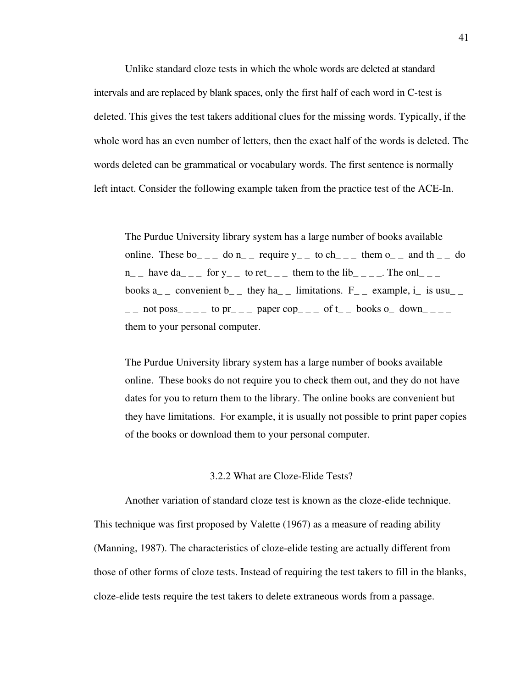Unlike standard cloze tests in which the whole words are deleted at standard intervals and are replaced by blank spaces, only the first half of each word in C-test is deleted. This gives the test takers additional clues for the missing words. Typically, if the whole word has an even number of letters, then the exact half of the words is deleted. The words deleted can be grammatical or vocabulary words. The first sentence is normally left intact. Consider the following example taken from the practice test of the ACE-In.

The Purdue University library system has a large number of books available online. These bo\_ \_ \_ do n\_ \_ require  $y_$  \_ to ch\_ \_ \_ them o\_ \_ and th \_ \_ do  $n_{-}$  have da\_ \_ \_ for y\_ \_ to ret\_ \_ \_ them to the lib\_ \_ \_ \_. The onl\_ \_ \_ books  $a_{-}$  convenient  $b_{-}$  they ha<sub> $-$ </sub> limitations.  $F_{-}$  example, i\_ is usu<sub> $-$ </sub>  $\Box$  not poss  $\Box$   $\Box$  to pr  $\Box$   $\Box$  paper cop  $\Box$  of t  $\Box$  books o  $\Box$  down  $\Box$   $\Box$   $\Box$ them to your personal computer.

The Purdue University library system has a large number of books available online. These books do not require you to check them out, and they do not have dates for you to return them to the library. The online books are convenient but they have limitations. For example, it is usually not possible to print paper copies of the books or download them to your personal computer.

### 3.2.2 What are Cloze-Elide Tests?

Another variation of standard cloze test is known as the cloze-elide technique. This technique was first proposed by Valette (1967) as a measure of reading ability (Manning, 1987). The characteristics of cloze-elide testing are actually different from those of other forms of cloze tests. Instead of requiring the test takers to fill in the blanks, cloze-elide tests require the test takers to delete extraneous words from a passage.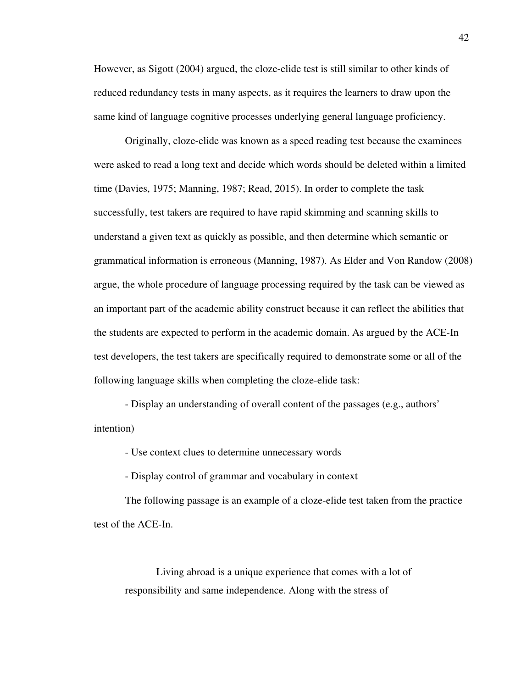However, as Sigott (2004) argued, the cloze-elide test is still similar to other kinds of reduced redundancy tests in many aspects, as it requires the learners to draw upon the same kind of language cognitive processes underlying general language proficiency.

Originally, cloze-elide was known as a speed reading test because the examinees were asked to read a long text and decide which words should be deleted within a limited time (Davies, 1975; Manning, 1987; Read, 2015). In order to complete the task successfully, test takers are required to have rapid skimming and scanning skills to understand a given text as quickly as possible, and then determine which semantic or grammatical information is erroneous (Manning, 1987). As Elder and Von Randow (2008) argue, the whole procedure of language processing required by the task can be viewed as an important part of the academic ability construct because it can reflect the abilities that the students are expected to perform in the academic domain. As argued by the ACE-In test developers, the test takers are specifically required to demonstrate some or all of the following language skills when completing the cloze-elide task:

- Display an understanding of overall content of the passages (e.g., authors' intention)

- Use context clues to determine unnecessary words

- Display control of grammar and vocabulary in context

The following passage is an example of a cloze-elide test taken from the practice test of the ACE-In.

Living abroad is a unique experience that comes with a lot of responsibility and same independence. Along with the stress of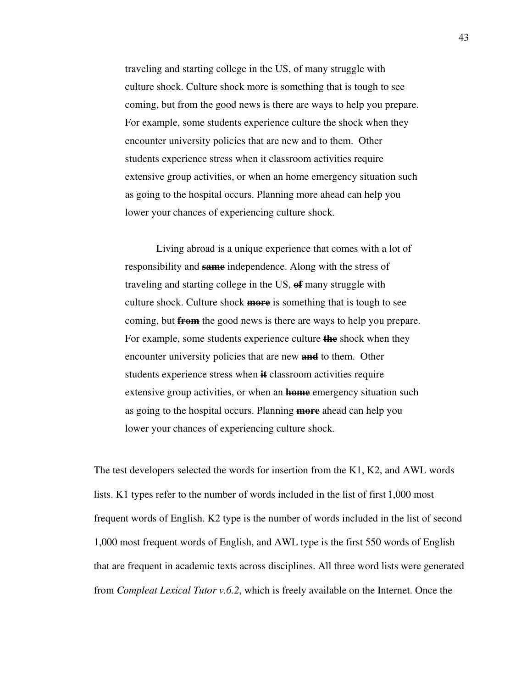traveling and starting college in the US, of many struggle with culture shock. Culture shock more is something that is tough to see coming, but from the good news is there are ways to help you prepare. For example, some students experience culture the shock when they encounter university policies that are new and to them. Other students experience stress when it classroom activities require extensive group activities, or when an home emergency situation such as going to the hospital occurs. Planning more ahead can help you lower your chances of experiencing culture shock.

Living abroad is a unique experience that comes with a lot of responsibility and **same** independence. Along with the stress of traveling and starting college in the US, **of** many struggle with culture shock. Culture shock **more** is something that is tough to see coming, but **from** the good news is there are ways to help you prepare. For example, some students experience culture **the** shock when they encounter university policies that are new **and** to them. Other students experience stress when **it** classroom activities require extensive group activities, or when an **home** emergency situation such as going to the hospital occurs. Planning **more** ahead can help you lower your chances of experiencing culture shock.

The test developers selected the words for insertion from the K1, K2, and AWL words lists. K1 types refer to the number of words included in the list of first 1,000 most frequent words of English. K2 type is the number of words included in the list of second 1,000 most frequent words of English, and AWL type is the first 550 words of English that are frequent in academic texts across disciplines. All three word lists were generated from *Compleat Lexical Tutor v.6.2*, which is freely available on the Internet. Once the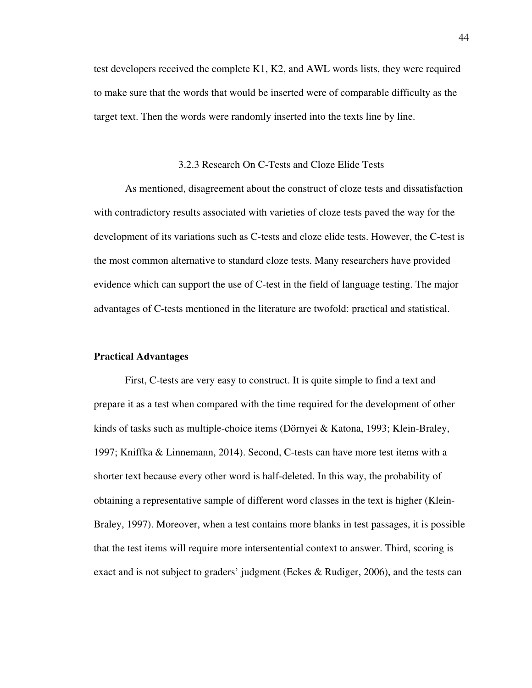test developers received the complete K1, K2, and AWL words lists, they were required to make sure that the words that would be inserted were of comparable difficulty as the target text. Then the words were randomly inserted into the texts line by line.

### 3.2.3 Research On C-Tests and Cloze Elide Tests

As mentioned, disagreement about the construct of cloze tests and dissatisfaction with contradictory results associated with varieties of cloze tests paved the way for the development of its variations such as C-tests and cloze elide tests. However, the C-test is the most common alternative to standard cloze tests. Many researchers have provided evidence which can support the use of C-test in the field of language testing. The major advantages of C-tests mentioned in the literature are twofold: practical and statistical.

#### **Practical Advantages**

First, C-tests are very easy to construct. It is quite simple to find a text and prepare it as a test when compared with the time required for the development of other kinds of tasks such as multiple-choice items (Dörnyei & Katona, 1993; Klein-Braley, 1997; Kniffka & Linnemann, 2014). Second, C-tests can have more test items with a shorter text because every other word is half-deleted. In this way, the probability of obtaining a representative sample of different word classes in the text is higher (Klein-Braley, 1997). Moreover, when a test contains more blanks in test passages, it is possible that the test items will require more intersentential context to answer. Third, scoring is exact and is not subject to graders' judgment (Eckes & Rudiger, 2006), and the tests can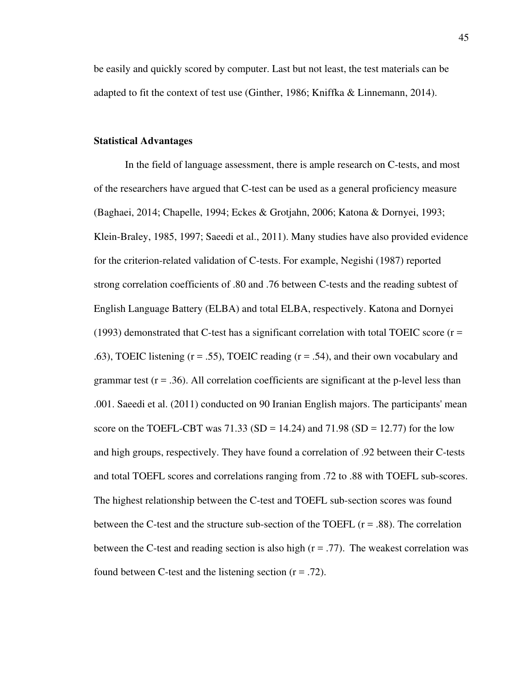be easily and quickly scored by computer. Last but not least, the test materials can be adapted to fit the context of test use (Ginther, 1986; Kniffka & Linnemann, 2014).

# **Statistical Advantages**

In the field of language assessment, there is ample research on C-tests, and most of the researchers have argued that C-test can be used as a general proficiency measure (Baghaei, 2014; Chapelle, 1994; Eckes & Grotjahn, 2006; Katona & Dornyei, 1993; Klein-Braley, 1985, 1997; Saeedi et al., 2011). Many studies have also provided evidence for the criterion-related validation of C-tests. For example, Negishi (1987) reported strong correlation coefficients of .80 and .76 between C-tests and the reading subtest of English Language Battery (ELBA) and total ELBA, respectively. Katona and Dornyei  $(1993)$  demonstrated that C-test has a significant correlation with total TOEIC score ( $r =$ .63), TOEIC listening  $(r = .55)$ , TOEIC reading  $(r = .54)$ , and their own vocabulary and grammar test  $(r = .36)$ . All correlation coefficients are significant at the p-level less than .001. Saeedi et al. (2011) conducted on 90 Iranian English majors. The participants' mean score on the TOEFL-CBT was  $71.33$  (SD = 14.24) and  $71.98$  (SD = 12.77) for the low and high groups, respectively. They have found a correlation of .92 between their C-tests and total TOEFL scores and correlations ranging from .72 to .88 with TOEFL sub-scores. The highest relationship between the C-test and TOEFL sub-section scores was found between the C-test and the structure sub-section of the TOEFL  $(r = .88)$ . The correlation between the C-test and reading section is also high  $(r = .77)$ . The weakest correlation was found between C-test and the listening section  $(r = .72)$ .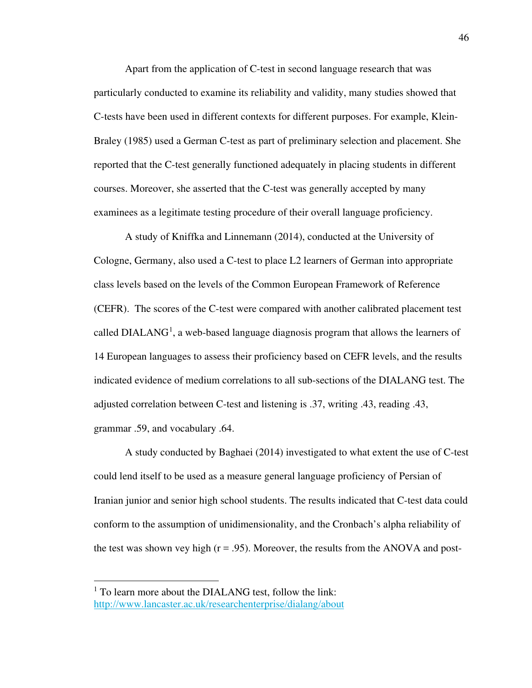Apart from the application of C-test in second language research that was particularly conducted to examine its reliability and validity, many studies showed that C-tests have been used in different contexts for different purposes. For example, Klein-Braley (1985) used a German C-test as part of preliminary selection and placement. She reported that the C-test generally functioned adequately in placing students in different courses. Moreover, she asserted that the C-test was generally accepted by many examinees as a legitimate testing procedure of their overall language proficiency.

A study of Kniffka and Linnemann (2014), conducted at the University of Cologne, Germany, also used a C-test to place L2 learners of German into appropriate class levels based on the levels of the Common European Framework of Reference (CEFR). The scores of the C-test were compared with another calibrated placement test called  $DIALANG<sup>1</sup>$ , a web-based language diagnosis program that allows the learners of 14 European languages to assess their proficiency based on CEFR levels, and the results indicated evidence of medium correlations to all sub-sections of the DIALANG test. The adjusted correlation between C-test and listening is .37, writing .43, reading .43, grammar .59, and vocabulary .64.

A study conducted by Baghaei (2014) investigated to what extent the use of C-test could lend itself to be used as a measure general language proficiency of Persian of Iranian junior and senior high school students. The results indicated that C-test data could conform to the assumption of unidimensionality, and the Cronbach's alpha reliability of the test was shown vey high  $(r = .95)$ . Moreover, the results from the ANOVA and post-

<u>.</u>

<sup>&</sup>lt;sup>1</sup> To learn more about the DIALANG test, follow the link: http://www.lancaster.ac.uk/researchenterprise/dialang/about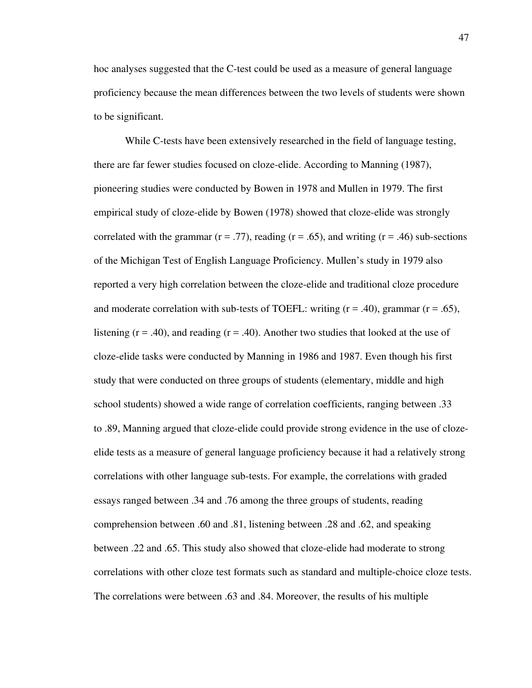hoc analyses suggested that the C-test could be used as a measure of general language proficiency because the mean differences between the two levels of students were shown to be significant.

While C-tests have been extensively researched in the field of language testing, there are far fewer studies focused on cloze-elide. According to Manning (1987), pioneering studies were conducted by Bowen in 1978 and Mullen in 1979. The first empirical study of cloze-elide by Bowen (1978) showed that cloze-elide was strongly correlated with the grammar ( $r = .77$ ), reading ( $r = .65$ ), and writing ( $r = .46$ ) sub-sections of the Michigan Test of English Language Proficiency. Mullen's study in 1979 also reported a very high correlation between the cloze-elide and traditional cloze procedure and moderate correlation with sub-tests of TOEFL: writing  $(r = .40)$ , grammar  $(r = .65)$ , listening  $(r = .40)$ , and reading  $(r = .40)$ . Another two studies that looked at the use of cloze-elide tasks were conducted by Manning in 1986 and 1987. Even though his first study that were conducted on three groups of students (elementary, middle and high school students) showed a wide range of correlation coefficients, ranging between .33 to .89, Manning argued that cloze-elide could provide strong evidence in the use of clozeelide tests as a measure of general language proficiency because it had a relatively strong correlations with other language sub-tests. For example, the correlations with graded essays ranged between .34 and .76 among the three groups of students, reading comprehension between .60 and .81, listening between .28 and .62, and speaking between .22 and .65. This study also showed that cloze-elide had moderate to strong correlations with other cloze test formats such as standard and multiple-choice cloze tests. The correlations were between .63 and .84. Moreover, the results of his multiple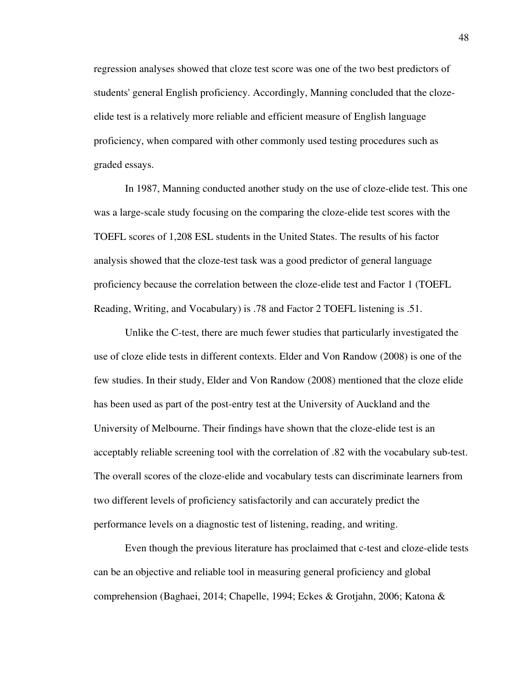regression analyses showed that cloze test score was one of the two best predictors of students' general English proficiency. Accordingly, Manning concluded that the clozeelide test is a relatively more reliable and efficient measure of English language proficiency, when compared with other commonly used testing procedures such as graded essays.

In 1987, Manning conducted another study on the use of cloze-elide test. This one was a large-scale study focusing on the comparing the cloze-elide test scores with the TOEFL scores of 1,208 ESL students in the United States. The results of his factor analysis showed that the cloze-test task was a good predictor of general language proficiency because the correlation between the cloze-elide test and Factor 1 (TOEFL Reading, Writing, and Vocabulary) is .78 and Factor 2 TOEFL listening is .51.

Unlike the C-test, there are much fewer studies that particularly investigated the use of cloze elide tests in different contexts. Elder and Von Randow (2008) is one of the few studies. In their study, Elder and Von Randow (2008) mentioned that the cloze elide has been used as part of the post-entry test at the University of Auckland and the University of Melbourne. Their findings have shown that the cloze-elide test is an acceptably reliable screening tool with the correlation of .82 with the vocabulary sub-test. The overall scores of the cloze-elide and vocabulary tests can discriminate learners from two different levels of proficiency satisfactorily and can accurately predict the performance levels on a diagnostic test of listening, reading, and writing.

Even though the previous literature has proclaimed that c-test and cloze-elide tests can be an objective and reliable tool in measuring general proficiency and global comprehension (Baghaei, 2014; Chapelle, 1994; Eckes & Grotjahn, 2006; Katona &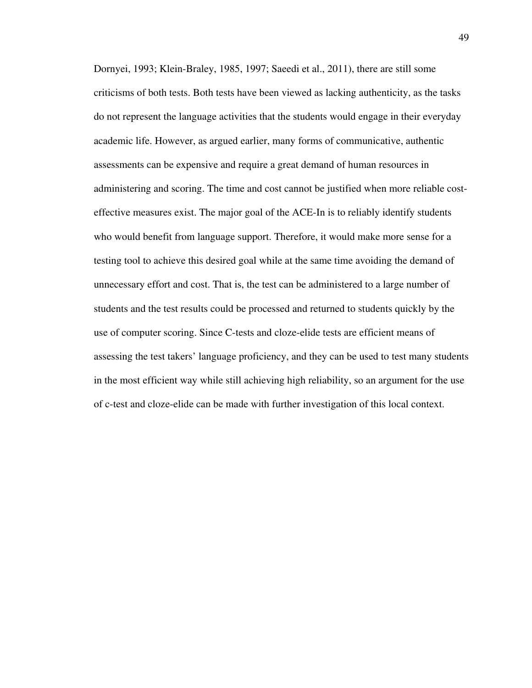Dornyei, 1993; Klein-Braley, 1985, 1997; Saeedi et al., 2011), there are still some criticisms of both tests. Both tests have been viewed as lacking authenticity, as the tasks do not represent the language activities that the students would engage in their everyday academic life. However, as argued earlier, many forms of communicative, authentic assessments can be expensive and require a great demand of human resources in administering and scoring. The time and cost cannot be justified when more reliable costeffective measures exist. The major goal of the ACE-In is to reliably identify students who would benefit from language support. Therefore, it would make more sense for a testing tool to achieve this desired goal while at the same time avoiding the demand of unnecessary effort and cost. That is, the test can be administered to a large number of students and the test results could be processed and returned to students quickly by the use of computer scoring. Since C-tests and cloze-elide tests are efficient means of assessing the test takers' language proficiency, and they can be used to test many students in the most efficient way while still achieving high reliability, so an argument for the use of c-test and cloze-elide can be made with further investigation of this local context.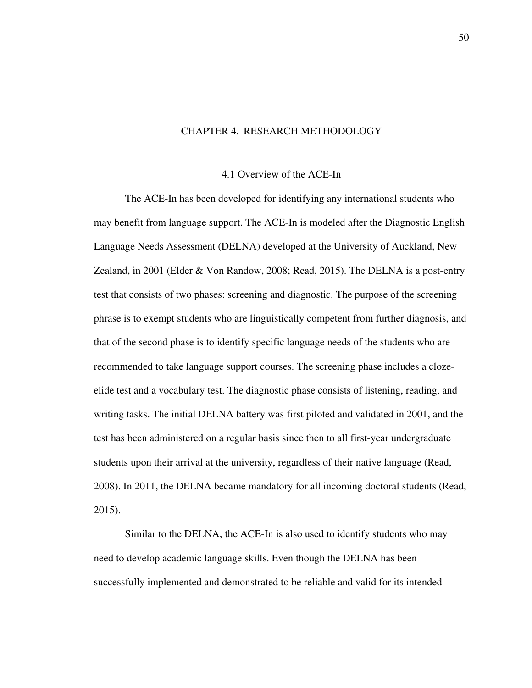#### CHAPTER 4. RESEARCH METHODOLOGY

#### 4.1 Overview of the ACE-In

The ACE-In has been developed for identifying any international students who may benefit from language support. The ACE-In is modeled after the Diagnostic English Language Needs Assessment (DELNA) developed at the University of Auckland, New Zealand, in 2001 (Elder & Von Randow, 2008; Read, 2015). The DELNA is a post-entry test that consists of two phases: screening and diagnostic. The purpose of the screening phrase is to exempt students who are linguistically competent from further diagnosis, and that of the second phase is to identify specific language needs of the students who are recommended to take language support courses. The screening phase includes a clozeelide test and a vocabulary test. The diagnostic phase consists of listening, reading, and writing tasks. The initial DELNA battery was first piloted and validated in 2001, and the test has been administered on a regular basis since then to all first-year undergraduate students upon their arrival at the university, regardless of their native language (Read, 2008). In 2011, the DELNA became mandatory for all incoming doctoral students (Read, 2015).

Similar to the DELNA, the ACE-In is also used to identify students who may need to develop academic language skills. Even though the DELNA has been successfully implemented and demonstrated to be reliable and valid for its intended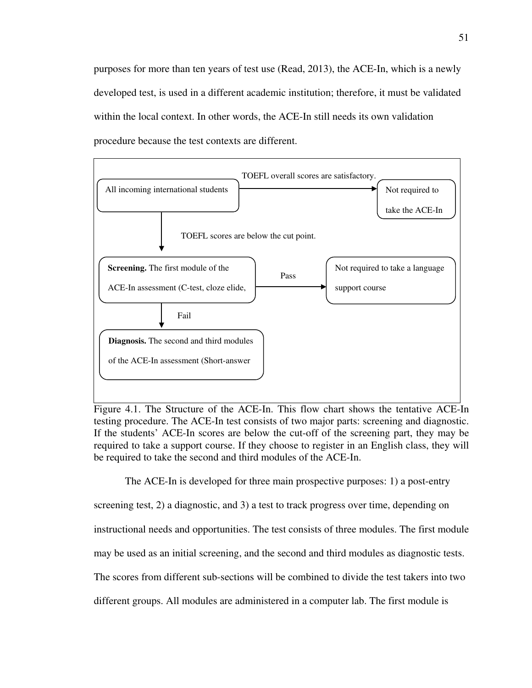purposes for more than ten years of test use (Read, 2013), the ACE-In, which is a newly developed test, is used in a different academic institution; therefore, it must be validated within the local context. In other words, the ACE-In still needs its own validation procedure because the test contexts are different.



Figure 4.1. The Structure of the ACE-In. This flow chart shows the tentative ACE-In testing procedure. The ACE-In test consists of two major parts: screening and diagnostic. If the students' ACE-In scores are below the cut-off of the screening part, they may be required to take a support course. If they choose to register in an English class, they will be required to take the second and third modules of the ACE-In.

The ACE-In is developed for three main prospective purposes: 1) a post-entry screening test, 2) a diagnostic, and 3) a test to track progress over time, depending on instructional needs and opportunities. The test consists of three modules. The first module may be used as an initial screening, and the second and third modules as diagnostic tests. The scores from different sub-sections will be combined to divide the test takers into two different groups. All modules are administered in a computer lab. The first module is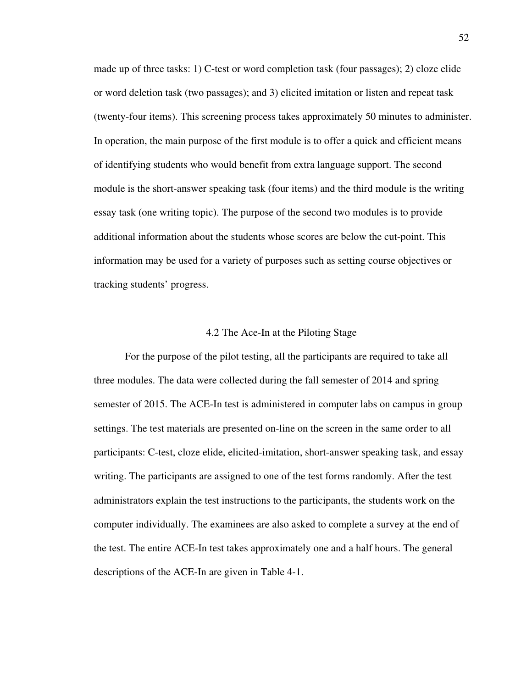made up of three tasks: 1) C-test or word completion task (four passages); 2) cloze elide or word deletion task (two passages); and 3) elicited imitation or listen and repeat task (twenty-four items). This screening process takes approximately 50 minutes to administer. In operation, the main purpose of the first module is to offer a quick and efficient means of identifying students who would benefit from extra language support. The second module is the short-answer speaking task (four items) and the third module is the writing essay task (one writing topic). The purpose of the second two modules is to provide additional information about the students whose scores are below the cut-point. This information may be used for a variety of purposes such as setting course objectives or tracking students' progress.

### 4.2 The Ace-In at the Piloting Stage

For the purpose of the pilot testing, all the participants are required to take all three modules. The data were collected during the fall semester of 2014 and spring semester of 2015. The ACE-In test is administered in computer labs on campus in group settings. The test materials are presented on-line on the screen in the same order to all participants: C-test, cloze elide, elicited-imitation, short-answer speaking task, and essay writing. The participants are assigned to one of the test forms randomly. After the test administrators explain the test instructions to the participants, the students work on the computer individually. The examinees are also asked to complete a survey at the end of the test. The entire ACE-In test takes approximately one and a half hours. The general descriptions of the ACE-In are given in Table 4-1.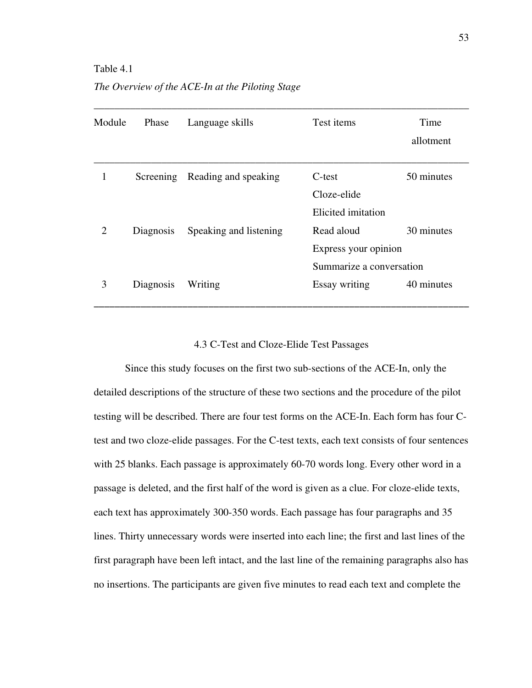#### Table 4.1

*The Overview of the ACE-In at the Piloting Stage* 

| Module                      | Phase     | Language skills        | Test items               | Time<br>allotment |
|-----------------------------|-----------|------------------------|--------------------------|-------------------|
|                             | Screening | Reading and speaking   | C-test                   | 50 minutes        |
|                             |           |                        | Cloze-elide              |                   |
|                             |           |                        | Elicited imitation       |                   |
| $\mathcal{D}_{\mathcal{L}}$ | Diagnosis | Speaking and listening | Read aloud               | 30 minutes        |
|                             |           |                        | Express your opinion     |                   |
|                             |           |                        | Summarize a conversation |                   |
| 3                           | Diagnosis | Writing                | Essay writing            | 40 minutes        |

### 4.3 C-Test and Cloze-Elide Test Passages

Since this study focuses on the first two sub-sections of the ACE-In, only the detailed descriptions of the structure of these two sections and the procedure of the pilot testing will be described. There are four test forms on the ACE-In. Each form has four Ctest and two cloze-elide passages. For the C-test texts, each text consists of four sentences with 25 blanks. Each passage is approximately 60-70 words long. Every other word in a passage is deleted, and the first half of the word is given as a clue. For cloze-elide texts, each text has approximately 300-350 words. Each passage has four paragraphs and 35 lines. Thirty unnecessary words were inserted into each line; the first and last lines of the first paragraph have been left intact, and the last line of the remaining paragraphs also has no insertions. The participants are given five minutes to read each text and complete the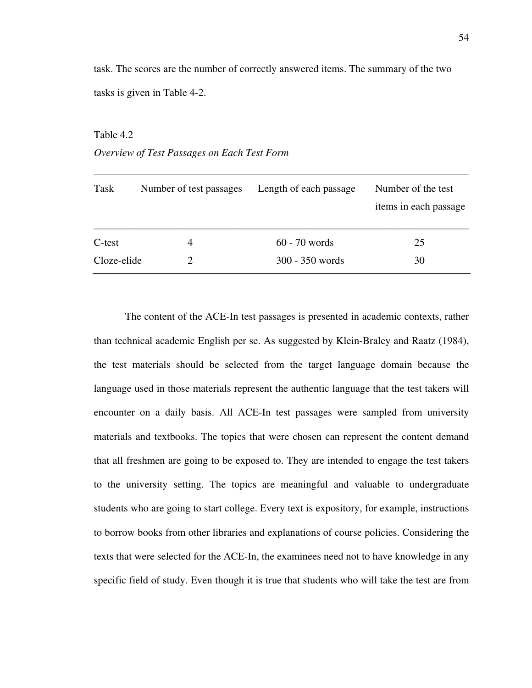task. The scores are the number of correctly answered items. The summary of the two tasks is given in Table 4-2.

# Table 4.2 *Overview of Test Passages on Each Test Form*

| Task        | Number of test passages | Length of each passage | Number of the test<br>items in each passage |
|-------------|-------------------------|------------------------|---------------------------------------------|
| C-test      | $\overline{4}$          | $60 - 70$ words        | 25                                          |
| Cloze-elide |                         | 300 - 350 words        | 30                                          |

The content of the ACE-In test passages is presented in academic contexts, rather than technical academic English per se. As suggested by Klein-Braley and Raatz (1984), the test materials should be selected from the target language domain because the language used in those materials represent the authentic language that the test takers will encounter on a daily basis. All ACE-In test passages were sampled from university materials and textbooks. The topics that were chosen can represent the content demand that all freshmen are going to be exposed to. They are intended to engage the test takers to the university setting. The topics are meaningful and valuable to undergraduate students who are going to start college. Every text is expository, for example, instructions to borrow books from other libraries and explanations of course policies. Considering the texts that were selected for the ACE-In, the examinees need not to have knowledge in any specific field of study. Even though it is true that students who will take the test are from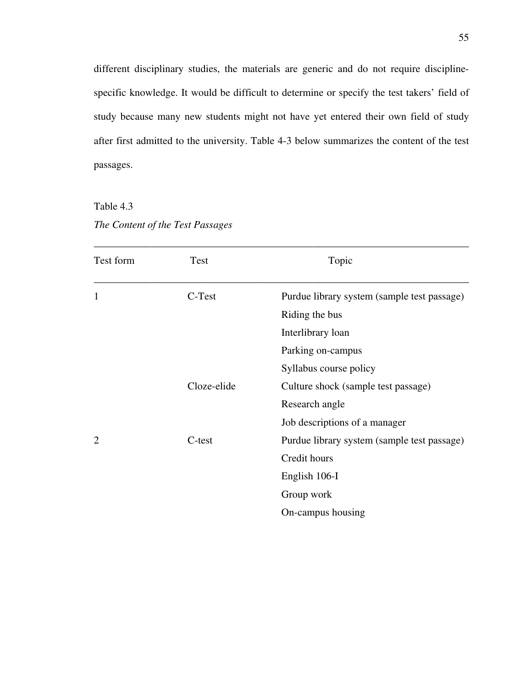different disciplinary studies, the materials are generic and do not require disciplinespecific knowledge. It would be difficult to determine or specify the test takers' field of study because many new students might not have yet entered their own field of study after first admitted to the university. Table 4-3 below summarizes the content of the test passages.

Table 4.3 *The Content of the Test Passages* 

| Test form                   | Test        | Topic                                       |
|-----------------------------|-------------|---------------------------------------------|
| 1                           | C-Test      | Purdue library system (sample test passage) |
|                             |             | Riding the bus                              |
|                             |             | Interlibrary loan                           |
|                             |             | Parking on-campus                           |
|                             |             | Syllabus course policy                      |
|                             | Cloze-elide | Culture shock (sample test passage)         |
|                             |             | Research angle                              |
|                             |             | Job descriptions of a manager               |
| $\mathcal{D}_{\mathcal{L}}$ | C-test      | Purdue library system (sample test passage) |
|                             |             | Credit hours                                |
|                             |             | English 106-I                               |
|                             |             | Group work                                  |
|                             |             | On-campus housing                           |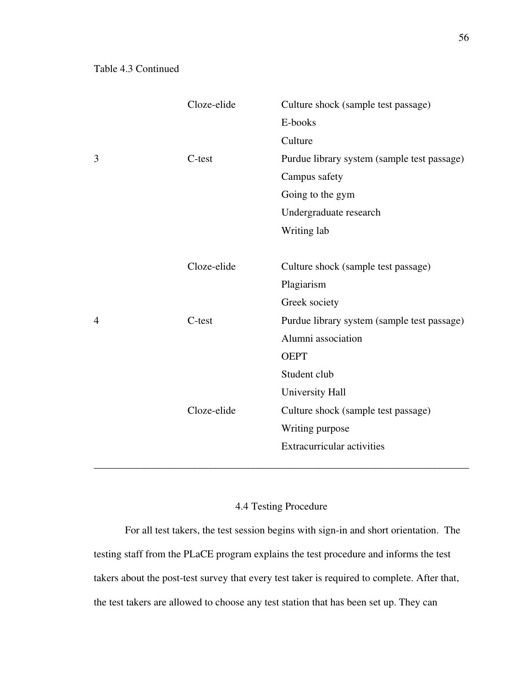|                | Cloze-elide | Culture shock (sample test passage)         |
|----------------|-------------|---------------------------------------------|
|                |             | E-books                                     |
|                |             | Culture                                     |
| 3              | $C$ -test   | Purdue library system (sample test passage) |
|                |             | Campus safety                               |
|                |             | Going to the gym                            |
|                |             | Undergraduate research                      |
|                |             | Writing lab                                 |
|                |             |                                             |
|                | Cloze-elide | Culture shock (sample test passage)         |
|                |             | Plagiarism                                  |
|                |             | Greek society                               |
| $\overline{4}$ | C-test      | Purdue library system (sample test passage) |
|                |             | Alumni association                          |
|                |             | <b>OEPT</b>                                 |
|                |             | Student club                                |
|                |             | University Hall                             |
|                | Cloze-elide | Culture shock (sample test passage)         |
|                |             | Writing purpose                             |
|                |             | <b>Extracurricular activities</b>           |
|                |             |                                             |

# 4.4 Testing Procedure

For all test takers, the test session begins with sign-in and short orientation. The testing staff from the PLaCE program explains the test procedure and informs the test takers about the post-test survey that every test taker is required to complete. After that, the test takers are allowed to choose any test station that has been set up. They can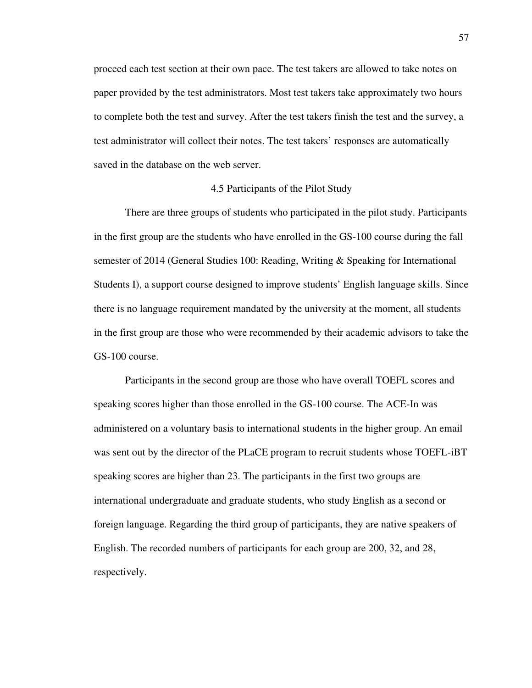proceed each test section at their own pace. The test takers are allowed to take notes on paper provided by the test administrators. Most test takers take approximately two hours to complete both the test and survey. After the test takers finish the test and the survey, a test administrator will collect their notes. The test takers' responses are automatically saved in the database on the web server.

## 4.5 Participants of the Pilot Study

 There are three groups of students who participated in the pilot study. Participants in the first group are the students who have enrolled in the GS-100 course during the fall semester of 2014 (General Studies 100: Reading, Writing & Speaking for International Students I), a support course designed to improve students' English language skills. Since there is no language requirement mandated by the university at the moment, all students in the first group are those who were recommended by their academic advisors to take the GS-100 course.

Participants in the second group are those who have overall TOEFL scores and speaking scores higher than those enrolled in the GS-100 course. The ACE-In was administered on a voluntary basis to international students in the higher group. An email was sent out by the director of the PLaCE program to recruit students whose TOEFL-iBT speaking scores are higher than 23. The participants in the first two groups are international undergraduate and graduate students, who study English as a second or foreign language. Regarding the third group of participants, they are native speakers of English. The recorded numbers of participants for each group are 200, 32, and 28, respectively.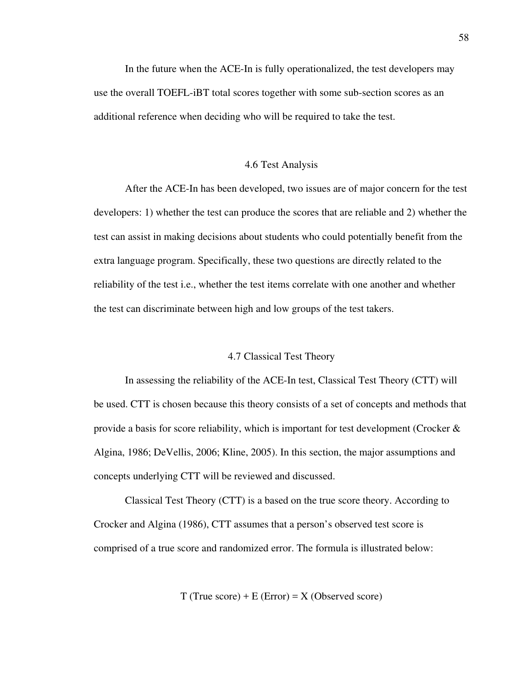In the future when the ACE-In is fully operationalized, the test developers may use the overall TOEFL-iBT total scores together with some sub-section scores as an additional reference when deciding who will be required to take the test.

#### 4.6 Test Analysis

After the ACE-In has been developed, two issues are of major concern for the test developers: 1) whether the test can produce the scores that are reliable and 2) whether the test can assist in making decisions about students who could potentially benefit from the extra language program. Specifically, these two questions are directly related to the reliability of the test i.e., whether the test items correlate with one another and whether the test can discriminate between high and low groups of the test takers.

#### 4.7 Classical Test Theory

In assessing the reliability of the ACE-In test, Classical Test Theory (CTT) will be used. CTT is chosen because this theory consists of a set of concepts and methods that provide a basis for score reliability, which is important for test development (Crocker  $\&$ Algina, 1986; DeVellis, 2006; Kline, 2005). In this section, the major assumptions and concepts underlying CTT will be reviewed and discussed.

Classical Test Theory (CTT) is a based on the true score theory. According to Crocker and Algina (1986), CTT assumes that a person's observed test score is comprised of a true score and randomized error. The formula is illustrated below:

 $T$  (True score) + E (Error) = X (Observed score)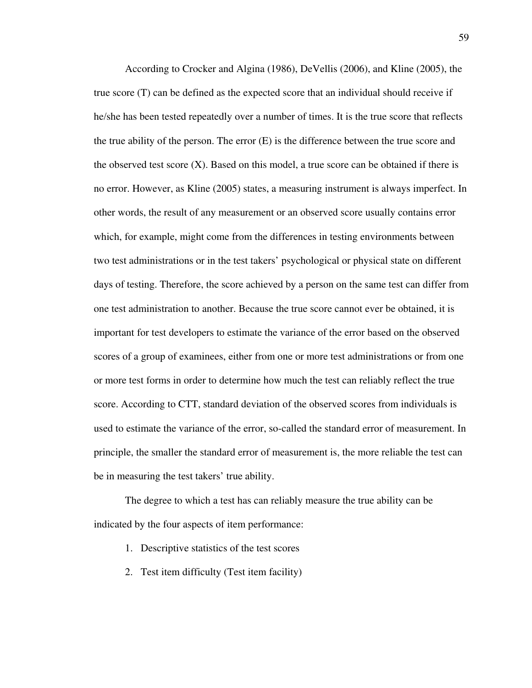According to Crocker and Algina (1986), DeVellis (2006), and Kline (2005), the true score (T) can be defined as the expected score that an individual should receive if he/she has been tested repeatedly over a number of times. It is the true score that reflects the true ability of the person. The error (E) is the difference between the true score and the observed test score  $(X)$ . Based on this model, a true score can be obtained if there is no error. However, as Kline (2005) states, a measuring instrument is always imperfect. In other words, the result of any measurement or an observed score usually contains error which, for example, might come from the differences in testing environments between two test administrations or in the test takers' psychological or physical state on different days of testing. Therefore, the score achieved by a person on the same test can differ from one test administration to another. Because the true score cannot ever be obtained, it is important for test developers to estimate the variance of the error based on the observed scores of a group of examinees, either from one or more test administrations or from one or more test forms in order to determine how much the test can reliably reflect the true score. According to CTT, standard deviation of the observed scores from individuals is used to estimate the variance of the error, so-called the standard error of measurement. In principle, the smaller the standard error of measurement is, the more reliable the test can be in measuring the test takers' true ability.

The degree to which a test has can reliably measure the true ability can be indicated by the four aspects of item performance:

- 1. Descriptive statistics of the test scores
- 2. Test item difficulty (Test item facility)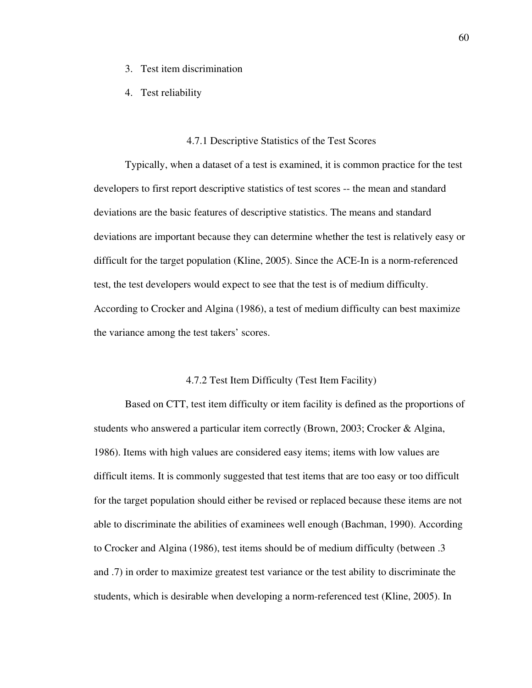- 3. Test item discrimination
- 4. Test reliability

#### 4.7.1 Descriptive Statistics of the Test Scores

Typically, when a dataset of a test is examined, it is common practice for the test developers to first report descriptive statistics of test scores -- the mean and standard deviations are the basic features of descriptive statistics. The means and standard deviations are important because they can determine whether the test is relatively easy or difficult for the target population (Kline, 2005). Since the ACE-In is a norm-referenced test, the test developers would expect to see that the test is of medium difficulty. According to Crocker and Algina (1986), a test of medium difficulty can best maximize the variance among the test takers' scores.

#### 4.7.2 Test Item Difficulty (Test Item Facility)

Based on CTT, test item difficulty or item facility is defined as the proportions of students who answered a particular item correctly (Brown, 2003; Crocker & Algina, 1986). Items with high values are considered easy items; items with low values are difficult items. It is commonly suggested that test items that are too easy or too difficult for the target population should either be revised or replaced because these items are not able to discriminate the abilities of examinees well enough (Bachman, 1990). According to Crocker and Algina (1986), test items should be of medium difficulty (between .3 and .7) in order to maximize greatest test variance or the test ability to discriminate the students, which is desirable when developing a norm-referenced test (Kline, 2005). In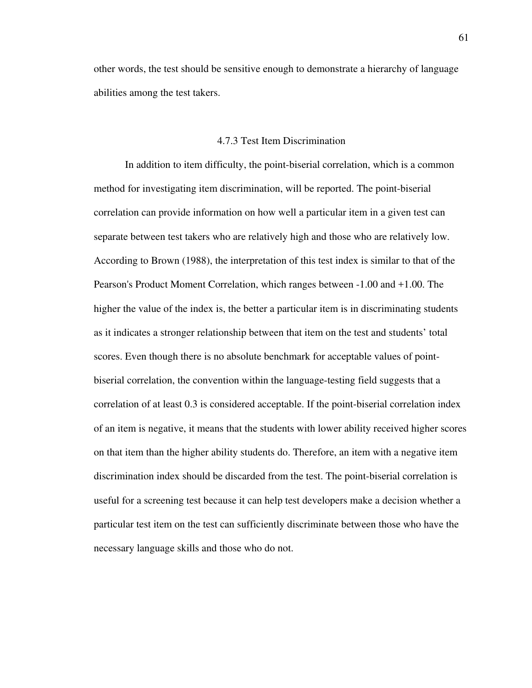other words, the test should be sensitive enough to demonstrate a hierarchy of language abilities among the test takers.

## 4.7.3 Test Item Discrimination

In addition to item difficulty, the point-biserial correlation, which is a common method for investigating item discrimination, will be reported. The point-biserial correlation can provide information on how well a particular item in a given test can separate between test takers who are relatively high and those who are relatively low. According to Brown (1988), the interpretation of this test index is similar to that of the Pearson's Product Moment Correlation, which ranges between -1.00 and +1.00. The higher the value of the index is, the better a particular item is in discriminating students as it indicates a stronger relationship between that item on the test and students' total scores. Even though there is no absolute benchmark for acceptable values of pointbiserial correlation, the convention within the language-testing field suggests that a correlation of at least 0.3 is considered acceptable. If the point-biserial correlation index of an item is negative, it means that the students with lower ability received higher scores on that item than the higher ability students do. Therefore, an item with a negative item discrimination index should be discarded from the test. The point-biserial correlation is useful for a screening test because it can help test developers make a decision whether a particular test item on the test can sufficiently discriminate between those who have the necessary language skills and those who do not.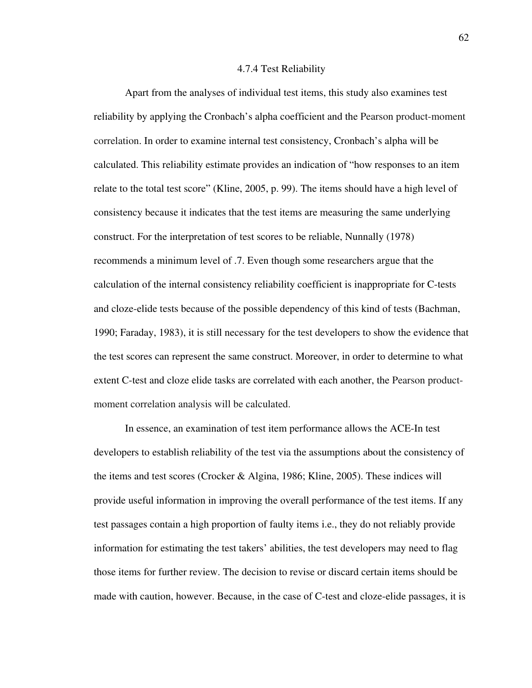#### 4.7.4 Test Reliability

Apart from the analyses of individual test items, this study also examines test reliability by applying the Cronbach's alpha coefficient and the Pearson product-moment correlation. In order to examine internal test consistency, Cronbach's alpha will be calculated. This reliability estimate provides an indication of "how responses to an item relate to the total test score" (Kline, 2005, p. 99). The items should have a high level of consistency because it indicates that the test items are measuring the same underlying construct. For the interpretation of test scores to be reliable, Nunnally (1978) recommends a minimum level of .7. Even though some researchers argue that the calculation of the internal consistency reliability coefficient is inappropriate for C-tests and cloze-elide tests because of the possible dependency of this kind of tests (Bachman, 1990; Faraday, 1983), it is still necessary for the test developers to show the evidence that the test scores can represent the same construct. Moreover, in order to determine to what extent C-test and cloze elide tasks are correlated with each another, the Pearson productmoment correlation analysis will be calculated.

In essence, an examination of test item performance allows the ACE-In test developers to establish reliability of the test via the assumptions about the consistency of the items and test scores (Crocker & Algina, 1986; Kline, 2005). These indices will provide useful information in improving the overall performance of the test items. If any test passages contain a high proportion of faulty items i.e., they do not reliably provide information for estimating the test takers' abilities, the test developers may need to flag those items for further review. The decision to revise or discard certain items should be made with caution, however. Because, in the case of C-test and cloze-elide passages, it is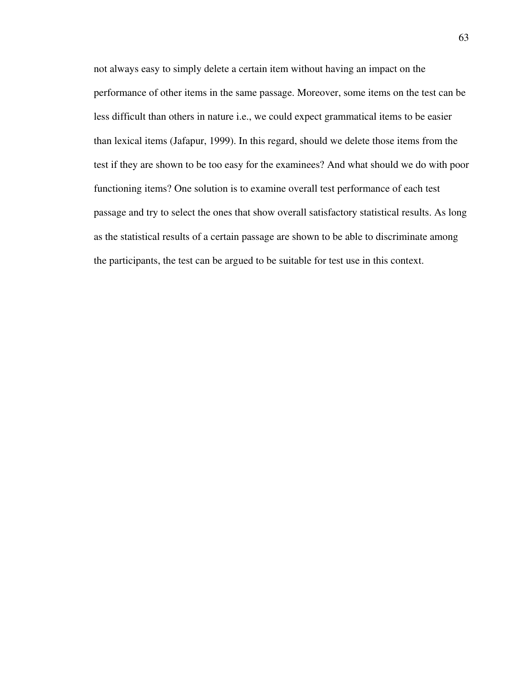not always easy to simply delete a certain item without having an impact on the performance of other items in the same passage. Moreover, some items on the test can be less difficult than others in nature i.e., we could expect grammatical items to be easier than lexical items (Jafapur, 1999). In this regard, should we delete those items from the test if they are shown to be too easy for the examinees? And what should we do with poor functioning items? One solution is to examine overall test performance of each test passage and try to select the ones that show overall satisfactory statistical results. As long as the statistical results of a certain passage are shown to be able to discriminate among the participants, the test can be argued to be suitable for test use in this context.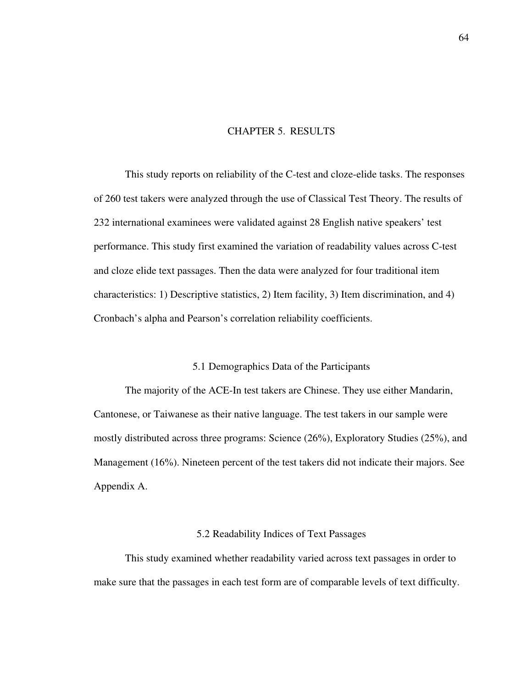## CHAPTER 5. RESULTS

This study reports on reliability of the C-test and cloze-elide tasks. The responses of 260 test takers were analyzed through the use of Classical Test Theory. The results of 232 international examinees were validated against 28 English native speakers' test performance. This study first examined the variation of readability values across C-test and cloze elide text passages. Then the data were analyzed for four traditional item characteristics: 1) Descriptive statistics, 2) Item facility, 3) Item discrimination, and 4) Cronbach's alpha and Pearson's correlation reliability coefficients.

### 5.1 Demographics Data of the Participants

The majority of the ACE-In test takers are Chinese. They use either Mandarin, Cantonese, or Taiwanese as their native language. The test takers in our sample were mostly distributed across three programs: Science (26%), Exploratory Studies (25%), and Management (16%). Nineteen percent of the test takers did not indicate their majors. See Appendix A.

#### 5.2 Readability Indices of Text Passages

This study examined whether readability varied across text passages in order to make sure that the passages in each test form are of comparable levels of text difficulty.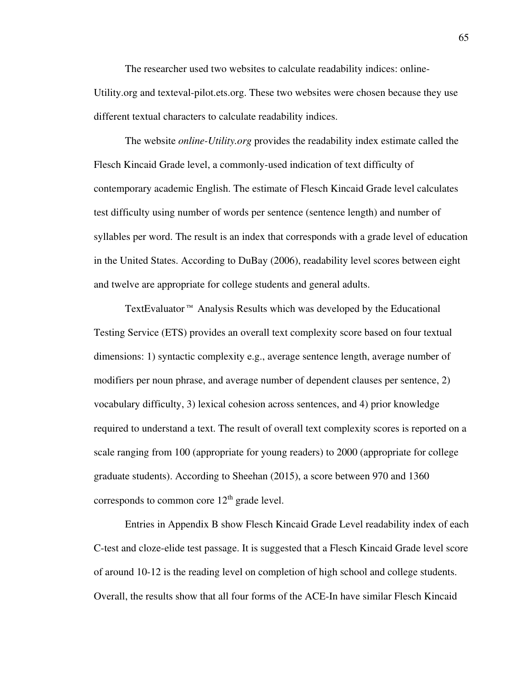The researcher used two websites to calculate readability indices: online-Utility.org and texteval-pilot.ets.org. These two websites were chosen because they use different textual characters to calculate readability indices.

The website *online-Utility.org* provides the readability index estimate called the Flesch Kincaid Grade level, a commonly-used indication of text difficulty of contemporary academic English. The estimate of Flesch Kincaid Grade level calculates test difficulty using number of words per sentence (sentence length) and number of syllables per word. The result is an index that corresponds with a grade level of education in the United States. According to DuBay (2006), readability level scores between eight and twelve are appropriate for college students and general adults.

TextEvaluator™ Analysis Results which was developed by the Educational Testing Service (ETS) provides an overall text complexity score based on four textual dimensions: 1) syntactic complexity e.g., average sentence length, average number of modifiers per noun phrase, and average number of dependent clauses per sentence, 2) vocabulary difficulty, 3) lexical cohesion across sentences, and 4) prior knowledge required to understand a text. The result of overall text complexity scores is reported on a scale ranging from 100 (appropriate for young readers) to 2000 (appropriate for college graduate students). According to Sheehan (2015), a score between 970 and 1360 corresponds to common core  $12<sup>th</sup>$  grade level.

Entries in Appendix B show Flesch Kincaid Grade Level readability index of each C-test and cloze-elide test passage. It is suggested that a Flesch Kincaid Grade level score of around 10-12 is the reading level on completion of high school and college students. Overall, the results show that all four forms of the ACE-In have similar Flesch Kincaid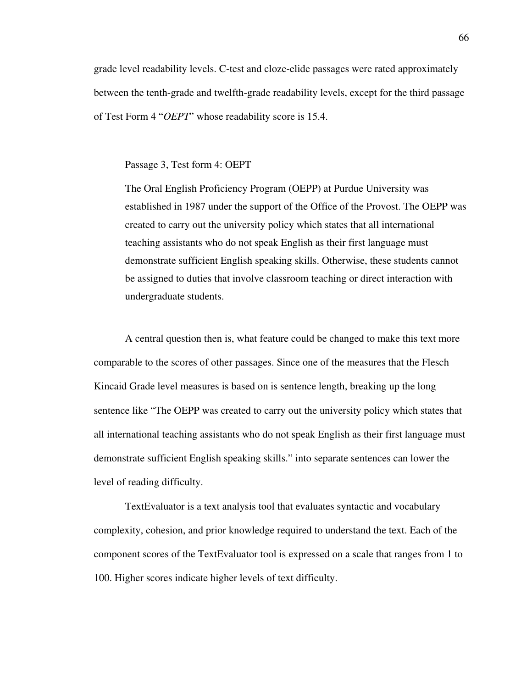grade level readability levels. C-test and cloze-elide passages were rated approximately between the tenth-grade and twelfth-grade readability levels, except for the third passage of Test Form 4 "*OEPT*" whose readability score is 15.4.

## Passage 3, Test form 4: OEPT

The Oral English Proficiency Program (OEPP) at Purdue University was established in 1987 under the support of the Office of the Provost. The OEPP was created to carry out the university policy which states that all international teaching assistants who do not speak English as their first language must demonstrate sufficient English speaking skills. Otherwise, these students cannot be assigned to duties that involve classroom teaching or direct interaction with undergraduate students.

A central question then is, what feature could be changed to make this text more comparable to the scores of other passages. Since one of the measures that the Flesch Kincaid Grade level measures is based on is sentence length, breaking up the long sentence like "The OEPP was created to carry out the university policy which states that all international teaching assistants who do not speak English as their first language must demonstrate sufficient English speaking skills." into separate sentences can lower the level of reading difficulty.

TextEvaluator is a text analysis tool that evaluates syntactic and vocabulary complexity, cohesion, and prior knowledge required to understand the text. Each of the component scores of the TextEvaluator tool is expressed on a scale that ranges from 1 to 100. Higher scores indicate higher levels of text difficulty.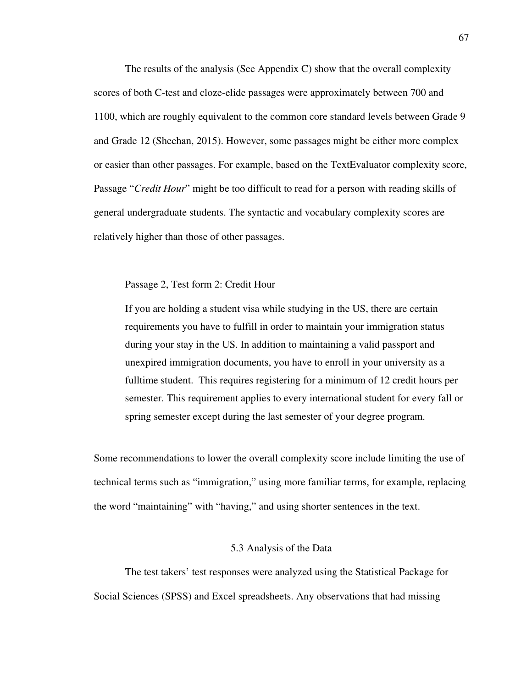The results of the analysis (See Appendix C) show that the overall complexity scores of both C-test and cloze-elide passages were approximately between 700 and 1100, which are roughly equivalent to the common core standard levels between Grade 9 and Grade 12 (Sheehan, 2015). However, some passages might be either more complex or easier than other passages. For example, based on the TextEvaluator complexity score, Passage "*Credit Hour*" might be too difficult to read for a person with reading skills of general undergraduate students. The syntactic and vocabulary complexity scores are relatively higher than those of other passages.

Passage 2, Test form 2: Credit Hour

If you are holding a student visa while studying in the US, there are certain requirements you have to fulfill in order to maintain your immigration status during your stay in the US. In addition to maintaining a valid passport and unexpired immigration documents, you have to enroll in your university as a fulltime student. This requires registering for a minimum of 12 credit hours per semester. This requirement applies to every international student for every fall or spring semester except during the last semester of your degree program.

Some recommendations to lower the overall complexity score include limiting the use of technical terms such as "immigration," using more familiar terms, for example, replacing the word "maintaining" with "having," and using shorter sentences in the text.

#### 5.3 Analysis of the Data

The test takers' test responses were analyzed using the Statistical Package for Social Sciences (SPSS) and Excel spreadsheets. Any observations that had missing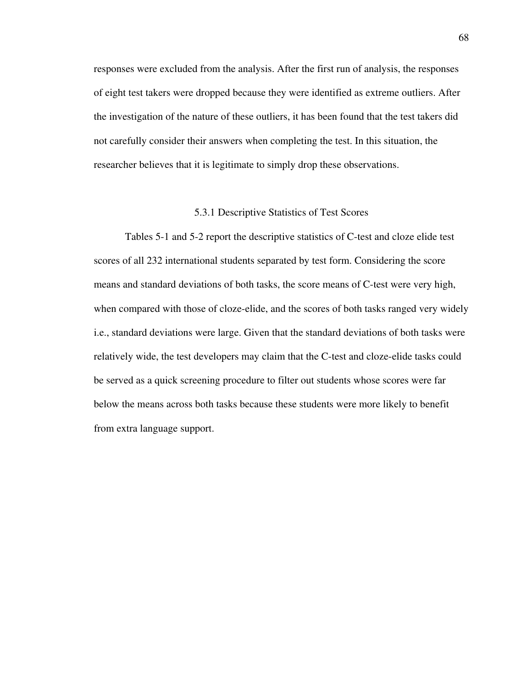responses were excluded from the analysis. After the first run of analysis, the responses of eight test takers were dropped because they were identified as extreme outliers. After the investigation of the nature of these outliers, it has been found that the test takers did not carefully consider their answers when completing the test. In this situation, the researcher believes that it is legitimate to simply drop these observations.

### 5.3.1 Descriptive Statistics of Test Scores

Tables 5-1 and 5-2 report the descriptive statistics of C-test and cloze elide test scores of all 232 international students separated by test form. Considering the score means and standard deviations of both tasks, the score means of C-test were very high, when compared with those of cloze-elide, and the scores of both tasks ranged very widely i.e., standard deviations were large. Given that the standard deviations of both tasks were relatively wide, the test developers may claim that the C-test and cloze-elide tasks could be served as a quick screening procedure to filter out students whose scores were far below the means across both tasks because these students were more likely to benefit from extra language support.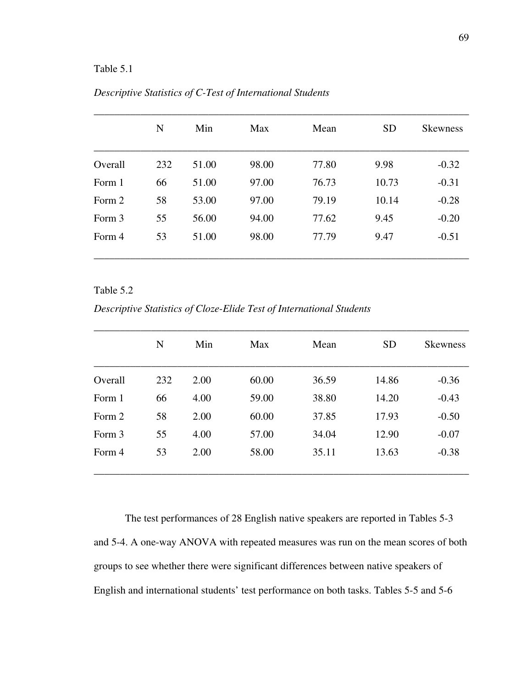# Table 5.1

|         | N   | Min   | Max   | Mean  | <b>SD</b> | <b>Skewness</b> |
|---------|-----|-------|-------|-------|-----------|-----------------|
|         |     |       |       |       |           |                 |
| Overall | 232 | 51.00 | 98.00 | 77.80 | 9.98      | $-0.32$         |
| Form 1  | 66  | 51.00 | 97.00 | 76.73 | 10.73     | $-0.31$         |
| Form 2  | 58  | 53.00 | 97.00 | 79.19 | 10.14     | $-0.28$         |
| Form 3  | 55  | 56.00 | 94.00 | 77.62 | 9.45      | $-0.20$         |
| Form 4  | 53  | 51.00 | 98.00 | 77.79 | 9.47      | $-0.51$         |
|         |     |       |       |       |           |                 |

# *Descriptive Statistics of C-Test of International Students*

## Table 5.2

*Descriptive Statistics of Cloze-Elide Test of International Students* 

|         | N   | Min  | Max   | Mean  | <b>SD</b> | <b>Skewness</b> |
|---------|-----|------|-------|-------|-----------|-----------------|
| Overall | 232 | 2.00 | 60.00 | 36.59 | 14.86     | $-0.36$         |
| Form 1  | 66  | 4.00 | 59.00 | 38.80 | 14.20     | $-0.43$         |
| Form 2  | 58  | 2.00 | 60.00 | 37.85 | 17.93     | $-0.50$         |
| Form 3  | 55  | 4.00 | 57.00 | 34.04 | 12.90     | $-0.07$         |
| Form 4  | 53  | 2.00 | 58.00 | 35.11 | 13.63     | $-0.38$         |

The test performances of 28 English native speakers are reported in Tables 5-3 and 5-4. A one-way ANOVA with repeated measures was run on the mean scores of both groups to see whether there were significant differences between native speakers of English and international students' test performance on both tasks. Tables 5-5 and 5-6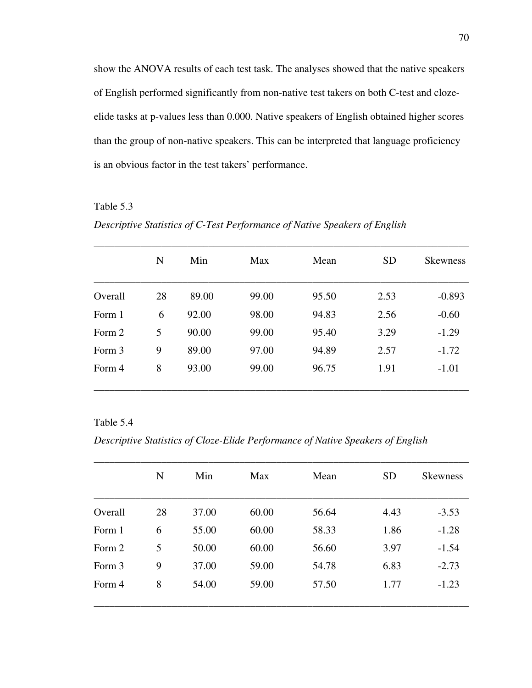show the ANOVA results of each test task. The analyses showed that the native speakers of English performed significantly from non-native test takers on both C-test and clozeelide tasks at p-values less than 0.000. Native speakers of English obtained higher scores than the group of non-native speakers. This can be interpreted that language proficiency is an obvious factor in the test takers' performance.

# Table 5.3

*Descriptive Statistics of C-Test Performance of Native Speakers of English* 

|         | N  | Min   | Max   | Mean  | <b>SD</b> | <b>Skewness</b> |
|---------|----|-------|-------|-------|-----------|-----------------|
| Overall |    |       | 99.00 |       |           |                 |
|         | 28 | 89.00 |       | 95.50 | 2.53      | $-0.893$        |
| Form 1  | 6  | 92.00 | 98.00 | 94.83 | 2.56      | $-0.60$         |
| Form 2  | 5  | 90.00 | 99.00 | 95.40 | 3.29      | $-1.29$         |
| Form 3  | 9  | 89.00 | 97.00 | 94.89 | 2.57      | $-1.72$         |
| Form 4  | 8  | 93.00 | 99.00 | 96.75 | 1.91      | $-1.01$         |

### Table 5.4

*Descriptive Statistics of Cloze-Elide Performance of Native Speakers of English* 

|         | N  | Min   | Max   | Mean  | <b>SD</b> | <b>Skewness</b> |
|---------|----|-------|-------|-------|-----------|-----------------|
|         |    |       |       |       |           |                 |
| Overall | 28 | 37.00 | 60.00 | 56.64 | 4.43      | $-3.53$         |
| Form 1  | 6  | 55.00 | 60.00 | 58.33 | 1.86      | $-1.28$         |
| Form 2  | 5  | 50.00 | 60.00 | 56.60 | 3.97      | $-1.54$         |
| Form 3  | 9  | 37.00 | 59.00 | 54.78 | 6.83      | $-2.73$         |
| Form 4  | 8  | 54.00 | 59.00 | 57.50 | 1.77      | $-1.23$         |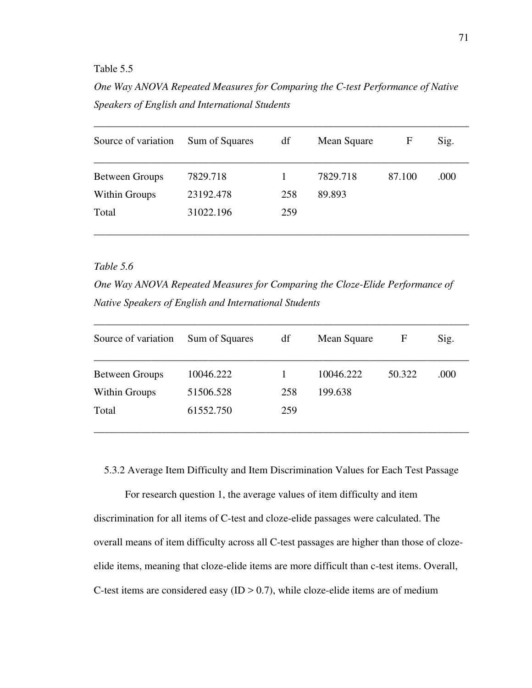## Table 5.5

*One Way ANOVA Repeated Measures for Comparing the C-test Performance of Native Speakers of English and International Students* 

| Source of variation   | Sum of Squares | df  | Mean Square | F      | Sig. |
|-----------------------|----------------|-----|-------------|--------|------|
| <b>Between Groups</b> | 7829.718       |     | 7829.718    | 87.100 | .000 |
| Within Groups         | 23192.478      | 258 | 89.893      |        |      |
| Total                 | 31022.196      | 259 |             |        |      |

# *Table 5.6*

*One Way ANOVA Repeated Measures for Comparing the Cloze-Elide Performance of Native Speakers of English and International Students* 

| Source of variation   | Sum of Squares | df  | Mean Square | F      | Sig. |
|-----------------------|----------------|-----|-------------|--------|------|
| <b>Between Groups</b> | 10046.222      |     | 10046.222   | 50.322 | .000 |
| <b>Within Groups</b>  | 51506.528      | 258 | 199.638     |        |      |
| Total                 | 61552.750      | 259 |             |        |      |

5.3.2 Average Item Difficulty and Item Discrimination Values for Each Test Passage

For research question 1, the average values of item difficulty and item discrimination for all items of C-test and cloze-elide passages were calculated. The overall means of item difficulty across all C-test passages are higher than those of clozeelide items, meaning that cloze-elide items are more difficult than c-test items. Overall, C-test items are considered easy  $(ID > 0.7)$ , while cloze-elide items are of medium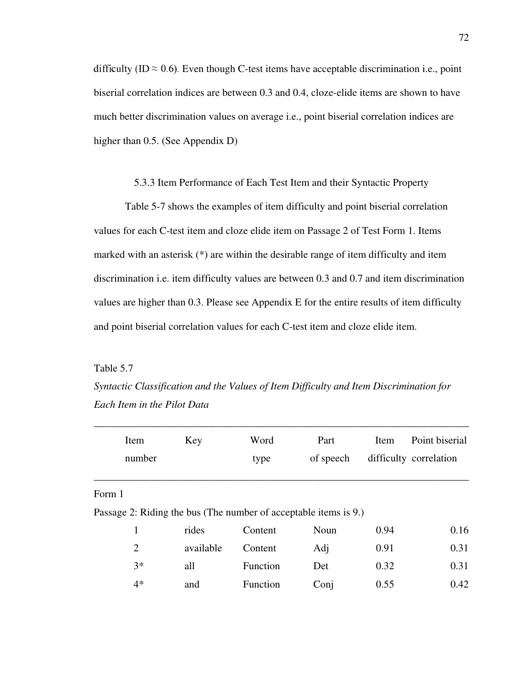difficulty (ID  $\approx$  0.6). Even though C-test items have acceptable discrimination i.e., point biserial correlation indices are between 0.3 and 0.4, cloze-elide items are shown to have much better discrimination values on average i.e., point biserial correlation indices are higher than 0.5. (See Appendix D)

## 5.3.3 Item Performance of Each Test Item and their Syntactic Property

Table 5-7 shows the examples of item difficulty and point biserial correlation values for each C-test item and cloze elide item on Passage 2 of Test Form 1. Items marked with an asterisk (\*) are within the desirable range of item difficulty and item discrimination i.e. item difficulty values are between 0.3 and 0.7 and item discrimination values are higher than 0.3. Please see Appendix E for the entire results of item difficulty and point biserial correlation values for each C-test item and cloze elide item.

Table 5.7

*Syntactic Classification and the Values of Item Difficulty and Item Discrimination for Each Item in the Pilot Data* 

|        | Item<br>number | Key       | Word<br>type                                                     | Part<br>of speech | Item | Point biserial<br>difficulty correlation |
|--------|----------------|-----------|------------------------------------------------------------------|-------------------|------|------------------------------------------|
| Form 1 |                |           |                                                                  |                   |      |                                          |
|        |                |           | Passage 2: Riding the bus (The number of acceptable items is 9.) |                   |      |                                          |
|        | 1              | rides     | Content                                                          | Noun              | 0.94 | 0.16                                     |
|        | $\overline{2}$ | available | Content                                                          | Adj               | 0.91 | 0.31                                     |
|        | $3*$           | all       | Function                                                         | Det               | 0.32 | 0.31                                     |
|        | $4*$           | and       | Function                                                         | Conj              | 0.55 | 0.42                                     |
|        |                |           |                                                                  |                   |      |                                          |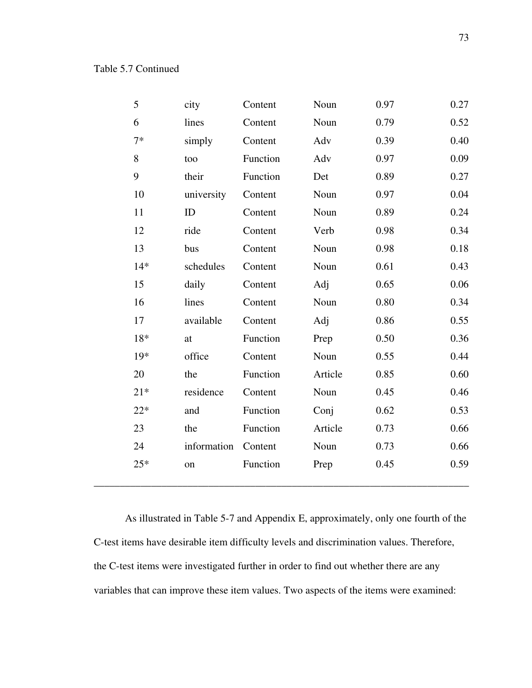| 5     | city        | Content  | Noun    | 0.97 | 0.27 |
|-------|-------------|----------|---------|------|------|
| 6     | lines       | Content  | Noun    | 0.79 | 0.52 |
| $7*$  | simply      | Content  | Adv     | 0.39 | 0.40 |
| 8     | too         | Function | Adv     | 0.97 | 0.09 |
| 9     | their       | Function | Det     | 0.89 | 0.27 |
| 10    | university  | Content  | Noun    | 0.97 | 0.04 |
| 11    | ID          | Content  | Noun    | 0.89 | 0.24 |
| 12    | ride        | Content  | Verb    | 0.98 | 0.34 |
| 13    | bus         | Content  | Noun    | 0.98 | 0.18 |
| $14*$ | schedules   | Content  | Noun    | 0.61 | 0.43 |
| 15    | daily       | Content  | Adj     | 0.65 | 0.06 |
| 16    | lines       | Content  | Noun    | 0.80 | 0.34 |
| 17    | available   | Content  | Adj     | 0.86 | 0.55 |
| 18*   | at          | Function | Prep    | 0.50 | 0.36 |
| 19*   | office      | Content  | Noun    | 0.55 | 0.44 |
| 20    | the         | Function | Article | 0.85 | 0.60 |
| $21*$ | residence   | Content  | Noun    | 0.45 | 0.46 |
| $22*$ | and         | Function | Conj    | 0.62 | 0.53 |
| 23    | the         | Function | Article | 0.73 | 0.66 |
| 24    | information | Content  | Noun    | 0.73 | 0.66 |
| $25*$ | on          | Function | Prep    | 0.45 | 0.59 |
|       |             |          |         |      |      |

As illustrated in Table 5-7 and Appendix E, approximately, only one fourth of the C-test items have desirable item difficulty levels and discrimination values. Therefore, the C-test items were investigated further in order to find out whether there are any variables that can improve these item values. Two aspects of the items were examined: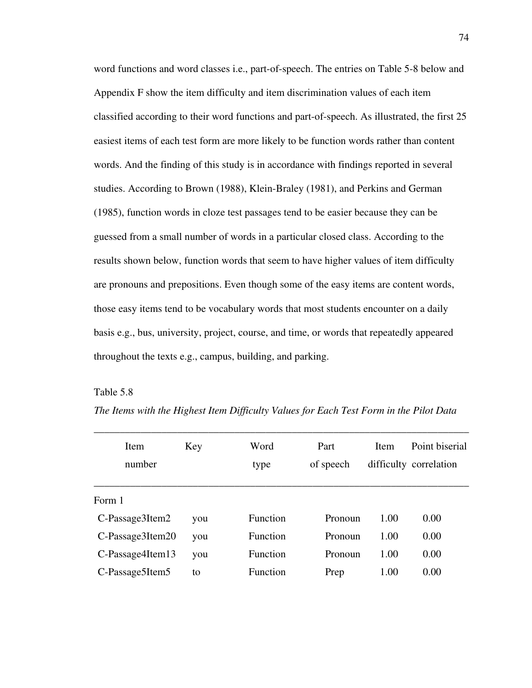word functions and word classes i.e., part-of-speech. The entries on Table 5-8 below and Appendix F show the item difficulty and item discrimination values of each item classified according to their word functions and part-of-speech. As illustrated, the first 25 easiest items of each test form are more likely to be function words rather than content words. And the finding of this study is in accordance with findings reported in several studies. According to Brown (1988), Klein-Braley (1981), and Perkins and German (1985), function words in cloze test passages tend to be easier because they can be guessed from a small number of words in a particular closed class. According to the results shown below, function words that seem to have higher values of item difficulty are pronouns and prepositions. Even though some of the easy items are content words, those easy items tend to be vocabulary words that most students encounter on a daily basis e.g., bus, university, project, course, and time, or words that repeatedly appeared throughout the texts e.g., campus, building, and parking.

## Table 5.8

| Item             | Key | Word     | Part      | Item | Point biserial         |
|------------------|-----|----------|-----------|------|------------------------|
| number           |     | type     | of speech |      | difficulty correlation |
|                  |     |          |           |      |                        |
| Form 1           |     |          |           |      |                        |
| C-Passage3Item2  | you | Function | Pronoun   | 1.00 | 0.00                   |
| C-Passage3Item20 | you | Function | Pronoun   | 1.00 | 0.00                   |
| C-Passage4Item13 | you | Function | Pronoun   | 1.00 | 0.00                   |
| C-Passage5Item5  | to  | Function | Prep      | 1.00 | 0.00                   |

*The Items with the Highest Item Difficulty Values for Each Test Form in the Pilot Data* 

\_\_\_\_\_\_\_\_\_\_\_\_\_\_\_\_\_\_\_\_\_\_\_\_\_\_\_\_\_\_\_\_\_\_\_\_\_\_\_\_\_\_\_\_\_\_\_\_\_\_\_\_\_\_\_\_\_\_\_\_\_\_\_\_\_\_\_\_\_\_\_\_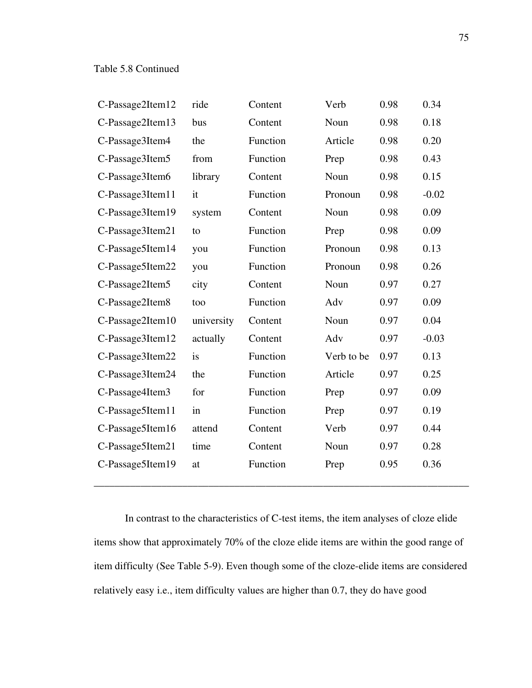| C-Passage2Item12 | ride       | Content  | Verb       | 0.98 | 0.34    |
|------------------|------------|----------|------------|------|---------|
| C-Passage2Item13 | bus        | Content  | Noun       | 0.98 | 0.18    |
| C-Passage3Item4  | the        | Function | Article    | 0.98 | 0.20    |
| C-Passage3Item5  | from       | Function | Prep       | 0.98 | 0.43    |
| C-Passage3Item6  | library    | Content  | Noun       | 0.98 | 0.15    |
| C-Passage3Item11 | it         | Function | Pronoun    | 0.98 | $-0.02$ |
| C-Passage3Item19 | system     | Content  | Noun       | 0.98 | 0.09    |
| C-Passage3Item21 | to         | Function | Prep       | 0.98 | 0.09    |
| C-Passage5Item14 | you        | Function | Pronoun    | 0.98 | 0.13    |
| C-Passage5Item22 | you        | Function | Pronoun    | 0.98 | 0.26    |
| C-Passage2Item5  | city       | Content  | Noun       | 0.97 | 0.27    |
| C-Passage2Item8  | too        | Function | Adv        | 0.97 | 0.09    |
| C-Passage2Item10 | university | Content  | Noun       | 0.97 | 0.04    |
| C-Passage3Item12 | actually   | Content  | Adv        | 0.97 | $-0.03$ |
| C-Passage3Item22 | is         | Function | Verb to be | 0.97 | 0.13    |
| C-Passage3Item24 | the        | Function | Article    | 0.97 | 0.25    |
| C-Passage4Item3  | for        | Function | Prep       | 0.97 | 0.09    |
| C-Passage5Item11 | in         | Function | Prep       | 0.97 | 0.19    |
| C-Passage5Item16 | attend     | Content  | Verb       | 0.97 | 0.44    |
| C-Passage5Item21 | time       | Content  | Noun       | 0.97 | 0.28    |
| C-Passage5Item19 | at         | Function | Prep       | 0.95 | 0.36    |
|                  |            |          |            |      |         |

In contrast to the characteristics of C-test items, the item analyses of cloze elide items show that approximately 70% of the cloze elide items are within the good range of item difficulty (See Table 5-9). Even though some of the cloze-elide items are considered relatively easy i.e., item difficulty values are higher than 0.7, they do have good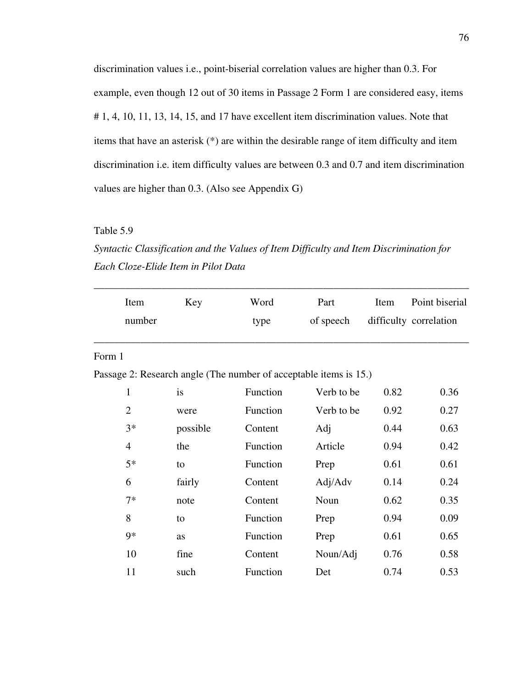discrimination values i.e., point-biserial correlation values are higher than 0.3. For example, even though 12 out of 30 items in Passage 2 Form 1 are considered easy, items # 1, 4, 10, 11, 13, 14, 15, and 17 have excellent item discrimination values. Note that items that have an asterisk (\*) are within the desirable range of item difficulty and item discrimination i.e. item difficulty values are between 0.3 and 0.7 and item discrimination values are higher than 0.3. (Also see Appendix G)

## Table 5.9

*Syntactic Classification and the Values of Item Difficulty and Item Discrimination for Each Cloze-Elide Item in Pilot Data* 

| Item           | Key                                                               | Word     | Part       | Item | Point biserial         |
|----------------|-------------------------------------------------------------------|----------|------------|------|------------------------|
|                | number                                                            | type     | of speech  |      | difficulty correlation |
|                |                                                                   |          |            |      |                        |
| Form 1         |                                                                   |          |            |      |                        |
|                | Passage 2: Research angle (The number of acceptable items is 15.) |          |            |      |                        |
| $\mathbf{1}$   | is                                                                | Function | Verb to be | 0.82 | 0.36                   |
| $\overline{2}$ | were                                                              | Function | Verb to be | 0.92 | 0.27                   |
| $3*$           | possible                                                          | Content  | Adj        | 0.44 | 0.63                   |
| $\overline{4}$ | the                                                               | Function | Article    | 0.94 | 0.42                   |
| $5*$           | to                                                                | Function | Prep       | 0.61 | 0.61                   |
| 6              | fairly                                                            | Content  | Adj/Adv    | 0.14 | 0.24                   |
| $7*$           | note                                                              | Content  | Noun       | 0.62 | 0.35                   |
| 8              | to                                                                | Function | Prep       | 0.94 | 0.09                   |
| $9*$           | as                                                                | Function | Prep       | 0.61 | 0.65                   |
| 10             | fine                                                              | Content  | Noun/Adj   | 0.76 | 0.58                   |
| 11             | such                                                              | Function | Det        | 0.74 | 0.53                   |
|                |                                                                   |          |            |      |                        |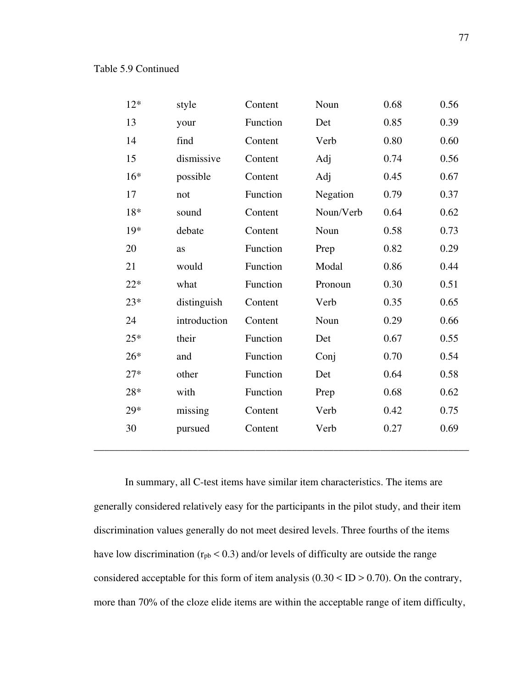| $12*$ | style        | Content  | Noun      | 0.68 | 0.56 |
|-------|--------------|----------|-----------|------|------|
| 13    | your         | Function | Det       | 0.85 | 0.39 |
| 14    | find         | Content  | Verb      | 0.80 | 0.60 |
| 15    | dismissive   | Content  | Adj       | 0.74 | 0.56 |
| $16*$ | possible     | Content  | Adj       | 0.45 | 0.67 |
| 17    | not          | Function | Negation  | 0.79 | 0.37 |
| 18*   | sound        | Content  | Noun/Verb | 0.64 | 0.62 |
| $19*$ | debate       | Content  | Noun      | 0.58 | 0.73 |
| 20    | as           | Function | Prep      | 0.82 | 0.29 |
| 21    | would        | Function | Modal     | 0.86 | 0.44 |
| $22*$ | what         | Function | Pronoun   | 0.30 | 0.51 |
| $23*$ | distinguish  | Content  | Verb      | 0.35 | 0.65 |
| 24    | introduction | Content  | Noun      | 0.29 | 0.66 |
| $25*$ | their        | Function | Det       | 0.67 | 0.55 |
| $26*$ | and          | Function | Conj      | 0.70 | 0.54 |
| $27*$ | other        | Function | Det       | 0.64 | 0.58 |
| 28*   | with         | Function | Prep      | 0.68 | 0.62 |
| 29*   | missing      | Content  | Verb      | 0.42 | 0.75 |
| 30    | pursued      | Content  | Verb      | 0.27 | 0.69 |
|       |              |          |           |      |      |

In summary, all C-test items have similar item characteristics. The items are generally considered relatively easy for the participants in the pilot study, and their item discrimination values generally do not meet desired levels. Three fourths of the items have low discrimination ( $r_{pb}$  < 0.3) and/or levels of difficulty are outside the range considered acceptable for this form of item analysis  $(0.30 \leq ID > 0.70)$ . On the contrary, more than 70% of the cloze elide items are within the acceptable range of item difficulty,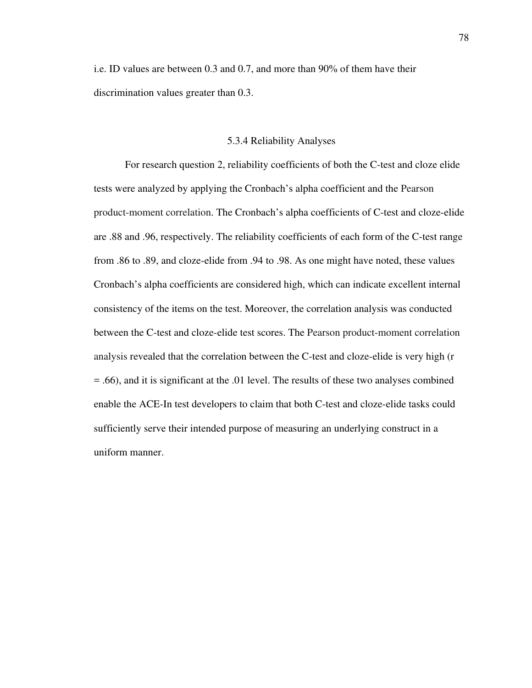i.e. ID values are between 0.3 and 0.7, and more than 90% of them have their discrimination values greater than 0.3.

## 5.3.4 Reliability Analyses

For research question 2, reliability coefficients of both the C-test and cloze elide tests were analyzed by applying the Cronbach's alpha coefficient and the Pearson product-moment correlation. The Cronbach's alpha coefficients of C-test and cloze-elide are .88 and .96, respectively. The reliability coefficients of each form of the C-test range from .86 to .89, and cloze-elide from .94 to .98. As one might have noted, these values Cronbach's alpha coefficients are considered high, which can indicate excellent internal consistency of the items on the test. Moreover, the correlation analysis was conducted between the C-test and cloze-elide test scores. The Pearson product-moment correlation analysis revealed that the correlation between the C-test and cloze-elide is very high (r = .66), and it is significant at the .01 level. The results of these two analyses combined enable the ACE-In test developers to claim that both C-test and cloze-elide tasks could sufficiently serve their intended purpose of measuring an underlying construct in a uniform manner.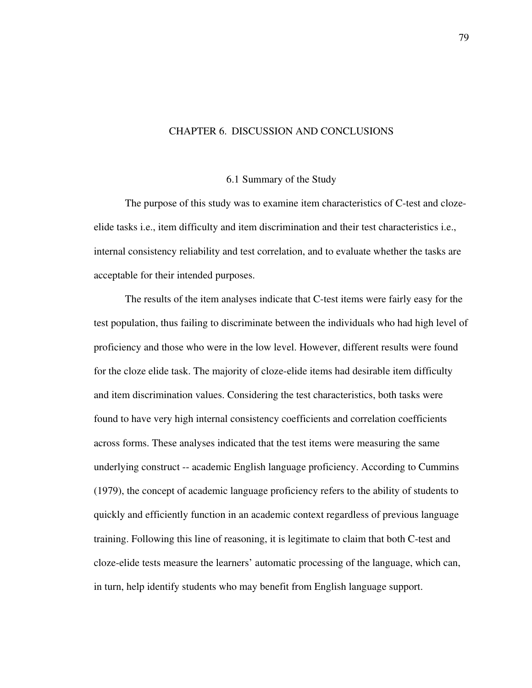### CHAPTER 6. DISCUSSION AND CONCLUSIONS

### 6.1 Summary of the Study

The purpose of this study was to examine item characteristics of C-test and clozeelide tasks i.e., item difficulty and item discrimination and their test characteristics i.e., internal consistency reliability and test correlation, and to evaluate whether the tasks are acceptable for their intended purposes.

The results of the item analyses indicate that C-test items were fairly easy for the test population, thus failing to discriminate between the individuals who had high level of proficiency and those who were in the low level. However, different results were found for the cloze elide task. The majority of cloze-elide items had desirable item difficulty and item discrimination values. Considering the test characteristics, both tasks were found to have very high internal consistency coefficients and correlation coefficients across forms. These analyses indicated that the test items were measuring the same underlying construct -- academic English language proficiency. According to Cummins (1979), the concept of academic language proficiency refers to the ability of students to quickly and efficiently function in an academic context regardless of previous language training. Following this line of reasoning, it is legitimate to claim that both C-test and cloze-elide tests measure the learners' automatic processing of the language, which can, in turn, help identify students who may benefit from English language support.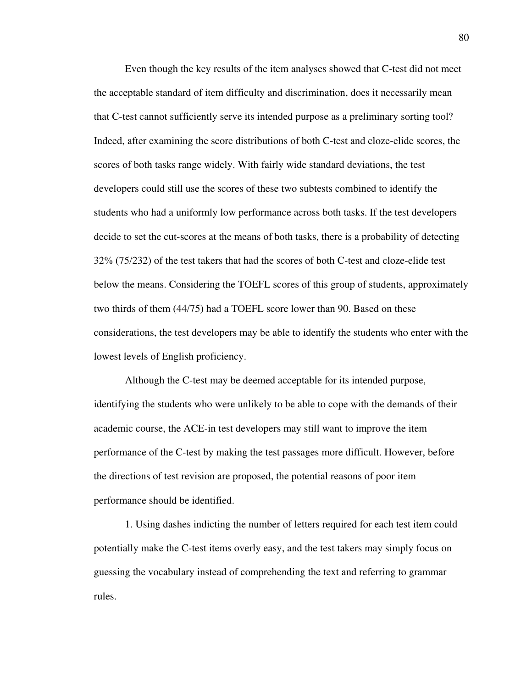Even though the key results of the item analyses showed that C-test did not meet the acceptable standard of item difficulty and discrimination, does it necessarily mean that C-test cannot sufficiently serve its intended purpose as a preliminary sorting tool? Indeed, after examining the score distributions of both C-test and cloze-elide scores, the scores of both tasks range widely. With fairly wide standard deviations, the test developers could still use the scores of these two subtests combined to identify the students who had a uniformly low performance across both tasks. If the test developers decide to set the cut-scores at the means of both tasks, there is a probability of detecting 32% (75/232) of the test takers that had the scores of both C-test and cloze-elide test below the means. Considering the TOEFL scores of this group of students, approximately two thirds of them (44/75) had a TOEFL score lower than 90. Based on these considerations, the test developers may be able to identify the students who enter with the lowest levels of English proficiency.

Although the C-test may be deemed acceptable for its intended purpose, identifying the students who were unlikely to be able to cope with the demands of their academic course, the ACE-in test developers may still want to improve the item performance of the C-test by making the test passages more difficult. However, before the directions of test revision are proposed, the potential reasons of poor item performance should be identified.

1. Using dashes indicting the number of letters required for each test item could potentially make the C-test items overly easy, and the test takers may simply focus on guessing the vocabulary instead of comprehending the text and referring to grammar rules.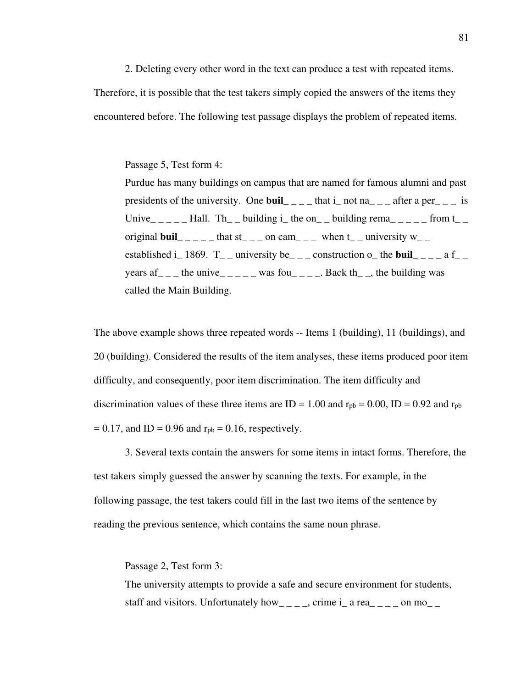2. Deleting every other word in the text can produce a test with repeated items.

Therefore, it is possible that the test takers simply copied the answers of the items they encountered before. The following test passage displays the problem of repeated items.

### Passage 5, Test form 4:

Purdue has many buildings on campus that are named for famous alumni and past presidents of the university. One **buil**  $\begin{bmatrix} 1 \\ -1 \end{bmatrix}$  that i\_ not na\_ \_ \_ after a per\_ \_ \_ is Unive\_\_\_\_\_Hall. Th\_ building i\_ the on\_ building rema\_\_\_\_\_ from t\_\_ original **buil**  $\frac{1}{2}$   $\frac{1}{2}$   $\frac{1}{2}$  that st\_  $\frac{1}{2}$  on cam  $\frac{1}{2}$  when t\_  $\frac{1}{2}$  university w\_  $\frac{1}{2}$ established i\_1869.  $T_{-}$  university be<sub>--</sub> construction o\_ the **buil** \_\_\_ a f\_ years  $af_{\_ \_ \_}$  the unive<sub>-----</sub> was fou<sub>----</sub> Back th<sub>--</sub>, the building was called the Main Building.

The above example shows three repeated words -- Items 1 (building), 11 (buildings), and 20 (building). Considered the results of the item analyses, these items produced poor item difficulty, and consequently, poor item discrimination. The item difficulty and discrimination values of these three items are  $ID = 1.00$  and  $r_{pb} = 0.00$ ,  $ID = 0.92$  and  $r_{pb}$  $= 0.17$ , and ID = 0.96 and  $r_{pb} = 0.16$ , respectively.

3. Several texts contain the answers for some items in intact forms. Therefore, the test takers simply guessed the answer by scanning the texts. For example, in the following passage, the test takers could fill in the last two items of the sentence by reading the previous sentence, which contains the same noun phrase.

Passage 2, Test form 3:

The university attempts to provide a safe and secure environment for students, staff and visitors. Unfortunately how  $\qquad$  \_ \_ \_, crime i\_ a rea  $\qquad$  \_ \_ \_ on mo\_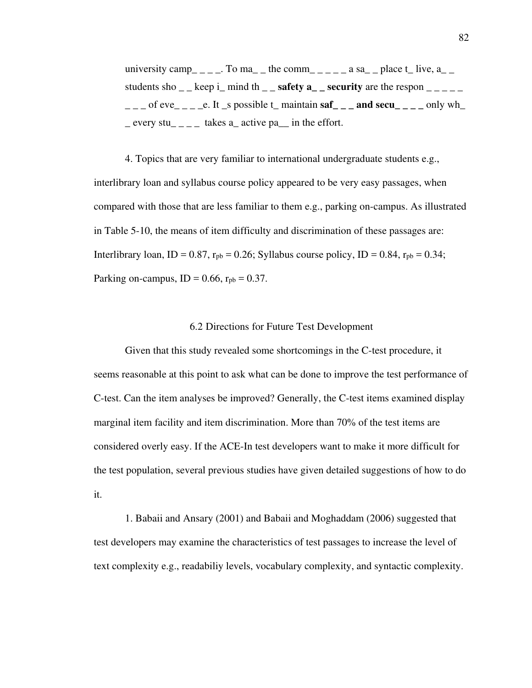university camp\_\_\_\_. To ma\_\_ the comm\_\_\_\_\_ a sa\_ place t\_ live, a\_\_ students sho  $\&$  keep i\_ mind th \_ \_ **safety**  $a_$  \_ **security** are the respon  $\frac{a_1 - a_2}{b_1 - b_2}$  $\frac{1}{2}$  of eve\_ \_ \_ e. It \_s possible t\_ maintain  $\text{sat}$  \_ \_ \_ and  $\text{sec}$  \_ \_ \_ only wh\_  $\equiv$  every stu $\equiv$   $\equiv$   $\equiv$  takes a active pa in the effort.

4. Topics that are very familiar to international undergraduate students e.g., interlibrary loan and syllabus course policy appeared to be very easy passages, when compared with those that are less familiar to them e.g., parking on-campus. As illustrated in Table 5-10, the means of item difficulty and discrimination of these passages are: Interlibrary loan, ID =  $0.87$ ,  $r_{pb} = 0.26$ ; Syllabus course policy, ID =  $0.84$ ,  $r_{pb} = 0.34$ ; Parking on-campus,  $ID = 0.66$ ,  $r_{pb} = 0.37$ .

### 6.2 Directions for Future Test Development

Given that this study revealed some shortcomings in the C-test procedure, it seems reasonable at this point to ask what can be done to improve the test performance of C-test. Can the item analyses be improved? Generally, the C-test items examined display marginal item facility and item discrimination. More than 70% of the test items are considered overly easy. If the ACE-In test developers want to make it more difficult for the test population, several previous studies have given detailed suggestions of how to do it.

1. Babaii and Ansary (2001) and Babaii and Moghaddam (2006) suggested that test developers may examine the characteristics of test passages to increase the level of text complexity e.g., readabiliy levels, vocabulary complexity, and syntactic complexity.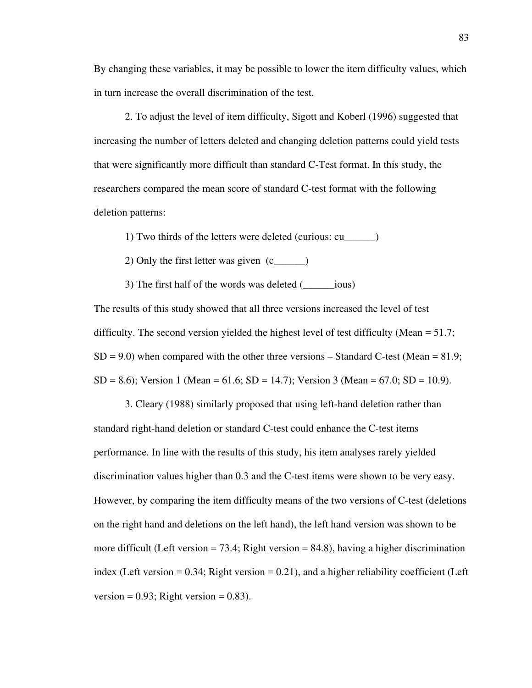By changing these variables, it may be possible to lower the item difficulty values, which in turn increase the overall discrimination of the test.

2. To adjust the level of item difficulty, Sigott and Koberl (1996) suggested that increasing the number of letters deleted and changing deletion patterns could yield tests that were significantly more difficult than standard C-Test format. In this study, the researchers compared the mean score of standard C-test format with the following deletion patterns:

1) Two thirds of the letters were deleted (curious: cu\_\_\_\_\_\_)

2) Only the first letter was given (c\_\_\_\_\_\_)

3) The first half of the words was deleted (\_\_\_\_\_\_ious)

The results of this study showed that all three versions increased the level of test difficulty. The second version yielded the highest level of test difficulty (Mean = 51.7;  $SD = 9.0$ ) when compared with the other three versions – Standard C-test (Mean = 81.9;  $SD = 8.6$ ; Version 1 (Mean = 61.6;  $SD = 14.7$ ); Version 3 (Mean = 67.0;  $SD = 10.9$ ).

3. Cleary (1988) similarly proposed that using left-hand deletion rather than standard right-hand deletion or standard C-test could enhance the C-test items performance. In line with the results of this study, his item analyses rarely yielded discrimination values higher than 0.3 and the C-test items were shown to be very easy. However, by comparing the item difficulty means of the two versions of C-test (deletions on the right hand and deletions on the left hand), the left hand version was shown to be more difficult (Left version  $= 73.4$ ; Right version  $= 84.8$ ), having a higher discrimination index (Left version  $= 0.34$ ; Right version  $= 0.21$ ), and a higher reliability coefficient (Left version =  $0.93$ ; Right version =  $0.83$ ).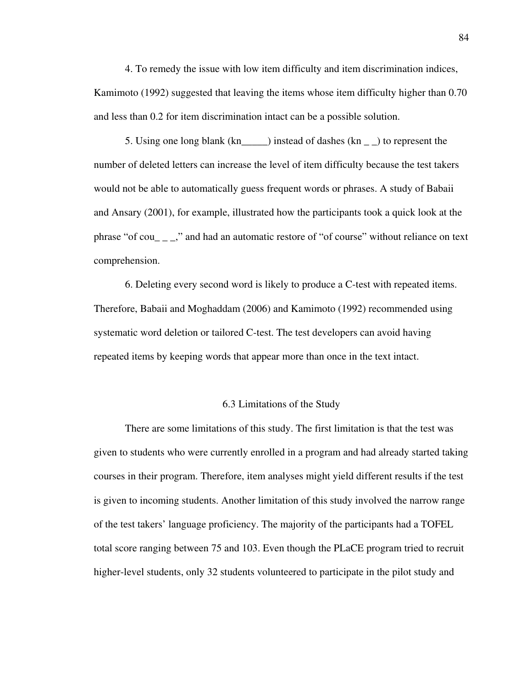4. To remedy the issue with low item difficulty and item discrimination indices, Kamimoto (1992) suggested that leaving the items whose item difficulty higher than 0.70 and less than 0.2 for item discrimination intact can be a possible solution.

5. Using one long blank (kn\_\_\_\_\_) instead of dashes (kn \_ \_) to represent the number of deleted letters can increase the level of item difficulty because the test takers would not be able to automatically guess frequent words or phrases. A study of Babaii and Ansary (2001), for example, illustrated how the participants took a quick look at the phrase "of cou\_ \_ \_," and had an automatic restore of "of course" without reliance on text comprehension.

6. Deleting every second word is likely to produce a C-test with repeated items. Therefore, Babaii and Moghaddam (2006) and Kamimoto (1992) recommended using systematic word deletion or tailored C-test. The test developers can avoid having repeated items by keeping words that appear more than once in the text intact.

## 6.3 Limitations of the Study

There are some limitations of this study. The first limitation is that the test was given to students who were currently enrolled in a program and had already started taking courses in their program. Therefore, item analyses might yield different results if the test is given to incoming students. Another limitation of this study involved the narrow range of the test takers' language proficiency. The majority of the participants had a TOFEL total score ranging between 75 and 103. Even though the PLaCE program tried to recruit higher-level students, only 32 students volunteered to participate in the pilot study and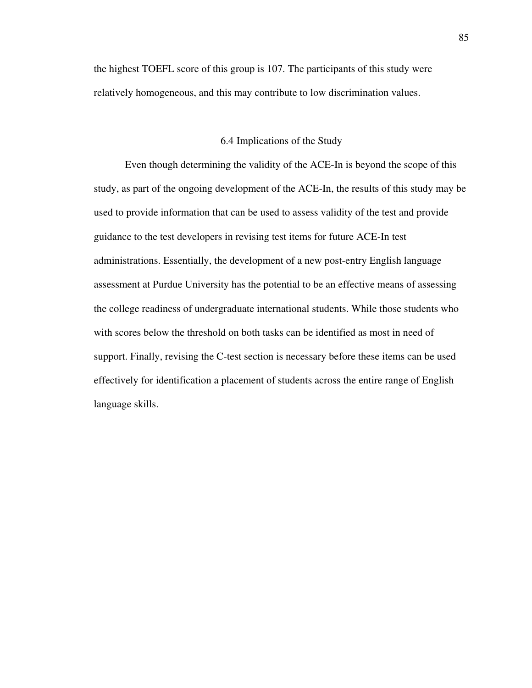the highest TOEFL score of this group is 107. The participants of this study were relatively homogeneous, and this may contribute to low discrimination values.

### 6.4 Implications of the Study

Even though determining the validity of the ACE-In is beyond the scope of this study, as part of the ongoing development of the ACE-In, the results of this study may be used to provide information that can be used to assess validity of the test and provide guidance to the test developers in revising test items for future ACE-In test administrations. Essentially, the development of a new post-entry English language assessment at Purdue University has the potential to be an effective means of assessing the college readiness of undergraduate international students. While those students who with scores below the threshold on both tasks can be identified as most in need of support. Finally, revising the C-test section is necessary before these items can be used effectively for identification a placement of students across the entire range of English language skills.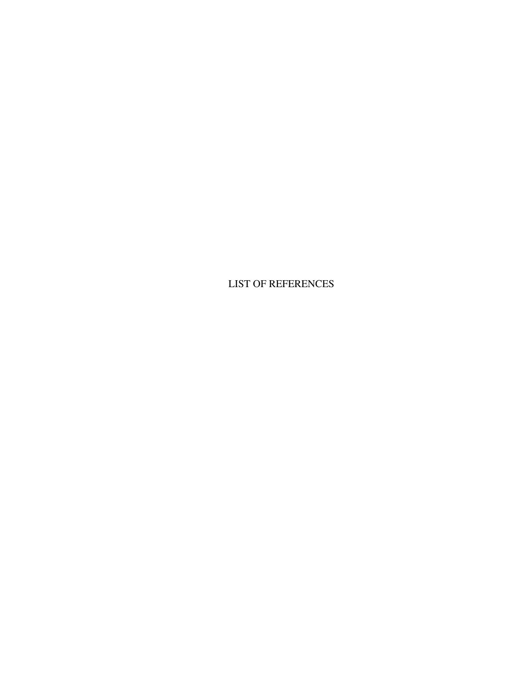LIST OF REFERENCES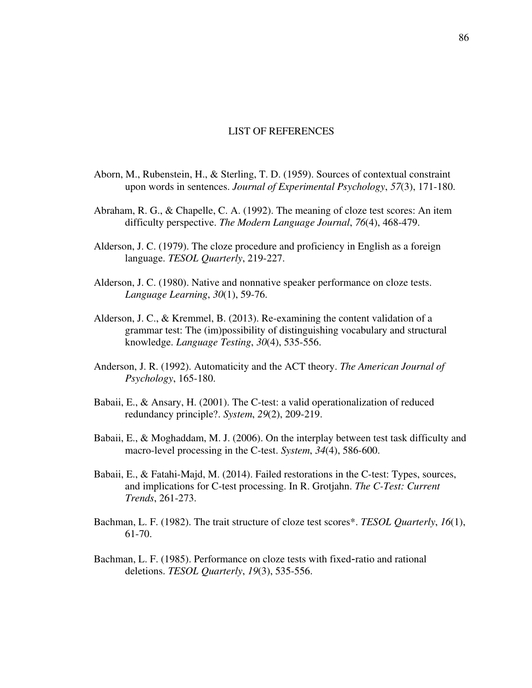## LIST OF REFERENCES

- Aborn, M., Rubenstein, H., & Sterling, T. D. (1959). Sources of contextual constraint upon words in sentences. *Journal of Experimental Psychology*, *57*(3), 171-180.
- Abraham, R. G., & Chapelle, C. A. (1992). The meaning of cloze test scores: An item difficulty perspective. *The Modern Language Journal*, *76*(4), 468-479.
- Alderson, J. C. (1979). The cloze procedure and proficiency in English as a foreign language. *TESOL Quarterly*, 219-227.
- Alderson, J. C. (1980). Native and nonnative speaker performance on cloze tests. *Language Learning*, *30*(1), 59-76.
- Alderson, J. C., & Kremmel, B. (2013). Re-examining the content validation of a grammar test: The (im)possibility of distinguishing vocabulary and structural knowledge. *Language Testing*, *30*(4), 535-556.
- Anderson, J. R. (1992). Automaticity and the ACT theory. *The American Journal of Psychology*, 165-180.
- Babaii, E., & Ansary, H. (2001). The C-test: a valid operationalization of reduced redundancy principle?. *System*, *29*(2), 209-219.
- Babaii, E., & Moghaddam, M. J. (2006). On the interplay between test task difficulty and macro-level processing in the C-test. *System*, *34*(4), 586-600.
- Babaii, E., & Fatahi-Majd, M. (2014). Failed restorations in the C-test: Types, sources, and implications for C-test processing. In R. Grotjahn. *The C-Test: Current Trends*, 261-273.
- Bachman, L. F. (1982). The trait structure of cloze test scores\*. *TESOL Quarterly*, *16*(1), 61-70.
- Bachman, L. F. (1985). Performance on cloze tests with fixed-ratio and rational deletions. *TESOL Quarterly*, *19*(3), 535-556.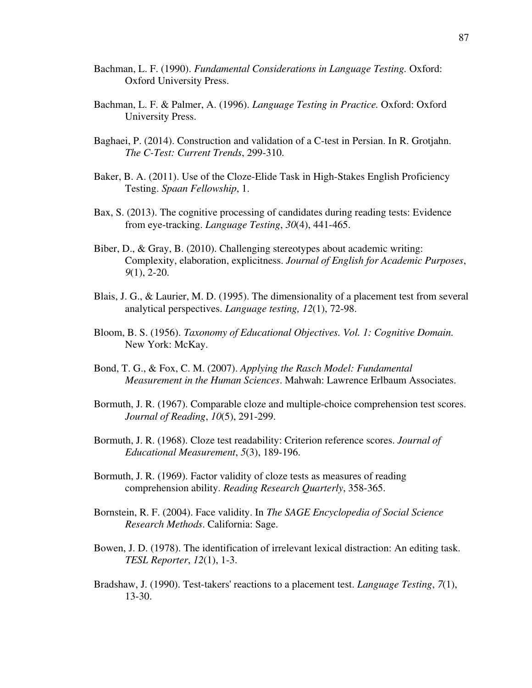- Bachman, L. F. (1990). *Fundamental Considerations in Language Testing.* Oxford: Oxford University Press.
- Bachman, L. F. & Palmer, A. (1996). *Language Testing in Practice.* Oxford: Oxford University Press.
- Baghaei, P. (2014). Construction and validation of a C-test in Persian. In R. Grotjahn. *The C-Test: Current Trends*, 299-310.
- Baker, B. A. (2011). Use of the Cloze-Elide Task in High-Stakes English Proficiency Testing. *Spaan Fellowship*, 1.
- Bax, S. (2013). The cognitive processing of candidates during reading tests: Evidence from eye-tracking. *Language Testing*, *30*(4), 441-465.
- Biber, D., & Gray, B. (2010). Challenging stereotypes about academic writing: Complexity, elaboration, explicitness. *Journal of English for Academic Purposes*, *9*(1), 2-20.
- Blais, J. G., & Laurier, M. D. (1995). The dimensionality of a placement test from several analytical perspectives. *Language testing, 12*(1), 72-98.
- Bloom, B. S. (1956). *Taxonomy of Educational Objectives. Vol. 1: Cognitive Domain*. New York: McKay.
- Bond, T. G., & Fox, C. M. (2007). *Applying the Rasch Model: Fundamental Measurement in the Human Sciences*. Mahwah: Lawrence Erlbaum Associates.
- Bormuth, J. R. (1967). Comparable cloze and multiple-choice comprehension test scores. *Journal of Reading*, *10*(5), 291-299.
- Bormuth, J. R. (1968). Cloze test readability: Criterion reference scores. *Journal of Educational Measurement*, *5*(3), 189-196.
- Bormuth, J. R. (1969). Factor validity of cloze tests as measures of reading comprehension ability. *Reading Research Quarterly*, 358-365.
- Bornstein, R. F. (2004). Face validity. In *The SAGE Encyclopedia of Social Science Research Methods*. California: Sage.
- Bowen, J. D. (1978). The identification of irrelevant lexical distraction: An editing task. *TESL Reporter*, *12*(1), 1-3.
- Bradshaw, J. (1990). Test-takers' reactions to a placement test. *Language Testing*, *7*(1), 13-30.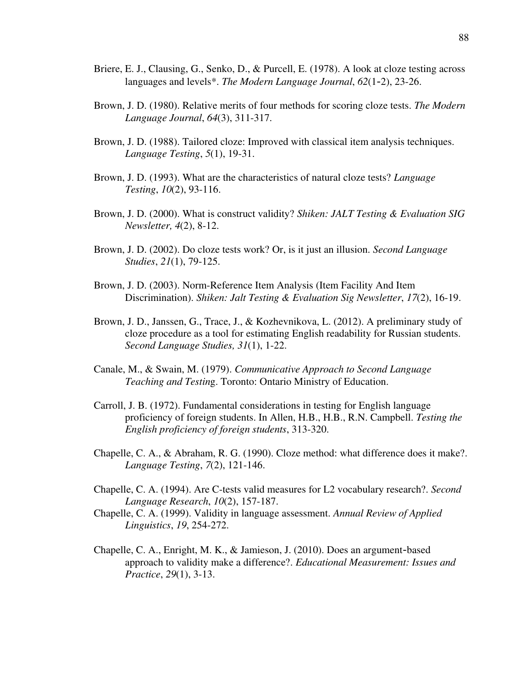- Briere, E. J., Clausing, G., Senko, D., & Purcell, E. (1978). A look at cloze testing across languages and levels\*. *The Modern Language Journal*, *62*(1-2), 23-26.
- Brown, J. D. (1980). Relative merits of four methods for scoring cloze tests. *The Modern Language Journal*, *64*(3), 311-317.
- Brown, J. D. (1988). Tailored cloze: Improved with classical item analysis techniques. *Language Testing*, *5*(1), 19-31.
- Brown, J. D. (1993). What are the characteristics of natural cloze tests? *Language Testing*, *10*(2), 93-116.
- Brown, J. D. (2000). What is construct validity? *Shiken: JALT Testing & Evaluation SIG Newsletter, 4*(2), 8-12.
- Brown, J. D. (2002). Do cloze tests work? Or, is it just an illusion. *Second Language Studies*, *21*(1), 79-125.
- Brown, J. D. (2003). Norm-Reference Item Analysis (Item Facility And Item Discrimination). *Shiken: Jalt Testing & Evaluation Sig Newsletter*, *17*(2), 16-19.
- Brown, J. D., Janssen, G., Trace, J., & Kozhevnikova, L. (2012). A preliminary study of cloze procedure as a tool for estimating English readability for Russian students. *Second Language Studies, 31*(1), 1-22.
- Canale, M., & Swain, M. (1979). *Communicative Approach to Second Language Teaching and Testin*g. Toronto: Ontario Ministry of Education.
- Carroll, J. B. (1972). Fundamental considerations in testing for English language proficiency of foreign students. In Allen, H.B., H.B., R.N. Campbell. *Testing the English proficiency of foreign students*, 313-320.
- Chapelle, C. A., & Abraham, R. G. (1990). Cloze method: what difference does it make?. *Language Testing*, *7*(2), 121-146.
- Chapelle, C. A. (1994). Are C-tests valid measures for L2 vocabulary research?. *Second Language Research*, *10*(2), 157-187.
- Chapelle, C. A. (1999). Validity in language assessment. *Annual Review of Applied Linguistics*, *19*, 254-272.
- Chapelle, C. A., Enright, M. K., & Jamieson, J. (2010). Does an argument-based approach to validity make a difference?. *Educational Measurement: Issues and Practice*, *29*(1), 3-13.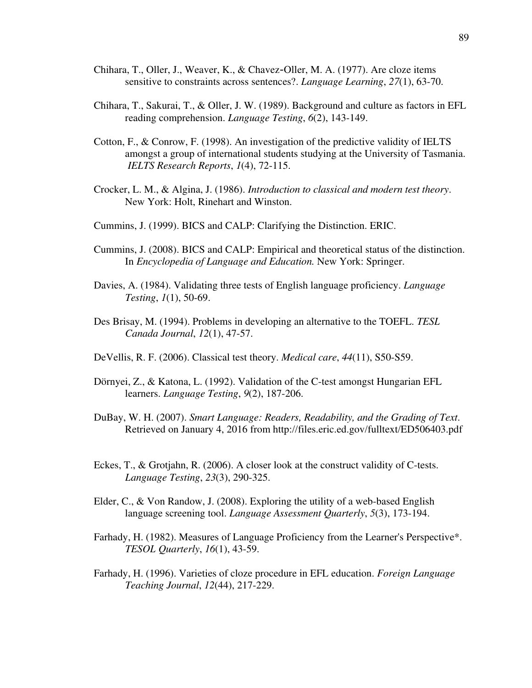- Chihara, T., Oller, J., Weaver, K., & Chavez-Oller, M. A. (1977). Are cloze items sensitive to constraints across sentences?. *Language Learning*, *27*(1), 63-70.
- Chihara, T., Sakurai, T., & Oller, J. W. (1989). Background and culture as factors in EFL reading comprehension. *Language Testing*, *6*(2), 143-149.
- Cotton, F., & Conrow, F. (1998). An investigation of the predictive validity of IELTS amongst a group of international students studying at the University of Tasmania. *IELTS Research Reports*, *1*(4), 72-115.
- Crocker, L. M., & Algina, J. (1986). *Introduction to classical and modern test theory*. New York: Holt, Rinehart and Winston.
- Cummins, J. (1999). BICS and CALP: Clarifying the Distinction. ERIC.
- Cummins, J. (2008). BICS and CALP: Empirical and theoretical status of the distinction. In *Encyclopedia of Language and Education.* New York: Springer.
- Davies, A. (1984). Validating three tests of English language proficiency. *Language Testing*, *1*(1), 50-69.
- Des Brisay, M. (1994). Problems in developing an alternative to the TOEFL. *TESL Canada Journal*, *12*(1), 47-57.
- DeVellis, R. F. (2006). Classical test theory. *Medical care*, *44*(11), S50-S59.
- Dörnyei, Z., & Katona, L. (1992). Validation of the C-test amongst Hungarian EFL learners. *Language Testing*, *9*(2), 187-206.
- DuBay, W. H. (2007). *Smart Language: Readers, Readability, and the Grading of Text*. Retrieved on January 4, 2016 from http://files.eric.ed.gov/fulltext/ED506403.pdf
- Eckes, T., & Grotjahn, R. (2006). A closer look at the construct validity of C-tests. *Language Testing*, *23*(3), 290-325.
- Elder, C., & Von Randow, J. (2008). Exploring the utility of a web-based English language screening tool. *Language Assessment Quarterly*, *5*(3), 173-194.
- Farhady, H. (1982). Measures of Language Proficiency from the Learner's Perspective\*. *TESOL Quarterly*, *16*(1), 43-59.
- Farhady, H. (1996). Varieties of cloze procedure in EFL education. *Foreign Language Teaching Journal*, *12*(44), 217-229.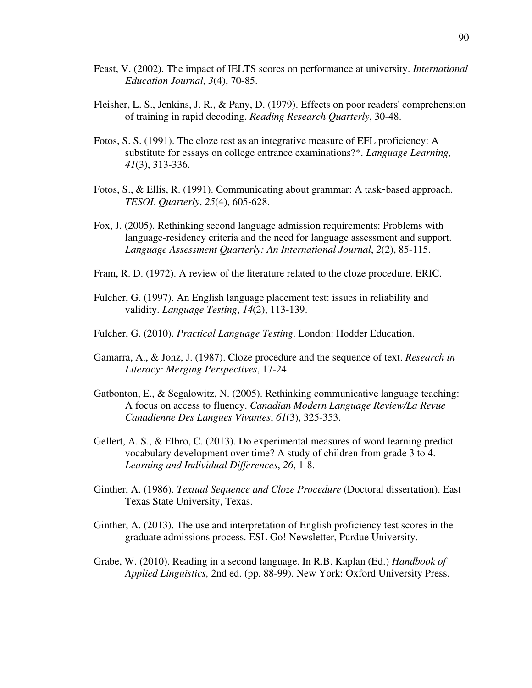- Feast, V. (2002). The impact of IELTS scores on performance at university. *International Education Journal*, *3*(4), 70-85.
- Fleisher, L. S., Jenkins, J. R., & Pany, D. (1979). Effects on poor readers' comprehension of training in rapid decoding. *Reading Research Quarterly*, 30-48.
- Fotos, S. S. (1991). The cloze test as an integrative measure of EFL proficiency: A substitute for essays on college entrance examinations?\*. *Language Learning*, *41*(3), 313-336.
- Fotos, S., & Ellis, R. (1991). Communicating about grammar: A task-based approach. *TESOL Quarterly*, *25*(4), 605-628.
- Fox, J. (2005). Rethinking second language admission requirements: Problems with language-residency criteria and the need for language assessment and support. *Language Assessment Quarterly: An International Journal*, *2*(2), 85-115.
- Fram, R. D. (1972). A review of the literature related to the cloze procedure. ERIC.
- Fulcher, G. (1997). An English language placement test: issues in reliability and validity. *Language Testing*, *14*(2), 113-139.
- Fulcher, G. (2010). *Practical Language Testing*. London: Hodder Education.
- Gamarra, A., & Jonz, J. (1987). Cloze procedure and the sequence of text. *Research in Literacy: Merging Perspectives*, 17-24.
- Gatbonton, E., & Segalowitz, N. (2005). Rethinking communicative language teaching: A focus on access to fluency. *Canadian Modern Language Review/La Revue Canadienne Des Langues Vivantes*, *61*(3), 325-353.
- Gellert, A. S., & Elbro, C. (2013). Do experimental measures of word learning predict vocabulary development over time? A study of children from grade 3 to 4. *Learning and Individual Differences*, *26*, 1-8.
- Ginther, A. (1986). *Textual Sequence and Cloze Procedure* (Doctoral dissertation). East Texas State University, Texas.
- Ginther, A. (2013). The use and interpretation of English proficiency test scores in the graduate admissions process. ESL Go! Newsletter, Purdue University.
- Grabe, W. (2010). Reading in a second language. In R.B. Kaplan (Ed.) *Handbook of Applied Linguistics,* 2nd ed. (pp. 88-99). New York: Oxford University Press.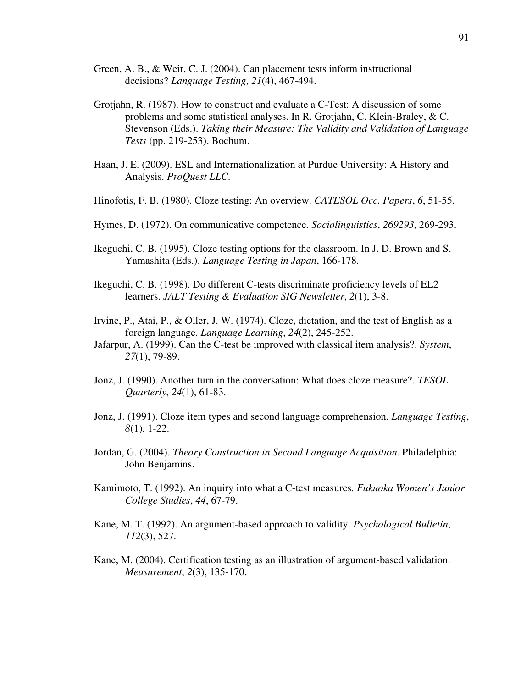- Green, A. B., & Weir, C. J. (2004). Can placement tests inform instructional decisions? *Language Testing*, *21*(4), 467-494.
- Grotjahn, R. (1987). How to construct and evaluate a C-Test: A discussion of some problems and some statistical analyses. In R. Grotjahn, C. Klein-Braley, & C. Stevenson (Eds.). *Taking their Measure: The Validity and Validation of Language Tests* (pp. 219-253). Bochum.
- Haan, J. E. (2009). ESL and Internationalization at Purdue University: A History and Analysis. *ProQuest LLC*.
- Hinofotis, F. B. (1980). Cloze testing: An overview. *CATESOL Occ. Papers*, *6*, 51-55.
- Hymes, D. (1972). On communicative competence. *Sociolinguistics*, *269293*, 269-293.
- Ikeguchi, C. B. (1995). Cloze testing options for the classroom. In J. D. Brown and S. Yamashita (Eds.). *Language Testing in Japan*, 166-178.
- Ikeguchi, C. B. (1998). Do different C-tests discriminate proficiency levels of EL2 learners. *JALT Testing & Evaluation SIG Newsletter*, *2*(1), 3-8.
- Irvine, P., Atai, P., & Oller, J. W. (1974). Cloze, dictation, and the test of English as a foreign language. *Language Learning*, *24*(2), 245-252.
- Jafarpur, A. (1999). Can the C-test be improved with classical item analysis?. *System*, *27*(1), 79-89.
- Jonz, J. (1990). Another turn in the conversation: What does cloze measure?. *TESOL Quarterly*, *24*(1), 61-83.
- Jonz, J. (1991). Cloze item types and second language comprehension. *Language Testing*, *8*(1), 1-22.
- Jordan, G. (2004). *Theory Construction in Second Language Acquisition*. Philadelphia: John Benjamins.
- Kamimoto, T. (1992). An inquiry into what a C-test measures. *Fukuoka Women's Junior College Studies*, *44*, 67-79.
- Kane, M. T. (1992). An argument-based approach to validity. *Psychological Bulletin*, *112*(3), 527.
- Kane, M. (2004). Certification testing as an illustration of argument-based validation. *Measurement*, *2*(3), 135-170.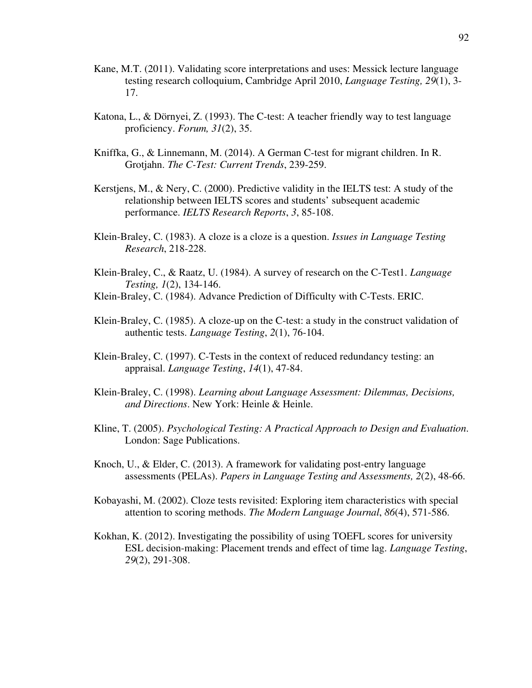- Kane, M.T. (2011). Validating score interpretations and uses: Messick lecture language testing research colloquium, Cambridge April 2010, *Language Testing, 29*(1), 3- 17.
- Katona, L., & Dörnyei, Z. (1993). The C-test: A teacher friendly way to test language proficiency. *Forum, 31*(2), 35.
- Kniffka, G., & Linnemann, M. (2014). A German C-test for migrant children. In R. Grotjahn. *The C-Test: Current Trends*, 239-259.
- Kerstjens, M., & Nery, C. (2000). Predictive validity in the IELTS test: A study of the relationship between IELTS scores and students' subsequent academic performance. *IELTS Research Reports*, *3*, 85-108.
- Klein-Braley, C. (1983). A cloze is a cloze is a question. *Issues in Language Testing Research*, 218-228.
- Klein-Braley, C., & Raatz, U. (1984). A survey of research on the C-Test1. *Language Testing, 1*(2), 134-146.
- Klein-Braley, C. (1984). Advance Prediction of Difficulty with C-Tests. ERIC.
- Klein-Braley, C. (1985). A cloze-up on the C-test: a study in the construct validation of authentic tests. *Language Testing*, *2*(1), 76-104.
- Klein-Braley, C. (1997). C-Tests in the context of reduced redundancy testing: an appraisal. *Language Testing*, *14*(1), 47-84.
- Klein-Braley, C. (1998). *Learning about Language Assessment: Dilemmas, Decisions, and Directions*. New York: Heinle & Heinle.
- Kline, T. (2005). *Psychological Testing: A Practical Approach to Design and Evaluation*. London: Sage Publications.
- Knoch, U., & Elder, C. (2013). A framework for validating post-entry language assessments (PELAs). *Papers in Language Testing and Assessments, 2*(2), 48-66.
- Kobayashi, M. (2002). Cloze tests revisited: Exploring item characteristics with special attention to scoring methods. *The Modern Language Journal*, *86*(4), 571-586.
- Kokhan, K. (2012). Investigating the possibility of using TOEFL scores for university ESL decision-making: Placement trends and effect of time lag. *Language Testing*, *29*(2), 291-308.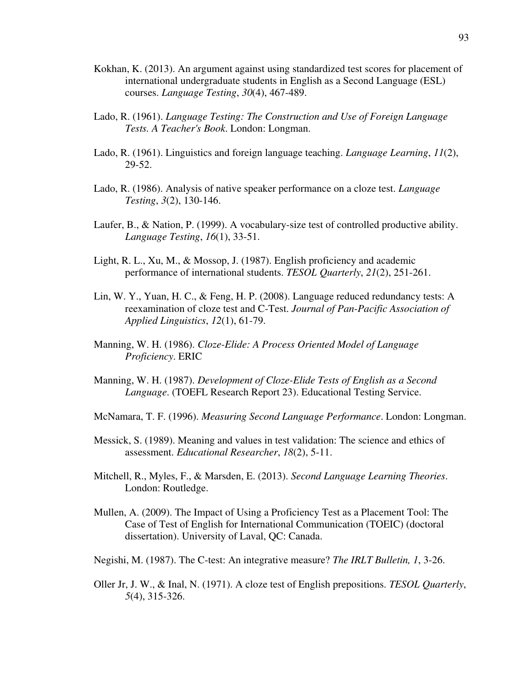- Kokhan, K. (2013). An argument against using standardized test scores for placement of international undergraduate students in English as a Second Language (ESL) courses. *Language Testing*, *30*(4), 467-489.
- Lado, R. (1961). *Language Testing: The Construction and Use of Foreign Language Tests. A Teacher's Book*. London: Longman.
- Lado, R. (1961). Linguistics and foreign language teaching. *Language Learning*, *11*(2), 29-52.
- Lado, R. (1986). Analysis of native speaker performance on a cloze test. *Language Testing*, *3*(2), 130-146.
- Laufer, B., & Nation, P. (1999). A vocabulary-size test of controlled productive ability. *Language Testing*, *16*(1), 33-51.
- Light, R. L., Xu, M., & Mossop, J. (1987). English proficiency and academic performance of international students. *TESOL Quarterly*, *21*(2), 251-261.
- Lin, W. Y., Yuan, H. C., & Feng, H. P. (2008). Language reduced redundancy tests: A reexamination of cloze test and C-Test. *Journal of Pan-Pacific Association of Applied Linguistics*, *12*(1), 61-79.
- Manning, W. H. (1986). *Cloze-Elide: A Process Oriented Model of Language Proficiency*. ERIC
- Manning, W. H. (1987). *Development of Cloze-Elide Tests of English as a Second Language*. (TOEFL Research Report 23). Educational Testing Service.
- McNamara, T. F. (1996). *Measuring Second Language Performance*. London: Longman.
- Messick, S. (1989). Meaning and values in test validation: The science and ethics of assessment. *Educational Researcher*, *18*(2), 5-11.
- Mitchell, R., Myles, F., & Marsden, E. (2013). *Second Language Learning Theories*. London: Routledge.
- Mullen, A. (2009). The Impact of Using a Proficiency Test as a Placement Tool: The Case of Test of English for International Communication (TOEIC) (doctoral dissertation). University of Laval, QC: Canada.
- Negishi, M. (1987). The C-test: An integrative measure? *The IRLT Bulletin, 1*, 3-26.
- Oller Jr, J. W., & Inal, N. (1971). A cloze test of English prepositions. *TESOL Quarterly*, *5*(4), 315-326.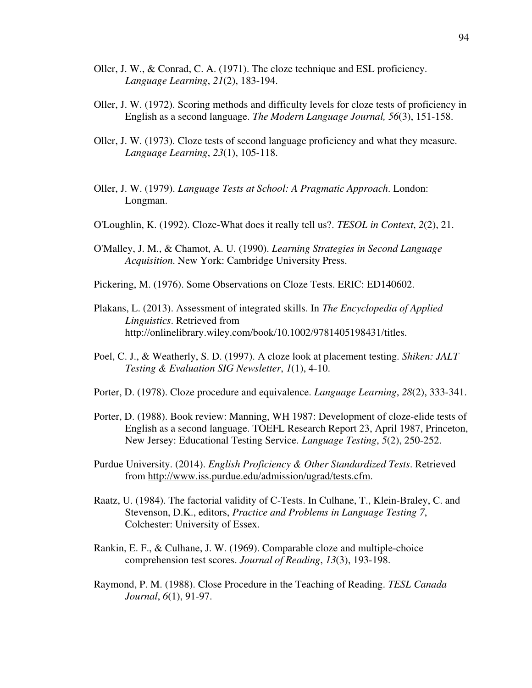- Oller, J. W., & Conrad, C. A. (1971). The cloze technique and ESL proficiency. *Language Learning*, *21*(2), 183-194.
- Oller, J. W. (1972). Scoring methods and difficulty levels for cloze tests of proficiency in English as a second language. *The Modern Language Journal, 56*(3), 151-158.
- Oller, J. W. (1973). Cloze tests of second language proficiency and what they measure. *Language Learning*, *23*(1), 105-118.
- Oller, J. W. (1979). *Language Tests at School: A Pragmatic Approach*. London: Longman.
- O'Loughlin, K. (1992). Cloze-What does it really tell us?. *TESOL in Context*, *2*(2), 21.
- O'Malley, J. M., & Chamot, A. U. (1990). *Learning Strategies in Second Language Acquisition*. New York: Cambridge University Press.
- Pickering, M. (1976). Some Observations on Cloze Tests. ERIC: ED140602.
- Plakans, L. (2013). Assessment of integrated skills. In *The Encyclopedia of Applied Linguistics*. Retrieved from http://onlinelibrary.wiley.com/book/10.1002/9781405198431/titles.
- Poel, C. J., & Weatherly, S. D. (1997). A cloze look at placement testing. *Shiken: JALT Testing & Evaluation SIG Newsletter*, *1*(1), 4-10.
- Porter, D. (1978). Cloze procedure and equivalence. *Language Learning*, *28*(2), 333-341.
- Porter, D. (1988). Book review: Manning, WH 1987: Development of cloze-elide tests of English as a second language. TOEFL Research Report 23, April 1987, Princeton, New Jersey: Educational Testing Service. *Language Testing*, *5*(2), 250-252.
- Purdue University. (2014). *English Proficiency & Other Standardized Tests*. Retrieved from http://www.iss.purdue.edu/admission/ugrad/tests.cfm.
- Raatz, U. (1984). The factorial validity of C-Tests. In Culhane, T., Klein-Braley, C. and Stevenson, D.K., editors, *Practice and Problems in Language Testing 7*, Colchester: University of Essex.
- Rankin, E. F., & Culhane, J. W. (1969). Comparable cloze and multiple-choice comprehension test scores. *Journal of Reading*, *13*(3), 193-198.
- Raymond, P. M. (1988). Close Procedure in the Teaching of Reading. *TESL Canada Journal*, *6*(1), 91-97.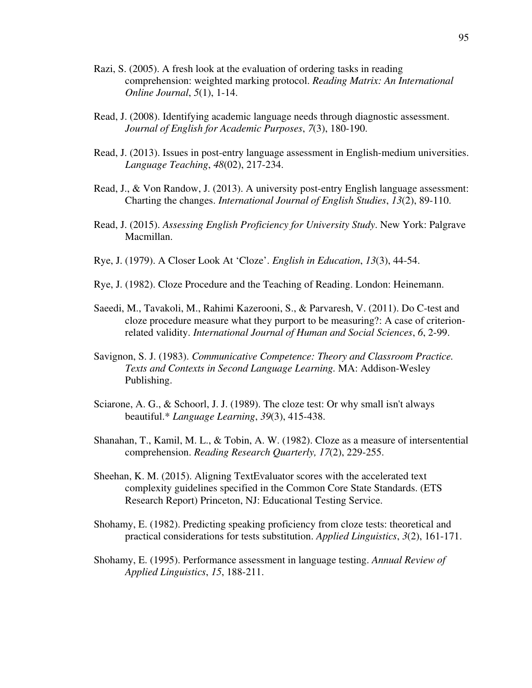- Razi, S. (2005). A fresh look at the evaluation of ordering tasks in reading comprehension: weighted marking protocol. *Reading Matrix: An International Online Journal*, *5*(1), 1-14.
- Read, J. (2008). Identifying academic language needs through diagnostic assessment. *Journal of English for Academic Purposes*, *7*(3), 180-190.
- Read, J. (2013). Issues in post-entry language assessment in English-medium universities. *Language Teaching*, *48*(02), 217-234.
- Read, J., & Von Randow, J. (2013). A university post-entry English language assessment: Charting the changes. *International Journal of English Studies*, *13*(2), 89-110.
- Read, J. (2015). *Assessing English Proficiency for University Study*. New York: Palgrave Macmillan.
- Rye, J. (1979). A Closer Look At 'Cloze'. *English in Education*, *13*(3), 44-54.
- Rye, J. (1982). Cloze Procedure and the Teaching of Reading. London: Heinemann.
- Saeedi, M., Tavakoli, M., Rahimi Kazerooni, S., & Parvaresh, V. (2011). Do C-test and cloze procedure measure what they purport to be measuring?: A case of criterion related validity. *International Journal of Human and Social Sciences*, *6*, 2-99.
- Savignon, S. J. (1983). *Communicative Competence: Theory and Classroom Practice. Texts and Contexts in Second Language Learning.* MA: Addison-Wesley Publishing.
- Sciarone, A. G., & Schoorl, J. J. (1989). The cloze test: Or why small isn't always beautiful.\* *Language Learning*, *39*(3), 415-438.
- Shanahan, T., Kamil, M. L., & Tobin, A. W. (1982). Cloze as a measure of intersentential comprehension. *Reading Research Quarterly, 17*(2), 229-255.
- Sheehan, K. M. (2015). Aligning TextEvaluator scores with the accelerated text complexity guidelines specified in the Common Core State Standards. (ETS Research Report) Princeton, NJ: Educational Testing Service.
- Shohamy, E. (1982). Predicting speaking proficiency from cloze tests: theoretical and practical considerations for tests substitution. *Applied Linguistics*, *3*(2), 161-171.
- Shohamy, E. (1995). Performance assessment in language testing. *Annual Review of Applied Linguistics*, *15*, 188-211.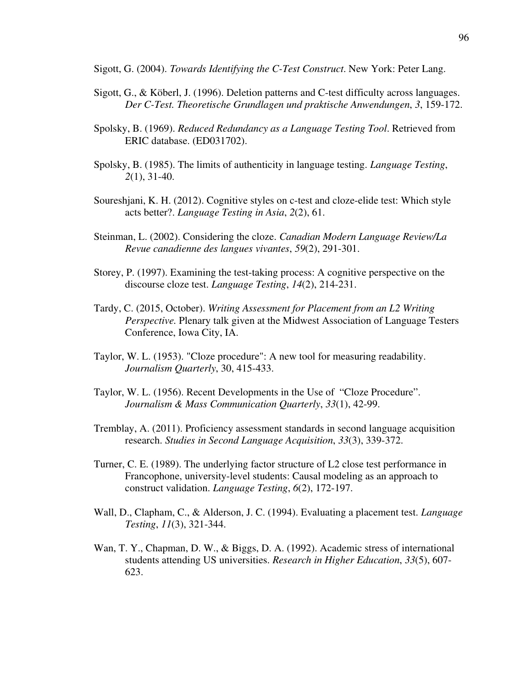Sigott, G. (2004). *Towards Identifying the C-Test Construct*. New York: Peter Lang.

- Sigott, G., & Köberl, J. (1996). Deletion patterns and C-test difficulty across languages. *Der C-Test. Theoretische Grundlagen und praktische Anwendungen*, *3*, 159-172.
- Spolsky, B. (1969). *Reduced Redundancy as a Language Testing Tool*. Retrieved from ERIC database. (ED031702).
- Spolsky, B. (1985). The limits of authenticity in language testing. *Language Testing*, *2*(1), 31-40.
- Soureshjani, K. H. (2012). Cognitive styles on c-test and cloze-elide test: Which style acts better?. *Language Testing in Asia*, *2*(2), 61.
- Steinman, L. (2002). Considering the cloze. *Canadian Modern Language Review/La Revue canadienne des langues vivantes*, *59*(2), 291-301.
- Storey, P. (1997). Examining the test-taking process: A cognitive perspective on the discourse cloze test. *Language Testing*, *14*(2), 214-231.
- Tardy, C. (2015, October). *Writing Assessment for Placement from an L2 Writing Perspective.* Plenary talk given at the Midwest Association of Language Testers Conference, Iowa City, IA.
- Taylor, W. L. (1953). "Cloze procedure": A new tool for measuring readability. *Journalism Quarterly*, 30, 415-433.
- Taylor, W. L. (1956). Recent Developments in the Use of "Cloze Procedure". *Journalism & Mass Communication Quarterly*, *33*(1), 42-99.
- Tremblay, A. (2011). Proficiency assessment standards in second language acquisition research. *Studies in Second Language Acquisition*, *33*(3), 339-372.
- Turner, C. E. (1989). The underlying factor structure of L2 close test performance in Francophone, university-level students: Causal modeling as an approach to construct validation. *Language Testing*, *6*(2), 172-197.
- Wall, D., Clapham, C., & Alderson, J. C. (1994). Evaluating a placement test. *Language Testing*, *11*(3), 321-344.
- Wan, T. Y., Chapman, D. W., & Biggs, D. A. (1992). Academic stress of international students attending US universities. *Research in Higher Education*, *33*(5), 607- 623.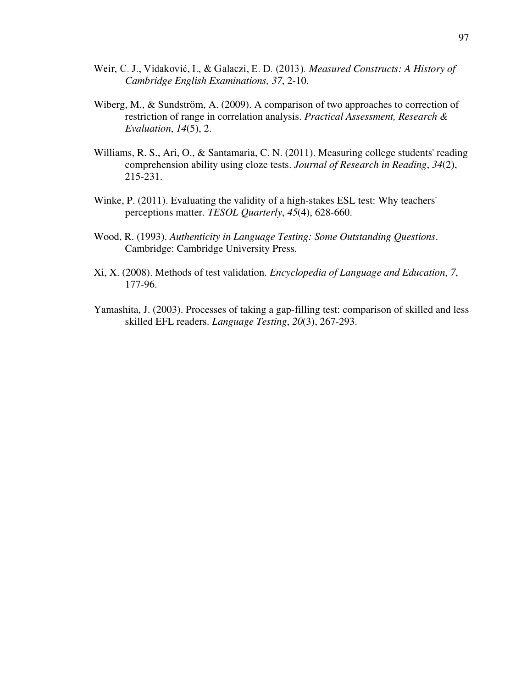- Weir, C. J., Vidaković, I., & Galaczi, E. D. (2013). Measured Constructs: A History of  *Cambridge English Examinations, 37*, 2-10.
- Wiberg, M., & Sundström, A. (2009). A comparison of two approaches to correction of restriction of range in correlation analysis. *Practical Assessment, Research & Evaluation*, *14*(5), 2.
- Williams, R. S., Ari, O., & Santamaria, C. N. (2011). Measuring college students' reading comprehension ability using cloze tests. *Journal of Research in Reading*, *34*(2), 215-231.
- Winke, P. (2011). Evaluating the validity of a high-stakes ESL test: Why teachers' perceptions matter. *TESOL Quarterly*, *45*(4), 628-660.
- Wood, R. (1993). *Authenticity in Language Testing: Some Outstanding Questions*. Cambridge: Cambridge University Press.
- Xi, X. (2008). Methods of test validation. *Encyclopedia of Language and Education*, *7*, 177-96.
- Yamashita, J. (2003). Processes of taking a gap-filling test: comparison of skilled and less skilled EFL readers. *Language Testing*, *20*(3), 267-293.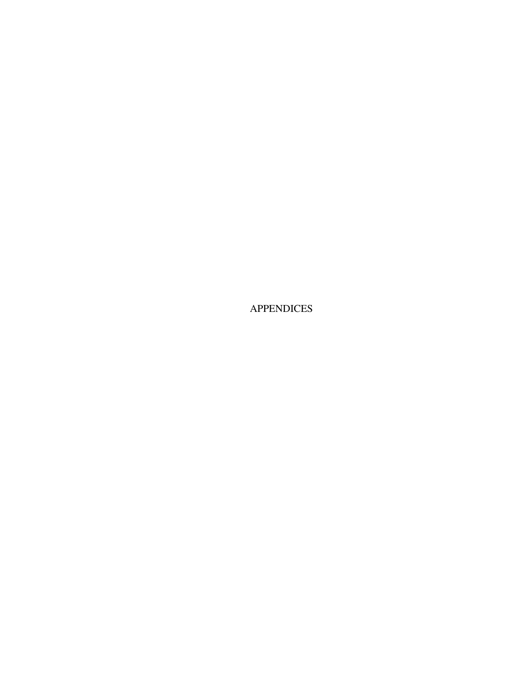APPENDICES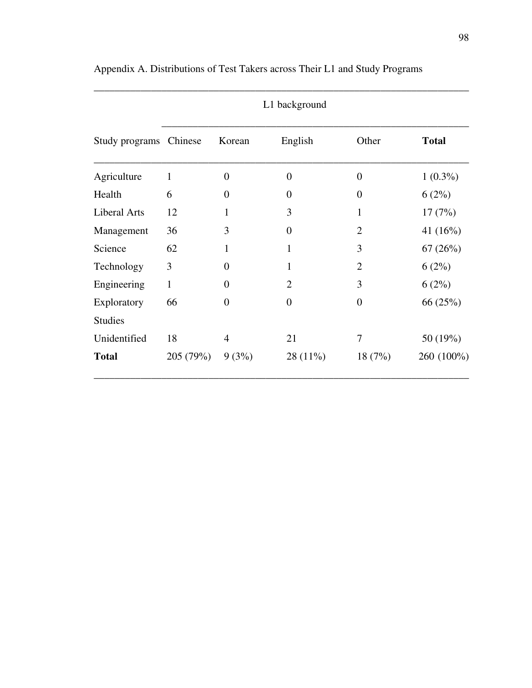| Study programs Chinese |              | Korean           | English        | Other            | <b>Total</b> |
|------------------------|--------------|------------------|----------------|------------------|--------------|
| Agriculture            | $\mathbf{1}$ | $\boldsymbol{0}$ | $\overline{0}$ | $\boldsymbol{0}$ | $1(0.3\%)$   |
| Health                 | 6            | $\overline{0}$   | $\theta$       | $\overline{0}$   | $6(2\%)$     |
| <b>Liberal Arts</b>    | 12           | $\mathbf{1}$     | 3              | 1                | 17(7%)       |
| Management             | 36           | 3                | $\theta$       | $\overline{2}$   | 41 $(16\%)$  |
| Science                | 62           | $\mathbf{1}$     | $\mathbf{1}$   | 3                | 67(26%)      |
| Technology             | 3            | $\overline{0}$   | 1              | $\overline{2}$   | $6(2\%)$     |
| Engineering            | $\mathbf{1}$ | $\overline{0}$   | $\overline{2}$ | 3                | $6(2\%)$     |
| Exploratory            | 66           | $\overline{0}$   | $\overline{0}$ | $\overline{0}$   | 66 (25%)     |
| <b>Studies</b>         |              |                  |                |                  |              |
| Unidentified           | 18           | $\overline{4}$   | 21             | 7                | 50 (19%)     |
| <b>Total</b>           | 205 (79%)    | $9(3\%)$         | $28(11\%)$     | 18(7%)           | 260 (100%)   |

Appendix A. Distributions of Test Takers across Their L1 and Study Programs

## L1 background

\_\_\_\_\_\_\_\_\_\_\_\_\_\_\_\_\_\_\_\_\_\_\_\_\_\_\_\_\_\_\_\_\_\_\_\_\_\_\_\_\_\_\_\_\_\_\_\_\_\_\_\_\_\_\_\_\_\_\_\_\_\_\_\_\_\_\_\_\_\_\_\_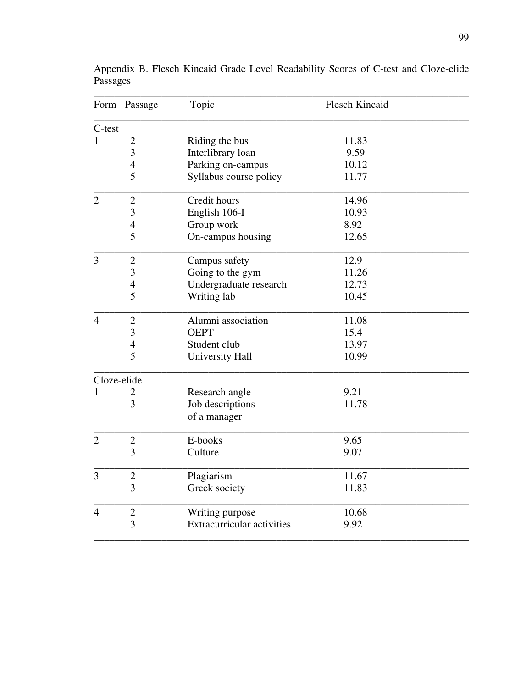|                | Form Passage   | Topic                             | <b>Flesch Kincaid</b> |  |
|----------------|----------------|-----------------------------------|-----------------------|--|
| C-test         |                |                                   |                       |  |
| $\mathbf{1}$   | $\overline{2}$ | Riding the bus                    | 11.83                 |  |
|                | 3              | Interlibrary loan                 | 9.59                  |  |
|                | $\overline{4}$ | Parking on-campus                 | 10.12                 |  |
|                | 5              | Syllabus course policy            | 11.77                 |  |
| $\overline{2}$ | $\overline{2}$ | Credit hours                      | 14.96                 |  |
|                | 3              | English 106-I                     | 10.93                 |  |
|                | $\overline{4}$ | Group work                        | 8.92                  |  |
|                | 5              | On-campus housing                 | 12.65                 |  |
| 3              | $\mathbf{2}$   | Campus safety                     | 12.9                  |  |
|                | $\overline{3}$ | Going to the gym                  | 11.26                 |  |
|                | $\overline{4}$ | Undergraduate research            | 12.73                 |  |
|                | 5              | Writing lab                       | 10.45                 |  |
| $\overline{4}$ | $\overline{2}$ | Alumni association                | 11.08                 |  |
|                | 3              | <b>OEPT</b>                       | 15.4                  |  |
|                | $\overline{4}$ | Student club                      | 13.97                 |  |
|                | 5              | <b>University Hall</b>            | 10.99                 |  |
| Cloze-elide    |                |                                   |                       |  |
| 1              | 2              | Research angle                    | 9.21                  |  |
|                | 3              | Job descriptions<br>of a manager  | 11.78                 |  |
|                |                |                                   |                       |  |
| $\overline{2}$ | $\mathbf{2}$   | E-books                           | 9.65                  |  |
|                | 3              | Culture                           | 9.07                  |  |
| $\overline{3}$ | $\overline{2}$ | Plagiarism                        | 11.67                 |  |
|                | 3              | Greek society                     | 11.83                 |  |
| $\overline{4}$ | $\mathfrak{2}$ | Writing purpose                   | 10.68                 |  |
|                | 3              | <b>Extracurricular activities</b> | 9.92                  |  |

Appendix B. Flesch Kincaid Grade Level Readability Scores of C-test and Cloze-elide Passages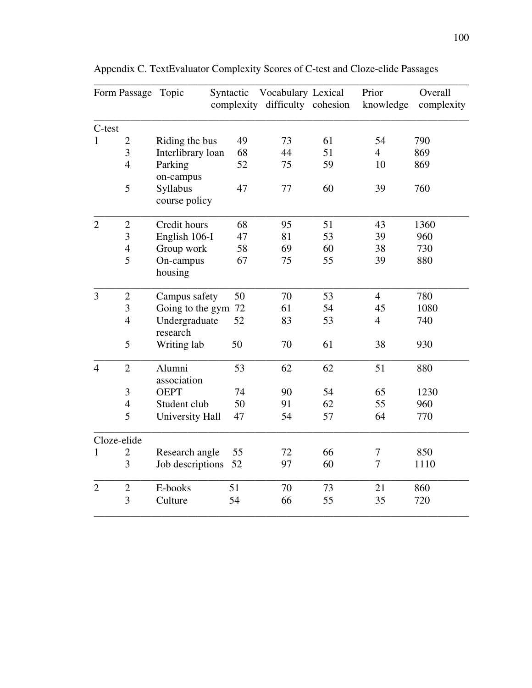|                | Form Passage Topic |                                        | Syntactic | Vocabulary Lexical<br>complexity difficulty cohesion |    | Prior<br>knowledge | Overall<br>complexity |
|----------------|--------------------|----------------------------------------|-----------|------------------------------------------------------|----|--------------------|-----------------------|
| C-test         |                    |                                        |           |                                                      |    |                    |                       |
| 1              | $\overline{2}$     | Riding the bus                         | 49        | 73                                                   | 61 | 54                 | 790                   |
|                | $\overline{3}$     | Interlibrary loan                      | 68        | 44                                                   | 51 | $\overline{4}$     | 869                   |
|                | $\overline{4}$     | Parking                                | 52        | 75                                                   | 59 | 10                 | 869                   |
|                | 5                  | on-campus<br>Syllabus<br>course policy | 47        | 77                                                   | 60 | 39                 | 760                   |
| $\overline{2}$ | $\overline{c}$     | Credit hours                           | 68        | 95                                                   | 51 | 43                 | 1360                  |
|                | $\overline{3}$     | English 106-I                          | 47        | 81                                                   | 53 | 39                 | 960                   |
|                | $\overline{4}$     | Group work                             | 58        | 69                                                   | 60 | 38                 | 730                   |
|                | 5                  | On-campus<br>housing                   | 67        | 75                                                   | 55 | 39                 | 880                   |
| 3              | $\overline{2}$     | Campus safety                          | 50        | 70                                                   | 53 | $\overline{4}$     | 780                   |
|                | 3                  | Going to the gym 72                    |           | 61                                                   | 54 | 45                 | 1080                  |
|                | $\overline{4}$     | Undergraduate<br>research              | 52        | 83                                                   | 53 | $\overline{4}$     | 740                   |
|                | 5                  | Writing lab                            | 50        | 70                                                   | 61 | 38                 | 930                   |
| $\overline{4}$ | $\overline{2}$     | Alumni<br>association                  | 53        | 62                                                   | 62 | 51                 | 880                   |
|                | $\mathfrak{Z}$     | <b>OEPT</b>                            | 74        | 90                                                   | 54 | 65                 | 1230                  |
|                | $\overline{4}$     | Student club                           | 50        | 91                                                   | 62 | 55                 | 960                   |
|                | 5                  | University Hall                        | 47        | 54                                                   | 57 | 64                 | 770                   |
| Cloze-elide    |                    |                                        |           |                                                      |    |                    |                       |
| 1              | $\overline{2}$     | Research angle                         | 55        | 72                                                   | 66 | 7                  | 850                   |
|                | 3                  | Job descriptions                       | 52        | 97                                                   | 60 | $\overline{7}$     | 1110                  |
| $\overline{2}$ | $\overline{2}$     | E-books                                | 51        | 70                                                   | 73 | 21                 | 860                   |
|                | $\overline{3}$     | Culture                                | 54        | 66                                                   | 55 | 35                 | 720                   |

Appendix C. TextEvaluator Complexity Scores of C-test and Cloze-elide Passages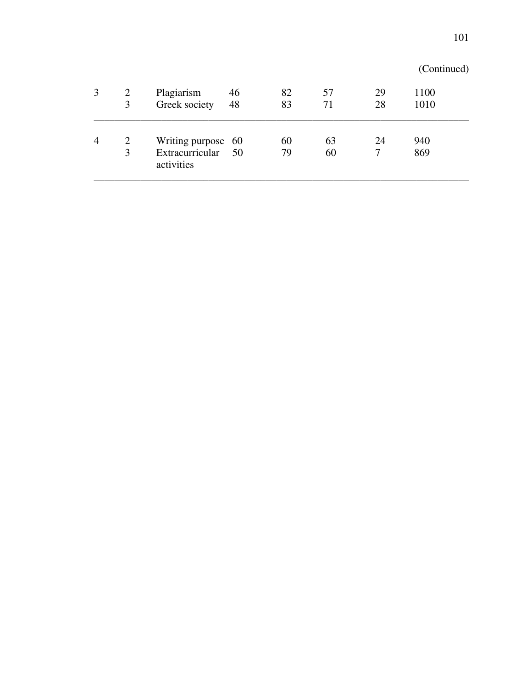|   |   |                               |    |    |    |    | (Continued) |  |
|---|---|-------------------------------|----|----|----|----|-------------|--|
| 3 | 2 | Plagiarism                    | 46 | 82 | 57 | 29 | 1100        |  |
|   | 3 | Greek society                 | 48 | 83 | 71 | 28 | 1010        |  |
| 4 | 2 | Writing purpose 60            |    | 60 | 63 | 24 | 940         |  |
|   | 3 | Extracurricular<br>activities | 50 | 79 | 60 |    | 869         |  |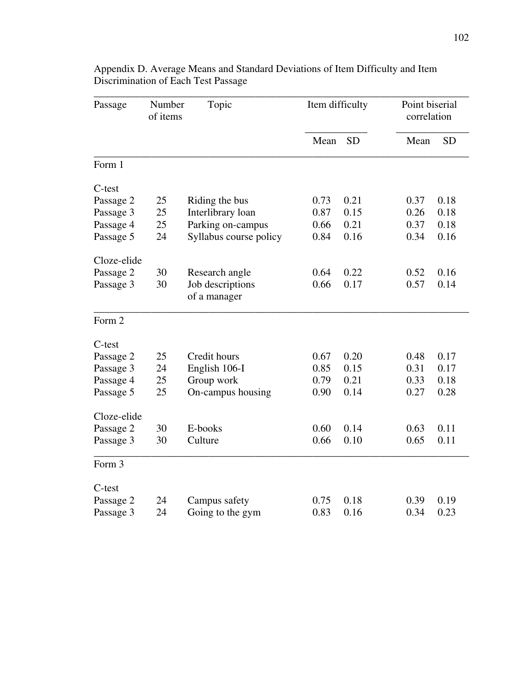| Passage     |    | Number<br>Topic<br>of items      |      | Item difficulty |      | Point biserial<br>correlation |  |
|-------------|----|----------------------------------|------|-----------------|------|-------------------------------|--|
|             |    |                                  | Mean | <b>SD</b>       | Mean | <b>SD</b>                     |  |
| Form 1      |    |                                  |      |                 |      |                               |  |
| C-test      |    |                                  |      |                 |      |                               |  |
| Passage 2   | 25 | Riding the bus                   | 0.73 | 0.21            | 0.37 | 0.18                          |  |
| Passage 3   | 25 | Interlibrary loan                | 0.87 | 0.15            | 0.26 | 0.18                          |  |
| Passage 4   | 25 | Parking on-campus                | 0.66 | 0.21            | 0.37 | 0.18                          |  |
| Passage 5   | 24 | Syllabus course policy           | 0.84 | 0.16            | 0.34 | 0.16                          |  |
| Cloze-elide |    |                                  |      |                 |      |                               |  |
| Passage 2   | 30 | Research angle                   | 0.64 | 0.22            | 0.52 | 0.16                          |  |
| Passage 3   | 30 | Job descriptions<br>of a manager | 0.66 | 0.17            | 0.57 | 0.14                          |  |
| Form 2      |    |                                  |      |                 |      |                               |  |
| C-test      |    |                                  |      |                 |      |                               |  |
| Passage 2   | 25 | Credit hours                     | 0.67 | 0.20            | 0.48 | 0.17                          |  |
| Passage 3   | 24 | English 106-I                    | 0.85 | 0.15            | 0.31 | 0.17                          |  |
| Passage 4   | 25 | Group work                       | 0.79 | 0.21            | 0.33 | 0.18                          |  |
| Passage 5   | 25 | On-campus housing                | 0.90 | 0.14            | 0.27 | 0.28                          |  |
| Cloze-elide |    |                                  |      |                 |      |                               |  |
| Passage 2   | 30 | E-books                          | 0.60 | 0.14            | 0.63 | 0.11                          |  |
| Passage 3   | 30 | Culture                          | 0.66 | 0.10            | 0.65 | 0.11                          |  |
| Form 3      |    |                                  |      |                 |      |                               |  |
| C-test      |    |                                  |      |                 |      |                               |  |
| Passage 2   | 24 | Campus safety                    | 0.75 | 0.18            | 0.39 | 0.19                          |  |
| Passage 3   | 24 | Going to the gym                 | 0.83 | 0.16            | 0.34 | 0.23                          |  |

Appendix D. Average Means and Standard Deviations of Item Difficulty and Item Discrimination of Each Test Passage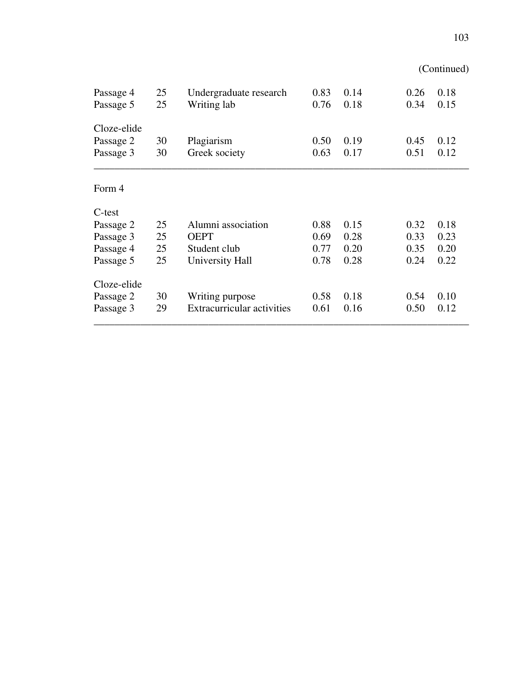|             |    |                                   |      |      |      | (Continued) |
|-------------|----|-----------------------------------|------|------|------|-------------|
| Passage 4   | 25 | Undergraduate research            | 0.83 | 0.14 | 0.26 | 0.18        |
| Passage 5   | 25 | Writing lab                       | 0.76 | 0.18 | 0.34 | 0.15        |
| Cloze-elide |    |                                   |      |      |      |             |
| Passage 2   | 30 | Plagiarism                        | 0.50 | 0.19 | 0.45 | 0.12        |
| Passage 3   | 30 | Greek society                     | 0.63 | 0.17 | 0.51 | 0.12        |
| Form 4      |    |                                   |      |      |      |             |
| C-test      |    |                                   |      |      |      |             |
| Passage 2   | 25 | Alumni association                | 0.88 | 0.15 | 0.32 | 0.18        |
| Passage 3   | 25 | <b>OEPT</b>                       | 0.69 | 0.28 | 0.33 | 0.23        |
| Passage 4   | 25 | Student club                      | 0.77 | 0.20 | 0.35 | 0.20        |
| Passage 5   | 25 | University Hall                   | 0.78 | 0.28 | 0.24 | 0.22        |
| Cloze-elide |    |                                   |      |      |      |             |
| Passage 2   | 30 | Writing purpose                   | 0.58 | 0.18 | 0.54 | 0.10        |
| Passage 3   | 29 | <b>Extracurricular activities</b> | 0.61 | 0.16 | 0.50 | 0.12        |
|             |    |                                   |      |      |      |             |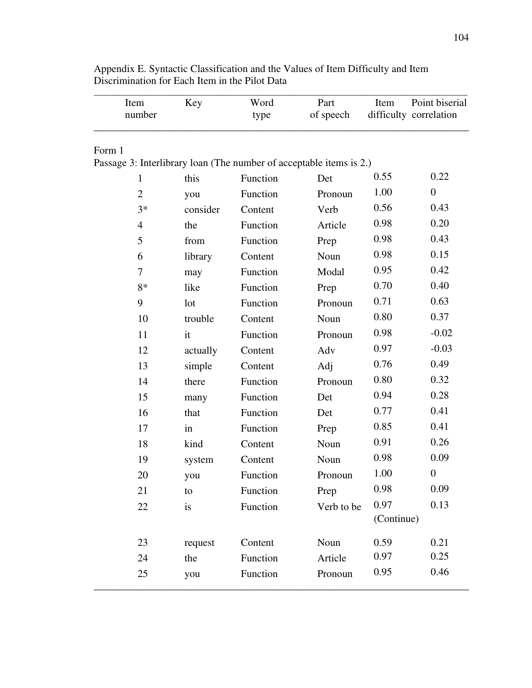| Item<br>number                                                      | Key      | Word<br>type | Part<br>of speech | Item       | Point biserial<br>difficulty correlation |
|---------------------------------------------------------------------|----------|--------------|-------------------|------------|------------------------------------------|
| Form 1                                                              |          |              |                   |            |                                          |
| Passage 3: Interlibrary loan (The number of acceptable items is 2.) |          |              |                   |            |                                          |
| 1                                                                   | this     | Function     | Det               | 0.55       | 0.22                                     |
| $\overline{2}$                                                      | you      | Function     | Pronoun           | 1.00       | $\overline{0}$                           |
| $3*$                                                                | consider | Content      | Verb              | 0.56       | 0.43                                     |
| $\overline{4}$                                                      | the      | Function     | Article           | 0.98       | 0.20                                     |
| 5                                                                   | from     | Function     | Prep              | 0.98       | 0.43                                     |
| 6                                                                   | library  | Content      | Noun              | 0.98       | 0.15                                     |
| 7                                                                   | may      | Function     | Modal             | 0.95       | 0.42                                     |
| $8*$                                                                | like     | Function     | Prep              | 0.70       | 0.40                                     |
| 9                                                                   | lot      | Function     | Pronoun           | 0.71       | 0.63                                     |
| 10                                                                  | trouble  | Content      | Noun              | 0.80       | 0.37                                     |
| 11                                                                  | it       | Function     | Pronoun           | 0.98       | $-0.02$                                  |
| 12                                                                  | actually | Content      | Adv               | 0.97       | $-0.03$                                  |
| 13                                                                  | simple   | Content      | Adj               | 0.76       | 0.49                                     |
| 14                                                                  | there    | Function     | Pronoun           | 0.80       | 0.32                                     |
| 15                                                                  | many     | Function     | Det               | 0.94       | 0.28                                     |
| 16                                                                  | that     | Function     | Det               | 0.77       | 0.41                                     |
| 17                                                                  | in       | Function     | Prep              | 0.85       | 0.41                                     |
| 18                                                                  | kind     | Content      | Noun              | 0.91       | 0.26                                     |
| 19                                                                  | system   | Content      | Noun              | 0.98       | 0.09                                     |
| 20                                                                  | you      | Function     | Pronoun           | 1.00       | $\boldsymbol{0}$                         |
| 21                                                                  | to       | Function     | Prep              | 0.98       | 0.09                                     |
| 22                                                                  | is       | Function     | Verb to be        | 0.97       | 0.13                                     |
|                                                                     |          |              |                   | (Continue) |                                          |
| 23                                                                  | request  | Content      | Noun              | 0.59       | 0.21                                     |
| 24                                                                  | the      | Function     | Article           | 0.97       | 0.25                                     |
| 25                                                                  | you      | Function     | Pronoun           | 0.95       | 0.46                                     |

Appendix E. Syntactic Classification and the Values of Item Difficulty and Item Discrimination for Each Item in the Pilot Data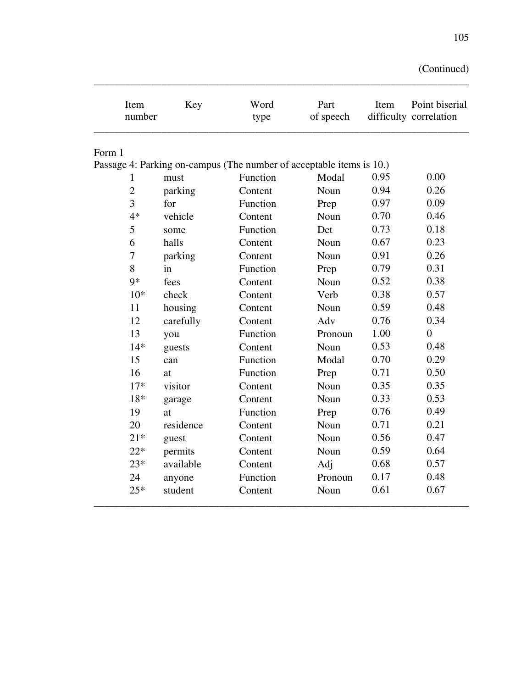| Item<br>number | Key       | Word<br>type                                                         | Part<br>of speech | Item | Point biserial<br>difficulty correlation |
|----------------|-----------|----------------------------------------------------------------------|-------------------|------|------------------------------------------|
| Form 1         |           |                                                                      |                   |      |                                          |
|                |           | Passage 4: Parking on-campus (The number of acceptable items is 10.) |                   |      |                                          |
| 1              | must      | Function                                                             | Modal             | 0.95 | 0.00                                     |
| $\overline{2}$ | parking   | Content                                                              | Noun              | 0.94 | 0.26                                     |
| 3              | for       | Function                                                             | Prep              | 0.97 | 0.09                                     |
| $4*$           | vehicle   | Content                                                              | Noun              | 0.70 | 0.46                                     |
| 5              | some      | Function                                                             | Det               | 0.73 | 0.18                                     |
| 6              | halls     | Content                                                              | Noun              | 0.67 | 0.23                                     |
| 7              | parking   | Content                                                              | Noun              | 0.91 | 0.26                                     |
| 8              | in        | Function                                                             | Prep              | 0.79 | 0.31                                     |
| $9*$           | fees      | Content                                                              | Noun              | 0.52 | 0.38                                     |
| $10*$          | check     | Content                                                              | Verb              | 0.38 | 0.57                                     |
| 11             | housing   | Content                                                              | Noun              | 0.59 | 0.48                                     |
| 12             | carefully | Content                                                              | Adv               | 0.76 | 0.34                                     |
| 13             | you       | Function                                                             | Pronoun           | 1.00 | $\boldsymbol{0}$                         |
| $14*$          | guests    | Content                                                              | Noun              | 0.53 | 0.48                                     |
| 15             | can       | Function                                                             | Modal             | 0.70 | 0.29                                     |
| 16             | at        | Function                                                             | Prep              | 0.71 | 0.50                                     |
| $17*$          | visitor   | Content                                                              | Noun              | 0.35 | 0.35                                     |
| $18*$          | garage    | Content                                                              | Noun              | 0.33 | 0.53                                     |
| 19             | at        | Function                                                             | Prep              | 0.76 | 0.49                                     |
| 20             | residence | Content                                                              | Noun              | 0.71 | 0.21                                     |
| $21*$          | guest     | Content                                                              | Noun              | 0.56 | 0.47                                     |
| $22*$          | permits   | Content                                                              | Noun              | 0.59 | 0.64                                     |
| $23*$          | available | Content                                                              | Adj               | 0.68 | 0.57                                     |
| 24             | anyone    | Function                                                             | Pronoun           | 0.17 | 0.48                                     |
| $25*$          | student   | Content                                                              | Noun              | 0.61 | 0.67                                     |

\_\_\_\_\_\_\_\_\_\_\_\_\_\_\_\_\_\_\_\_\_\_\_\_\_\_\_\_\_\_\_\_\_\_\_\_\_\_\_\_\_\_\_\_\_\_\_\_\_\_\_\_\_\_\_\_\_\_\_\_\_\_\_\_\_\_\_\_\_\_\_\_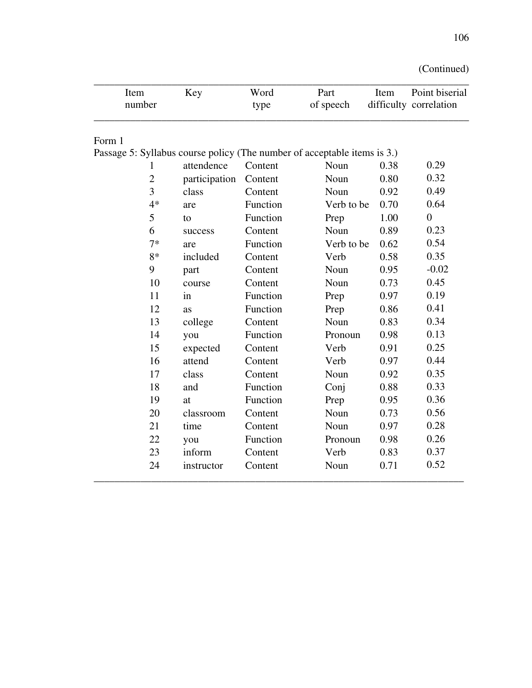| Item<br>number                                                           | Key           | Word<br>type | Part<br>of speech | Item | Point biserial<br>difficulty correlation |
|--------------------------------------------------------------------------|---------------|--------------|-------------------|------|------------------------------------------|
| Form 1                                                                   |               |              |                   |      |                                          |
| Passage 5: Syllabus course policy (The number of acceptable items is 3.) |               |              |                   |      |                                          |
| 1                                                                        | attendence    | Content      | Noun              | 0.38 | 0.29                                     |
| $\overline{2}$                                                           | participation | Content      | Noun              | 0.80 | 0.32                                     |
| 3                                                                        | class         | Content      | Noun              | 0.92 | 0.49                                     |
| $4*$                                                                     | are           | Function     | Verb to be        | 0.70 | 0.64                                     |
| 5                                                                        | to            | Function     | Prep              | 1.00 | $\overline{0}$                           |
| 6                                                                        | success       | Content      | Noun              | 0.89 | 0.23                                     |
| $7*$                                                                     | are           | Function     | Verb to be        | 0.62 | 0.54                                     |
| $8*$                                                                     | included      | Content      | Verb              | 0.58 | 0.35                                     |
| 9                                                                        | part          | Content      | Noun              | 0.95 | $-0.02$                                  |
| 10                                                                       | course        | Content      | Noun              | 0.73 | 0.45                                     |
| 11                                                                       | in            | Function     | Prep              | 0.97 | 0.19                                     |
| 12                                                                       | as            | Function     | Prep              | 0.86 | 0.41                                     |
| 13                                                                       | college       | Content      | Noun              | 0.83 | 0.34                                     |
| 14                                                                       | you           | Function     | Pronoun           | 0.98 | 0.13                                     |
| 15                                                                       | expected      | Content      | Verb              | 0.91 | 0.25                                     |
| 16                                                                       | attend        | Content      | Verb              | 0.97 | 0.44                                     |
| 17                                                                       | class         | Content      | Noun              | 0.92 | 0.35                                     |
| 18                                                                       | and           | Function     | Conj              | 0.88 | 0.33                                     |
| 19                                                                       | at            | Function     | Prep              | 0.95 | 0.36                                     |
| 20                                                                       | classroom     | Content      | Noun              | 0.73 | 0.56                                     |
| 21                                                                       | time          | Content      | Noun              | 0.97 | 0.28                                     |
| 22                                                                       | you           | Function     | Pronoun           | 0.98 | 0.26                                     |
| 23                                                                       | inform        | Content      | Verb              | 0.83 | 0.37                                     |
| 24                                                                       | instructor    | Content      | Noun              | 0.71 | 0.52                                     |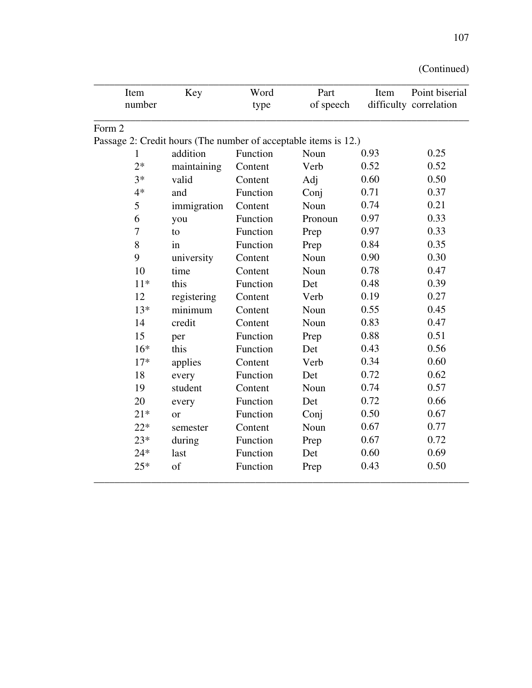| (Continued) |  |
|-------------|--|
|-------------|--|

| Item                                                            | Key         | Word     | Part      | Item | Point biserial         |
|-----------------------------------------------------------------|-------------|----------|-----------|------|------------------------|
| number                                                          |             | type     | of speech |      | difficulty correlation |
| Form 2                                                          |             |          |           |      |                        |
| Passage 2: Credit hours (The number of acceptable items is 12.) |             |          |           |      |                        |
| 1                                                               | addition    | Function | Noun      | 0.93 | 0.25                   |
| $2*$                                                            | maintaining | Content  | Verb      | 0.52 | 0.52                   |
| $3*$                                                            | valid       | Content  | Adj       | 0.60 | 0.50                   |
| $4*$                                                            | and         | Function | Conj      | 0.71 | 0.37                   |
| 5                                                               | immigration | Content  | Noun      | 0.74 | 0.21                   |
| 6                                                               | you         | Function | Pronoun   | 0.97 | 0.33                   |
| 7                                                               | to          | Function | Prep      | 0.97 | 0.33                   |
| 8                                                               | in          | Function | Prep      | 0.84 | 0.35                   |
| 9                                                               | university  | Content  | Noun      | 0.90 | 0.30                   |
| 10                                                              | time        | Content  | Noun      | 0.78 | 0.47                   |
| $11*$                                                           | this        | Function | Det       | 0.48 | 0.39                   |
| 12                                                              | registering | Content  | Verb      | 0.19 | 0.27                   |
| $13*$                                                           | minimum     | Content  | Noun      | 0.55 | 0.45                   |
| 14                                                              | credit      | Content  | Noun      | 0.83 | 0.47                   |
| 15                                                              | per         | Function | Prep      | 0.88 | 0.51                   |
| $16*$                                                           | this        | Function | Det       | 0.43 | 0.56                   |
| $17*$                                                           | applies     | Content  | Verb      | 0.34 | 0.60                   |
| 18                                                              | every       | Function | Det       | 0.72 | 0.62                   |
| 19                                                              | student     | Content  | Noun      | 0.74 | 0.57                   |
| 20                                                              | every       | Function | Det       | 0.72 | 0.66                   |
| $21*$                                                           | <b>or</b>   | Function | Conj      | 0.50 | 0.67                   |
| $22*$                                                           | semester    | Content  | Noun      | 0.67 | 0.77                   |
| $23*$                                                           | during      | Function | Prep      | 0.67 | 0.72                   |
| $24*$                                                           | last        | Function | Det       | 0.60 | 0.69                   |
| $25*$                                                           | of          | Function | Prep      | 0.43 | 0.50                   |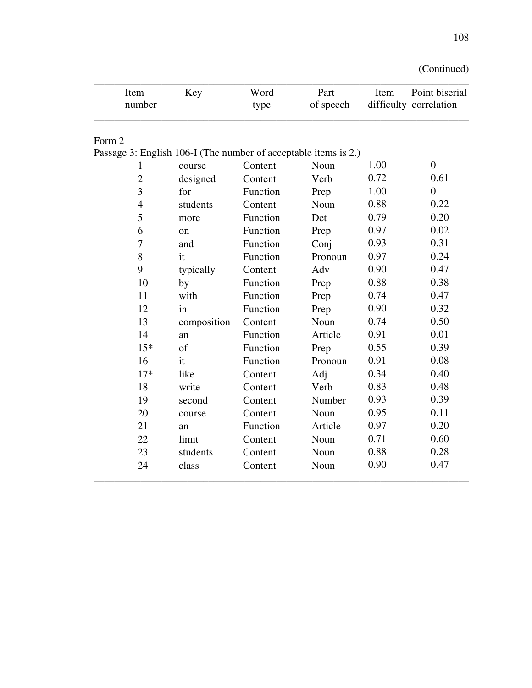| (Continued) |  |
|-------------|--|
|             |  |

| Item<br>number                                                  | Key           | Word<br>type | Part<br>of speech | Item | Point biserial<br>difficulty correlation |
|-----------------------------------------------------------------|---------------|--------------|-------------------|------|------------------------------------------|
|                                                                 |               |              |                   |      |                                          |
| Form 2                                                          |               |              |                   |      |                                          |
| Passage 3: English 106-I (The number of acceptable items is 2.) |               |              |                   |      |                                          |
| 1                                                               | course        | Content      | Noun              | 1.00 | $\overline{0}$                           |
| $\overline{2}$                                                  | designed      | Content      | Verb              | 0.72 | 0.61                                     |
| 3                                                               | for           | Function     | Prep              | 1.00 | $\overline{0}$                           |
| $\overline{4}$                                                  | students      | Content      | Noun              | 0.88 | 0.22                                     |
| 5                                                               | more          | Function     | Det               | 0.79 | 0.20                                     |
| 6                                                               | <sub>on</sub> | Function     | Prep              | 0.97 | 0.02                                     |
| 7                                                               | and           | Function     | Conj              | 0.93 | 0.31                                     |
| 8                                                               | it            | Function     | Pronoun           | 0.97 | 0.24                                     |
| 9                                                               | typically     | Content      | Adv               | 0.90 | 0.47                                     |
| 10                                                              | by            | Function     | Prep              | 0.88 | 0.38                                     |
| 11                                                              | with          | Function     | Prep              | 0.74 | 0.47                                     |
| 12                                                              | in            | Function     | Prep              | 0.90 | 0.32                                     |
| 13                                                              | composition   | Content      | Noun              | 0.74 | 0.50                                     |
| 14                                                              | an            | Function     | Article           | 0.91 | 0.01                                     |
| $15*$                                                           | of            | Function     | Prep              | 0.55 | 0.39                                     |
| 16                                                              | it            | Function     | Pronoun           | 0.91 | 0.08                                     |
| $17*$                                                           | like          | Content      | Adj               | 0.34 | 0.40                                     |
| 18                                                              | write         | Content      | Verb              | 0.83 | 0.48                                     |
| 19                                                              | second        | Content      | Number            | 0.93 | 0.39                                     |
| 20                                                              | course        | Content      | Noun              | 0.95 | 0.11                                     |
| 21                                                              | an            | Function     | Article           | 0.97 | 0.20                                     |
| 22                                                              | limit         | Content      | Noun              | 0.71 | 0.60                                     |
| 23                                                              | students      | Content      | Noun              | 0.88 | 0.28                                     |
| 24                                                              | class         | Content      | Noun              | 0.90 | 0.47                                     |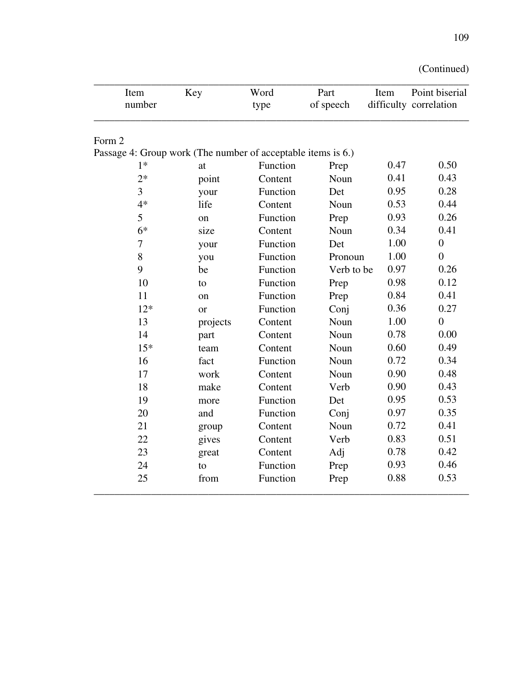| Item<br>number                                               | Key           | Word<br>type | Part<br>of speech | Item | Point biserial<br>difficulty correlation |
|--------------------------------------------------------------|---------------|--------------|-------------------|------|------------------------------------------|
| Form 2                                                       |               |              |                   |      |                                          |
| Passage 4: Group work (The number of acceptable items is 6.) |               |              |                   |      |                                          |
| $1*$                                                         | at            | Function     | Prep              | 0.47 | 0.50                                     |
| $2*$                                                         | point         | Content      | Noun              | 0.41 | 0.43                                     |
| 3                                                            | your          | Function     | Det               | 0.95 | 0.28                                     |
| $4*$                                                         | life          | Content      | Noun              | 0.53 | 0.44                                     |
| 5                                                            | <sub>on</sub> | Function     | Prep              | 0.93 | 0.26                                     |
| $6*$                                                         | size          | Content      | Noun              | 0.34 | 0.41                                     |
| 7                                                            | your          | Function     | Det               | 1.00 | $\overline{0}$                           |
| 8                                                            | you           | Function     | Pronoun           | 1.00 | $\overline{0}$                           |
| 9                                                            | be            | Function     | Verb to be        | 0.97 | 0.26                                     |
| 10                                                           | to            | Function     | Prep              | 0.98 | 0.12                                     |
| 11                                                           | on            | Function     | Prep              | 0.84 | 0.41                                     |
| $12*$                                                        | <sub>or</sub> | Function     | Conj              | 0.36 | 0.27                                     |
| 13                                                           | projects      | Content      | Noun              | 1.00 | $\overline{0}$                           |
| 14                                                           | part          | Content      | Noun              | 0.78 | 0.00                                     |
| $15*$                                                        | team          | Content      | Noun              | 0.60 | 0.49                                     |
| 16                                                           | fact          | Function     | Noun              | 0.72 | 0.34                                     |
| 17                                                           | work          | Content      | Noun              | 0.90 | 0.48                                     |
| 18                                                           | make          | Content      | Verb              | 0.90 | 0.43                                     |
| 19                                                           | more          | Function     | Det               | 0.95 | 0.53                                     |
| 20                                                           | and           | Function     | Conj              | 0.97 | 0.35                                     |
| 21                                                           | group         | Content      | Noun              | 0.72 | 0.41                                     |
| 22                                                           | gives         | Content      | Verb              | 0.83 | 0.51                                     |
| 23                                                           | great         | Content      | Adj               | 0.78 | 0.42                                     |
| 24                                                           | to            | Function     | Prep              | 0.93 | 0.46                                     |
| 25                                                           | from          | Function     | Prep              | 0.88 | 0.53                                     |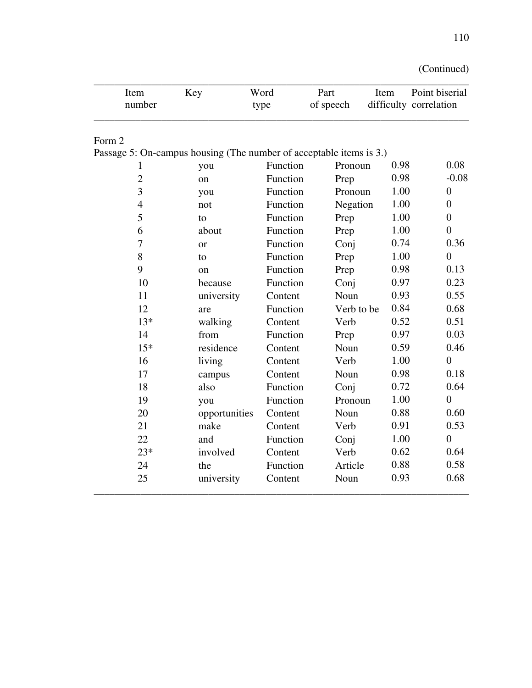| Item<br>number | Key                                                                 | Word<br>type | Part<br>of speech | Item | Point biserial<br>difficulty correlation |
|----------------|---------------------------------------------------------------------|--------------|-------------------|------|------------------------------------------|
| Form 2         |                                                                     |              |                   |      |                                          |
|                | Passage 5: On-campus housing (The number of acceptable items is 3.) |              |                   |      |                                          |
| 1              | you                                                                 | Function     | Pronoun           | 0.98 | 0.08                                     |
| $\overline{2}$ | on                                                                  | Function     | Prep              | 0.98 | $-0.08$                                  |
| 3              | you                                                                 | Function     | Pronoun           | 1.00 | $\boldsymbol{0}$                         |
| $\overline{4}$ | not                                                                 | Function     | Negation          | 1.00 | $\overline{0}$                           |
| 5              | to                                                                  | Function     | Prep              | 1.00 | $\overline{0}$                           |
| 6              | about                                                               | Function     | Prep              | 1.00 | $\overline{0}$                           |
| 7              | <b>or</b>                                                           | Function     | Conj              | 0.74 | 0.36                                     |
| 8              | to                                                                  | Function     | Prep              | 1.00 | $\overline{0}$                           |
| 9              | $_{\rm on}$                                                         | Function     | Prep              | 0.98 | 0.13                                     |
| 10             | because                                                             | Function     | Conj              | 0.97 | 0.23                                     |
| 11             | university                                                          | Content      | Noun              | 0.93 | 0.55                                     |
| 12             | are                                                                 | Function     | Verb to be        | 0.84 | 0.68                                     |
| $13*$          | walking                                                             | Content      | Verb              | 0.52 | 0.51                                     |
| 14             | from                                                                | Function     | Prep              | 0.97 | 0.03                                     |
| $15*$          | residence                                                           | Content      | Noun              | 0.59 | 0.46                                     |
| 16             | living                                                              | Content      | Verb              | 1.00 | $\theta$                                 |
| 17             | campus                                                              | Content      | Noun              | 0.98 | 0.18                                     |
| 18             | also                                                                | Function     | Conj              | 0.72 | 0.64                                     |
| 19             | you                                                                 | Function     | Pronoun           | 1.00 | $\overline{0}$                           |
| 20             | opportunities                                                       | Content      | Noun              | 0.88 | 0.60                                     |
| 21             | make                                                                | Content      | Verb              | 0.91 | 0.53                                     |
| 22             | and                                                                 | Function     | Conj              | 1.00 | $\overline{0}$                           |
| $23*$          | involved                                                            | Content      | Verb              | 0.62 | 0.64                                     |
| 24             | the                                                                 | Function     | Article           | 0.88 | 0.58                                     |
| 25             | university                                                          | Content      | Noun              | 0.93 | 0.68                                     |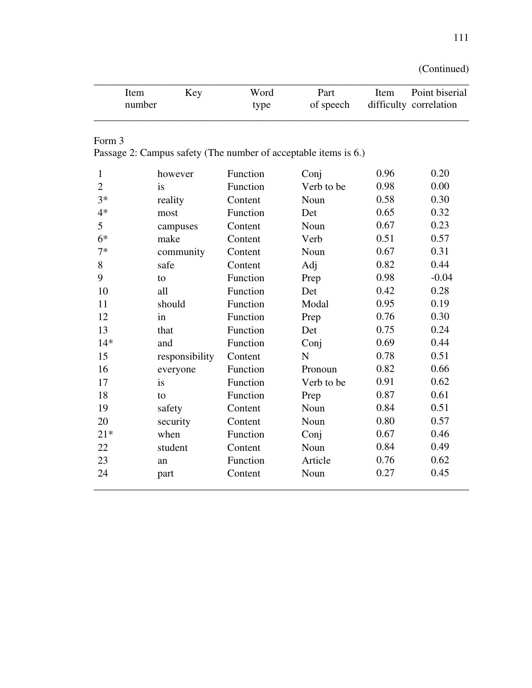| (Continued) |  |
|-------------|--|
|             |  |

|                | Item   | Key            | Word     | Part                                                            | Item | Point biserial         |
|----------------|--------|----------------|----------|-----------------------------------------------------------------|------|------------------------|
|                | number |                | type     | of speech                                                       |      | difficulty correlation |
| Form 3         |        |                |          |                                                                 |      |                        |
|                |        |                |          | Passage 2: Campus safety (The number of acceptable items is 6.) |      |                        |
| 1              |        | however        | Function | Conj                                                            | 0.96 | 0.20                   |
| $\overline{2}$ |        | is             | Function | Verb to be                                                      | 0.98 | 0.00                   |
| $3*$           |        | reality        | Content  | Noun                                                            | 0.58 | 0.30                   |
| $4*$           |        | most           | Function | Det                                                             | 0.65 | 0.32                   |
| 5              |        | campuses       | Content  | Noun                                                            | 0.67 | 0.23                   |
| $6*$           |        | make           | Content  | Verb                                                            | 0.51 | 0.57                   |
| $7*$           |        | community      | Content  | Noun                                                            | 0.67 | 0.31                   |
| 8              |        | safe           | Content  | Adj                                                             | 0.82 | 0.44                   |
| 9              |        | to             | Function | Prep                                                            | 0.98 | $-0.04$                |
| 10             |        | all            | Function | Det                                                             | 0.42 | 0.28                   |
| 11             |        | should         | Function | Modal                                                           | 0.95 | 0.19                   |
| 12             |        | in             | Function | Prep                                                            | 0.76 | 0.30                   |
| 13             |        | that           | Function | Det                                                             | 0.75 | 0.24                   |
| $14*$          |        | and            | Function | Conj                                                            | 0.69 | 0.44                   |
| 15             |        | responsibility | Content  | N                                                               | 0.78 | 0.51                   |
| 16             |        | everyone       | Function | Pronoun                                                         | 0.82 | 0.66                   |
| 17             |        | is             | Function | Verb to be                                                      | 0.91 | 0.62                   |
| 18             |        | to             | Function | Prep                                                            | 0.87 | 0.61                   |
| 19             |        | safety         | Content  | Noun                                                            | 0.84 | 0.51                   |
| 20             |        | security       | Content  | Noun                                                            | 0.80 | 0.57                   |
| $21*$          |        | when           | Function | Conj                                                            | 0.67 | 0.46                   |
| 22             |        | student        | Content  | Noun                                                            | 0.84 | 0.49                   |
| 23             |        | an             | Function | Article                                                         | 0.76 | 0.62                   |
| 24             |        | part           | Content  | Noun                                                            | 0.27 | 0.45                   |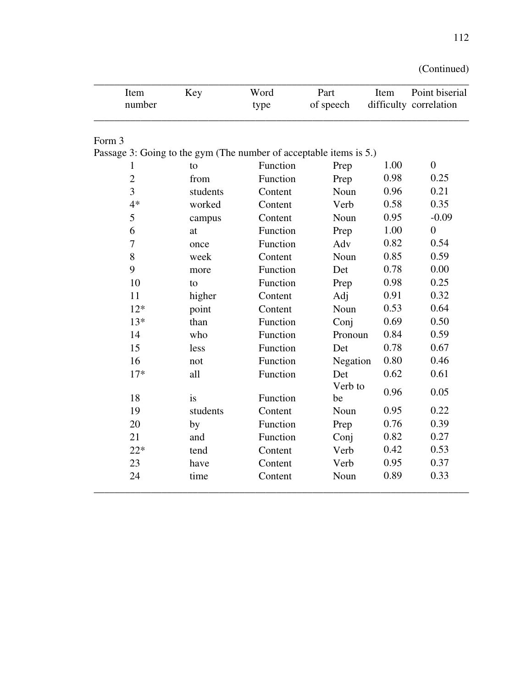| Item<br>number                                                     | Key      | Word<br>type | Part<br>of speech | Item | Point biserial<br>difficulty correlation |
|--------------------------------------------------------------------|----------|--------------|-------------------|------|------------------------------------------|
| Form 3                                                             |          |              |                   |      |                                          |
| Passage 3: Going to the gym (The number of acceptable items is 5.) |          |              |                   |      |                                          |
| 1                                                                  | to       | Function     | Prep              | 1.00 | $\overline{0}$                           |
| $\overline{2}$                                                     | from     | Function     | Prep              | 0.98 | 0.25                                     |
| 3                                                                  | students | Content      | Noun              | 0.96 | 0.21                                     |
| $4*$                                                               | worked   | Content      | Verb              | 0.58 | 0.35                                     |
| 5                                                                  | campus   | Content      | Noun              | 0.95 | $-0.09$                                  |
| 6                                                                  | at       | Function     | Prep              | 1.00 | $\overline{0}$                           |
| 7                                                                  | once     | Function     | Adv               | 0.82 | 0.54                                     |
| 8                                                                  | week     | Content      | Noun              | 0.85 | 0.59                                     |
| 9                                                                  | more     | Function     | Det               | 0.78 | 0.00                                     |
| 10                                                                 | to       | Function     | Prep              | 0.98 | 0.25                                     |
| 11                                                                 | higher   | Content      | Adj               | 0.91 | 0.32                                     |
| $12*$                                                              | point    | Content      | Noun              | 0.53 | 0.64                                     |
| $13*$                                                              | than     | Function     | Conj              | 0.69 | 0.50                                     |
| 14                                                                 | who      | Function     | Pronoun           | 0.84 | 0.59                                     |
| 15                                                                 | less     | Function     | Det               | 0.78 | 0.67                                     |
| 16                                                                 | not      | Function     | Negation          | 0.80 | 0.46                                     |
| $17*$                                                              | all      | Function     | Det               | 0.62 | 0.61                                     |
| 18                                                                 | is       | Function     | Verb to<br>be     | 0.96 | 0.05                                     |
| 19                                                                 | students | Content      | Noun              | 0.95 | 0.22                                     |
| 20                                                                 | by       | Function     | Prep              | 0.76 | 0.39                                     |
| 21                                                                 | and      | Function     | Conj              | 0.82 | 0.27                                     |
| $22*$                                                              | tend     | Content      | Verb              | 0.42 | 0.53                                     |
| 23                                                                 | have     | Content      | Verb              | 0.95 | 0.37                                     |
| 24                                                                 | time     | Content      | Noun              | 0.89 | 0.33                                     |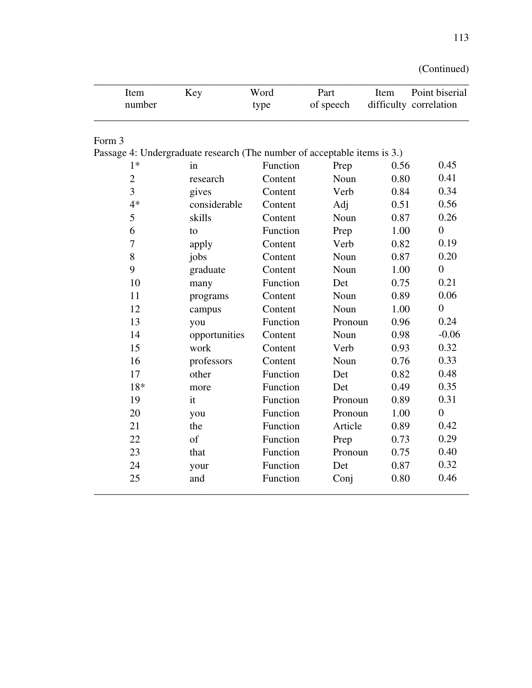| (Continued) |  |
|-------------|--|
|             |  |

| Item<br>number                                                           | Key           | Word<br>type | Part<br>of speech | Item | Point biserial<br>difficulty correlation |
|--------------------------------------------------------------------------|---------------|--------------|-------------------|------|------------------------------------------|
| Form 3                                                                   |               |              |                   |      |                                          |
| Passage 4: Undergraduate research (The number of acceptable items is 3.) |               |              |                   |      |                                          |
| $1*$                                                                     | in            | Function     | Prep              | 0.56 | 0.45                                     |
| $\mathbf{2}$                                                             | research      | Content      | Noun              | 0.80 | 0.41                                     |
| 3                                                                        | gives         | Content      | Verb              | 0.84 | 0.34                                     |
| $4*$                                                                     | considerable  | Content      | Adj               | 0.51 | 0.56                                     |
| 5                                                                        | skills        | Content      | Noun              | 0.87 | 0.26                                     |
| 6                                                                        | to            | Function     | Prep              | 1.00 | $\overline{0}$                           |
| 7                                                                        | apply         | Content      | Verb              | 0.82 | 0.19                                     |
| 8                                                                        | jobs          | Content      | Noun              | 0.87 | 0.20                                     |
| 9                                                                        | graduate      | Content      | Noun              | 1.00 | $\overline{0}$                           |
| 10                                                                       | many          | Function     | Det               | 0.75 | 0.21                                     |
| 11                                                                       | programs      | Content      | Noun              | 0.89 | 0.06                                     |
| 12                                                                       | campus        | Content      | Noun              | 1.00 | $\theta$                                 |
| 13                                                                       | you           | Function     | Pronoun           | 0.96 | 0.24                                     |
| 14                                                                       | opportunities | Content      | Noun              | 0.98 | $-0.06$                                  |
| 15                                                                       | work          | Content      | Verb              | 0.93 | 0.32                                     |
| 16                                                                       | professors    | Content      | Noun              | 0.76 | 0.33                                     |
| 17                                                                       | other         | Function     | Det               | 0.82 | 0.48                                     |
| 18*                                                                      | more          | Function     | Det               | 0.49 | 0.35                                     |
| 19                                                                       | it            | Function     | Pronoun           | 0.89 | 0.31                                     |
| 20                                                                       | you           | Function     | Pronoun           | 1.00 | $\overline{0}$                           |
| 21                                                                       | the           | Function     | Article           | 0.89 | 0.42                                     |
| 22                                                                       | of            | Function     | Prep              | 0.73 | 0.29                                     |
| 23                                                                       | that          | Function     | Pronoun           | 0.75 | 0.40                                     |
| 24                                                                       | your          | Function     | Det               | 0.87 | 0.32                                     |
| 25                                                                       | and           | Function     | Conj              | 0.80 | 0.46                                     |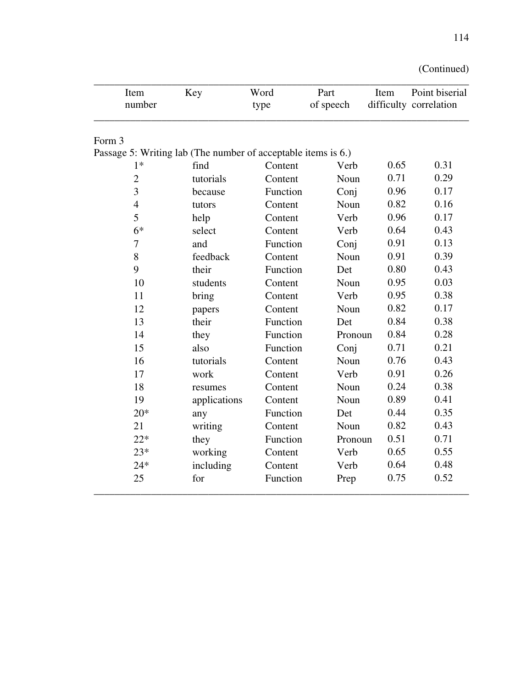| Item<br>number                                                | Key          | Word<br>type | Part<br>of speech | Item | Point biserial<br>difficulty correlation |
|---------------------------------------------------------------|--------------|--------------|-------------------|------|------------------------------------------|
| Form 3                                                        |              |              |                   |      |                                          |
| Passage 5: Writing lab (The number of acceptable items is 6.) |              |              |                   |      |                                          |
| $1*$                                                          | find         | Content      | Verb              | 0.65 | 0.31                                     |
| $\overline{c}$                                                | tutorials    | Content      | Noun              | 0.71 | 0.29                                     |
| 3                                                             | because      | Function     | Conj              | 0.96 | 0.17                                     |
| 4                                                             | tutors       | Content      | Noun              | 0.82 | 0.16                                     |
| 5                                                             | help         | Content      | Verb              | 0.96 | 0.17                                     |
| $6*$                                                          | select       | Content      | Verb              | 0.64 | 0.43                                     |
| 7                                                             | and          | Function     | Conj              | 0.91 | 0.13                                     |
| 8                                                             | feedback     | Content      | Noun              | 0.91 | 0.39                                     |
| 9                                                             | their        | Function     | Det               | 0.80 | 0.43                                     |
| 10                                                            | students     | Content      | Noun              | 0.95 | 0.03                                     |
| 11                                                            | bring        | Content      | Verb              | 0.95 | 0.38                                     |
| 12                                                            | papers       | Content      | Noun              | 0.82 | 0.17                                     |
| 13                                                            | their        | Function     | Det               | 0.84 | 0.38                                     |
| 14                                                            | they         | Function     | Pronoun           | 0.84 | 0.28                                     |
| 15                                                            | also         | Function     | Conj              | 0.71 | 0.21                                     |
| 16                                                            | tutorials    | Content      | Noun              | 0.76 | 0.43                                     |
| 17                                                            | work         | Content      | Verb              | 0.91 | 0.26                                     |
| 18                                                            | resumes      | Content      | Noun              | 0.24 | 0.38                                     |
| 19                                                            | applications | Content      | Noun              | 0.89 | 0.41                                     |
| $20*$                                                         | any          | Function     | Det               | 0.44 | 0.35                                     |
| 21                                                            | writing      | Content      | Noun              | 0.82 | 0.43                                     |
| $22*$                                                         | they         | Function     | Pronoun           | 0.51 | 0.71                                     |
| $23*$                                                         | working      | Content      | Verb              | 0.65 | 0.55                                     |
| $24*$                                                         | including    | Content      | Verb              | 0.64 | 0.48                                     |
| 25                                                            | for          | Function     | Prep              | 0.75 | 0.52                                     |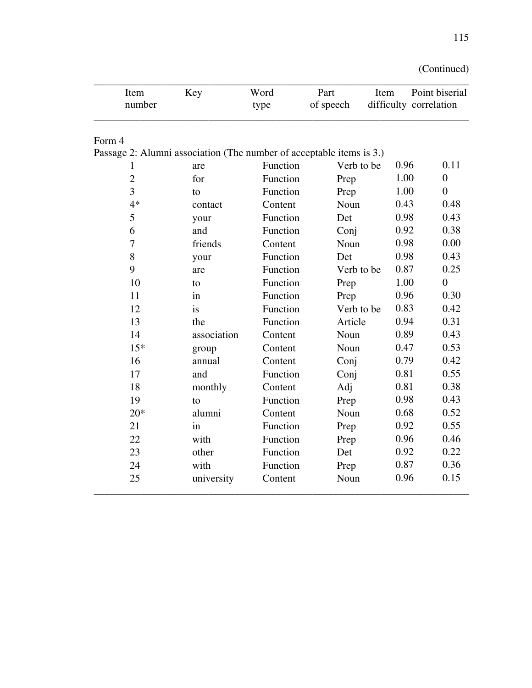| (Continued) |  |
|-------------|--|
|             |  |

| Item<br>number                                                       | Key         | Word<br>type | Part<br>of speech | Item | Point biserial<br>difficulty correlation |
|----------------------------------------------------------------------|-------------|--------------|-------------------|------|------------------------------------------|
|                                                                      |             |              |                   |      |                                          |
| Form 4                                                               |             |              |                   |      |                                          |
| Passage 2: Alumni association (The number of acceptable items is 3.) |             |              |                   |      |                                          |
| 1                                                                    | are         | Function     | Verb to be        | 0.96 | 0.11                                     |
| $\overline{2}$                                                       | for         | Function     | Prep              | 1.00 | $\overline{0}$                           |
| $\overline{3}$                                                       | to          | Function     | Prep              | 1.00 | $\overline{0}$                           |
| $4*$                                                                 | contact     | Content      | Noun              | 0.43 | 0.48                                     |
| 5                                                                    | your        | Function     | Det               | 0.98 | 0.43                                     |
| 6                                                                    | and         | Function     | Conj              | 0.92 | 0.38                                     |
| 7                                                                    | friends     | Content      | Noun              | 0.98 | 0.00                                     |
| 8                                                                    | your        | Function     | Det               | 0.98 | 0.43                                     |
| 9                                                                    | are         | Function     | Verb to be        | 0.87 | 0.25                                     |
| 10                                                                   | to          | Function     | Prep              | 1.00 | $\overline{0}$                           |
| 11                                                                   | in          | Function     | Prep              | 0.96 | 0.30                                     |
| 12                                                                   | is          | Function     | Verb to be        | 0.83 | 0.42                                     |
| 13                                                                   | the         | Function     | Article           | 0.94 | 0.31                                     |
| 14                                                                   | association | Content      | Noun              | 0.89 | 0.43                                     |
| $15*$                                                                | group       | Content      | Noun              | 0.47 | 0.53                                     |
| 16                                                                   | annual      | Content      | Conj              | 0.79 | 0.42                                     |
| 17                                                                   | and         | Function     | Conj              | 0.81 | 0.55                                     |
| 18                                                                   | monthly     | Content      | Adj               | 0.81 | 0.38                                     |
| 19                                                                   | to          | Function     | Prep              | 0.98 | 0.43                                     |
| $20*$                                                                | alumni      | Content      | Noun              | 0.68 | 0.52                                     |
| 21                                                                   | in          | Function     | Prep              | 0.92 | 0.55                                     |
| 22                                                                   | with        | Function     | Prep              | 0.96 | 0.46                                     |
| 23                                                                   | other       | Function     | Det               | 0.92 | 0.22                                     |
| 24                                                                   | with        | Function     | Prep              | 0.87 | 0.36                                     |
| 25                                                                   | university  | Content      | Noun              | 0.96 | 0.15                                     |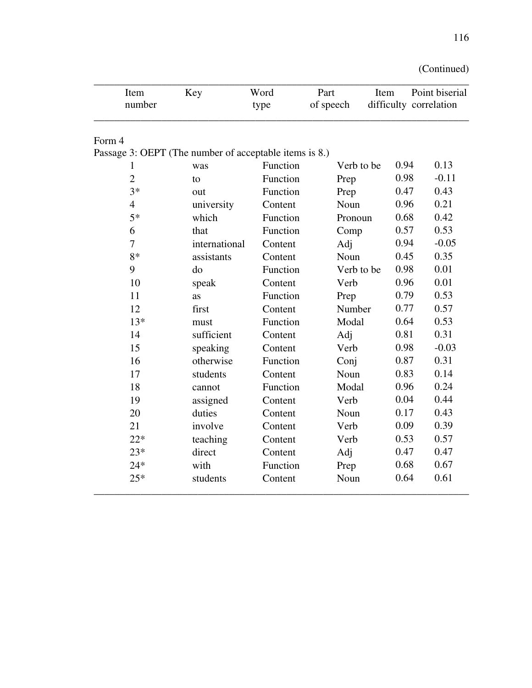| (Continued) |  |
|-------------|--|
|             |  |

| Item<br>number                                                   | Key           | Word<br>type | Part<br>of speech | Item | Point biserial<br>difficulty correlation |
|------------------------------------------------------------------|---------------|--------------|-------------------|------|------------------------------------------|
| Form 4<br>Passage 3: OEPT (The number of acceptable items is 8.) |               |              |                   |      |                                          |
| 1                                                                | was           | Function     | Verb to be        | 0.94 | 0.13                                     |
| $\overline{2}$                                                   | to            | Function     | Prep              | 0.98 | $-0.11$                                  |
| $3*$                                                             | out           | Function     | Prep              | 0.47 | 0.43                                     |
| $\overline{4}$                                                   | university    | Content      | Noun              | 0.96 | 0.21                                     |
| $5*$                                                             | which         | Function     | Pronoun           | 0.68 | 0.42                                     |
| 6                                                                | that          | Function     | Comp              | 0.57 | 0.53                                     |
| $\tau$                                                           | international | Content      | Adj               | 0.94 | $-0.05$                                  |
| $8*$                                                             | assistants    | Content      | Noun              | 0.45 | 0.35                                     |
| 9                                                                | do            | Function     | Verb to be        | 0.98 | 0.01                                     |
| 10                                                               | speak         | Content      | Verb              | 0.96 | 0.01                                     |
| 11                                                               | <b>as</b>     | Function     | Prep              | 0.79 | 0.53                                     |
| 12                                                               | first         | Content      | Number            | 0.77 | 0.57                                     |
| $13*$                                                            | must          | Function     | Modal             | 0.64 | 0.53                                     |
| 14                                                               | sufficient    | Content      | Adj               | 0.81 | 0.31                                     |
| 15                                                               | speaking      | Content      | Verb              | 0.98 | $-0.03$                                  |
| 16                                                               | otherwise     | Function     | Conj              | 0.87 | 0.31                                     |
| 17                                                               | students      | Content      | Noun              | 0.83 | 0.14                                     |
| 18                                                               | cannot        | Function     | Modal             | 0.96 | 0.24                                     |
| 19                                                               | assigned      | Content      | Verb              | 0.04 | 0.44                                     |
| 20                                                               | duties        | Content      | Noun              | 0.17 | 0.43                                     |
| 21                                                               | involve       | Content      | Verb              | 0.09 | 0.39                                     |
| $22*$                                                            | teaching      | Content      | Verb              | 0.53 | 0.57                                     |
| $23*$                                                            | direct        | Content      | Adj               | 0.47 | 0.47                                     |
| $24*$                                                            | with          | Function     | Prep              | 0.68 | 0.67                                     |
| $25*$                                                            | students      | Content      | Noun              | 0.64 | 0.61                                     |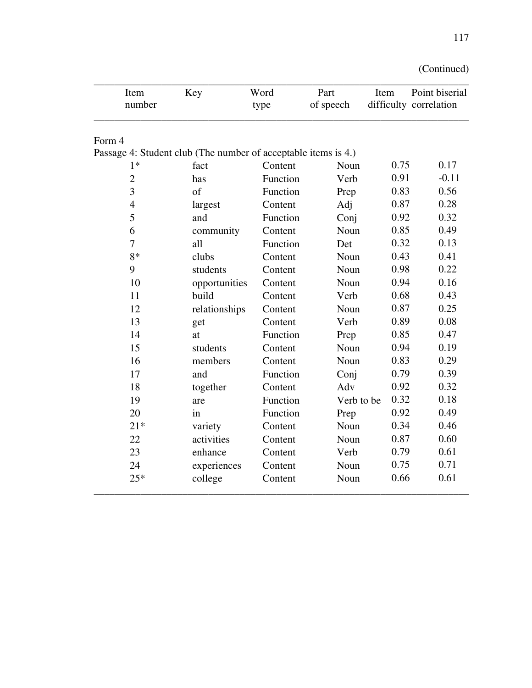| Item<br>number                                                 | Key           | Word<br>type | Part<br>of speech | Item | Point biserial<br>difficulty correlation |
|----------------------------------------------------------------|---------------|--------------|-------------------|------|------------------------------------------|
| Form 4                                                         |               |              |                   |      |                                          |
| Passage 4: Student club (The number of acceptable items is 4.) |               |              |                   |      |                                          |
| $1*$                                                           | fact          | Content      | Noun              | 0.75 | 0.17                                     |
| $\overline{c}$                                                 | has           | Function     | Verb              | 0.91 | $-0.11$                                  |
| 3                                                              | of            | Function     | Prep              | 0.83 | 0.56                                     |
| 4                                                              | largest       | Content      | Adj               | 0.87 | 0.28                                     |
| 5                                                              | and           | Function     | Conj              | 0.92 | 0.32                                     |
| 6                                                              | community     | Content      | Noun              | 0.85 | 0.49                                     |
| $\overline{7}$                                                 | all           | Function     | Det               | 0.32 | 0.13                                     |
| $8*$                                                           | clubs         | Content      | Noun              | 0.43 | 0.41                                     |
| 9                                                              | students      | Content      | Noun              | 0.98 | 0.22                                     |
| 10                                                             | opportunities | Content      | Noun              | 0.94 | 0.16                                     |
| 11                                                             | build         | Content      | Verb              | 0.68 | 0.43                                     |
| 12                                                             | relationships | Content      | Noun              | 0.87 | 0.25                                     |
| 13                                                             | get           | Content      | Verb              | 0.89 | 0.08                                     |
| 14                                                             | at            | Function     | Prep              | 0.85 | 0.47                                     |
| 15                                                             | students      | Content      | Noun              | 0.94 | 0.19                                     |
| 16                                                             | members       | Content      | Noun              | 0.83 | 0.29                                     |
| 17                                                             | and           | Function     | Conj              | 0.79 | 0.39                                     |
| 18                                                             | together      | Content      | Adv               | 0.92 | 0.32                                     |
| 19                                                             | are           | Function     | Verb to be        | 0.32 | 0.18                                     |
| 20                                                             | in            | Function     | Prep              | 0.92 | 0.49                                     |
| $21*$                                                          | variety       | Content      | Noun              | 0.34 | 0.46                                     |
| 22                                                             | activities    | Content      | Noun              | 0.87 | 0.60                                     |
| 23                                                             | enhance       | Content      | Verb              | 0.79 | 0.61                                     |
| 24                                                             | experiences   | Content      | Noun              | 0.75 | 0.71                                     |
| $25*$                                                          | college       | Content      | Noun              | 0.66 | 0.61                                     |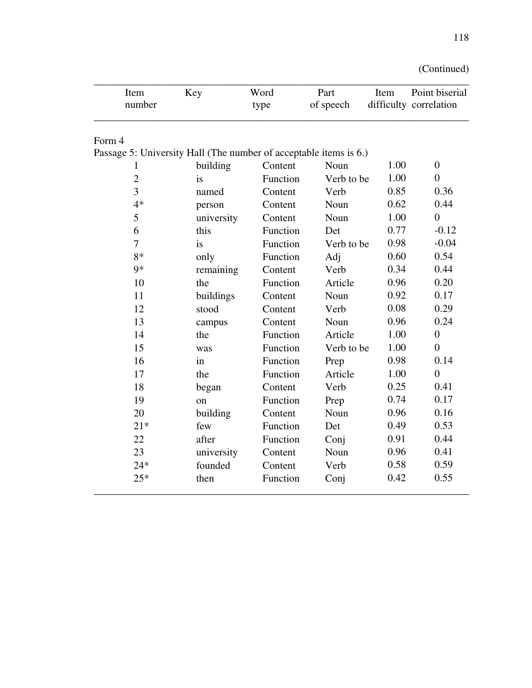| (Continued) |  |
|-------------|--|
|             |  |

| Item<br>number                                                    | Key        | Word<br>type | Part<br>of speech | Item | Point biserial<br>difficulty correlation |
|-------------------------------------------------------------------|------------|--------------|-------------------|------|------------------------------------------|
| Form 4                                                            |            |              |                   |      |                                          |
| Passage 5: University Hall (The number of acceptable items is 6.) |            |              |                   |      |                                          |
| 1                                                                 | building   | Content      | Noun              | 1.00 | $\overline{0}$                           |
| $\overline{c}$                                                    | is         | Function     | Verb to be        | 1.00 | $\overline{0}$                           |
| 3                                                                 | named      | Content      | Verb              | 0.85 | 0.36                                     |
| $4*$                                                              | person     | Content      | Noun              | 0.62 | 0.44                                     |
| 5                                                                 | university | Content      | Noun              | 1.00 | $\overline{0}$                           |
| 6                                                                 | this       | Function     | Det               | 0.77 | $-0.12$                                  |
| 7                                                                 | is         | Function     | Verb to be        | 0.98 | $-0.04$                                  |
| $8*$                                                              | only       | Function     | Adj               | 0.60 | 0.54                                     |
| $9*$                                                              | remaining  | Content      | Verb              | 0.34 | 0.44                                     |
| 10                                                                | the        | Function     | Article           | 0.96 | 0.20                                     |
| 11                                                                | buildings  | Content      | Noun              | 0.92 | 0.17                                     |
| 12                                                                | stood      | Content      | Verb              | 0.08 | 0.29                                     |
| 13                                                                | campus     | Content      | Noun              | 0.96 | 0.24                                     |
| 14                                                                | the        | Function     | Article           | 1.00 | $\overline{0}$                           |
| 15                                                                | was        | Function     | Verb to be        | 1.00 | $\overline{0}$                           |
| 16                                                                | in         | Function     | Prep              | 0.98 | 0.14                                     |
| 17                                                                | the        | Function     | Article           | 1.00 | $\overline{0}$                           |
| 18                                                                | began      | Content      | Verb              | 0.25 | 0.41                                     |
| 19                                                                | on         | Function     | Prep              | 0.74 | 0.17                                     |
| 20                                                                | building   | Content      | Noun              | 0.96 | 0.16                                     |
| $21*$                                                             | few        | Function     | Det               | 0.49 | 0.53                                     |
| 22                                                                | after      | Function     | Conj              | 0.91 | 0.44                                     |
| 23                                                                | university | Content      | Noun              | 0.96 | 0.41                                     |
| $24*$                                                             | founded    | Content      | Verb              | 0.58 | 0.59                                     |
| $25*$                                                             | then       | Function     | Conj              | 0.42 | 0.55                                     |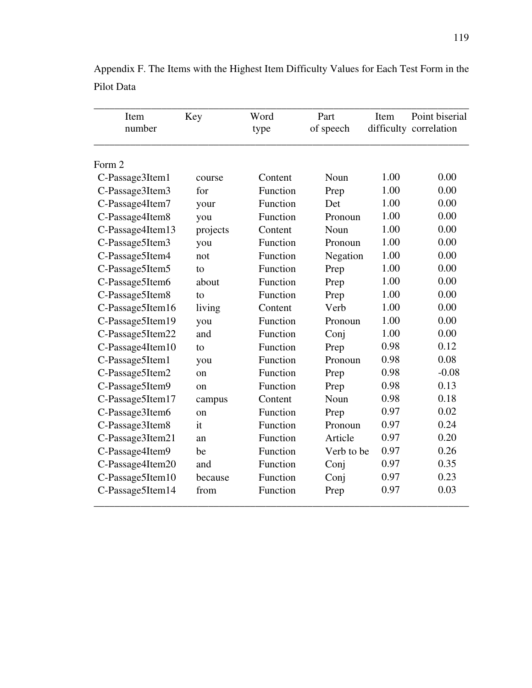| Item<br>number   | Key         | Word<br>type | Part<br>of speech | Item | Point biserial<br>difficulty correlation |
|------------------|-------------|--------------|-------------------|------|------------------------------------------|
| Form 2           |             |              |                   |      |                                          |
| C-Passage3Item1  | course      | Content      | Noun              | 1.00 | 0.00                                     |
| C-Passage3Item3  | for         | Function     | Prep              | 1.00 | 0.00                                     |
| C-Passage4Item7  | your        | Function     | Det               | 1.00 | 0.00                                     |
| C-Passage4Item8  | you         | Function     | Pronoun           | 1.00 | 0.00                                     |
| C-Passage4Item13 | projects    | Content      | Noun              | 1.00 | 0.00                                     |
| C-Passage5Item3  | you         | Function     | Pronoun           | 1.00 | 0.00                                     |
| C-Passage5Item4  | not         | Function     | Negation          | 1.00 | 0.00                                     |
| C-Passage5Item5  | to          | Function     | Prep              | 1.00 | 0.00                                     |
| C-Passage5Item6  | about       | Function     | Prep              | 1.00 | 0.00                                     |
| C-Passage5Item8  | to          | Function     | Prep              | 1.00 | 0.00                                     |
| C-Passage5Item16 | living      | Content      | Verb              | 1.00 | 0.00                                     |
| C-Passage5Item19 | you         | Function     | Pronoun           | 1.00 | 0.00                                     |
| C-Passage5Item22 | and         | Function     | Conj              | 1.00 | 0.00                                     |
| C-Passage4Item10 | to          | Function     | Prep              | 0.98 | 0.12                                     |
| C-Passage5Item1  | you         | Function     | Pronoun           | 0.98 | 0.08                                     |
| C-Passage5Item2  | $_{\rm on}$ | Function     | Prep              | 0.98 | $-0.08$                                  |
| C-Passage5Item9  | $_{\rm on}$ | Function     | Prep              | 0.98 | 0.13                                     |
| C-Passage5Item17 | campus      | Content      | Noun              | 0.98 | 0.18                                     |
| C-Passage3Item6  | $_{\rm on}$ | Function     | Prep              | 0.97 | 0.02                                     |
| C-Passage3Item8  | it          | Function     | Pronoun           | 0.97 | 0.24                                     |
| C-Passage3Item21 | an          | Function     | Article           | 0.97 | 0.20                                     |
| C-Passage4Item9  | be          | Function     | Verb to be        | 0.97 | 0.26                                     |
| C-Passage4Item20 | and         | Function     | Conj              | 0.97 | 0.35                                     |
| C-Passage5Item10 | because     | Function     | Conj              | 0.97 | 0.23                                     |
| C-Passage5Item14 | from        | Function     | Prep              | 0.97 | 0.03                                     |

Appendix F. The Items with the Highest Item Difficulty Values for Each Test Form in the Pilot Data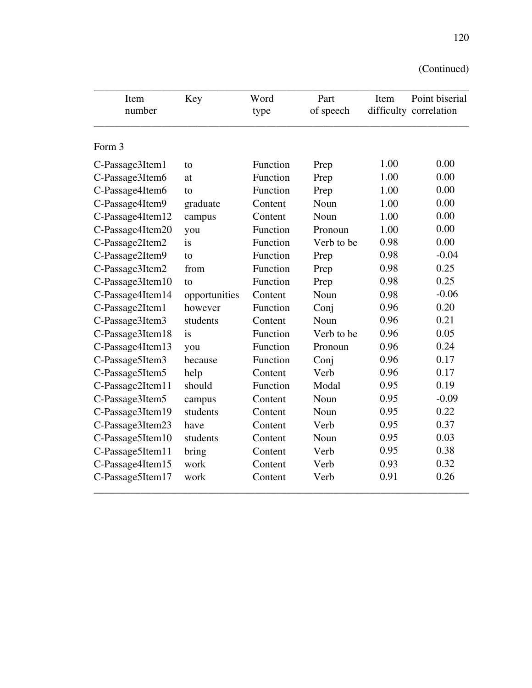| Item             | Key           | Word     | Part       | Item | Point biserial         |  |
|------------------|---------------|----------|------------|------|------------------------|--|
| number           |               | type     | of speech  |      | difficulty correlation |  |
| Form 3           |               |          |            |      |                        |  |
| C-Passage3Item1  | to            | Function | Prep       | 1.00 | 0.00                   |  |
| C-Passage3Item6  | at            | Function | Prep       | 1.00 | 0.00                   |  |
| C-Passage4Item6  | to            | Function | Prep       | 1.00 | 0.00                   |  |
| C-Passage4Item9  | graduate      | Content  | Noun       | 1.00 | 0.00                   |  |
| C-Passage4Item12 | campus        | Content  | Noun       | 1.00 | 0.00                   |  |
| C-Passage4Item20 | you           | Function | Pronoun    | 1.00 | 0.00                   |  |
| C-Passage2Item2  | is            | Function | Verb to be | 0.98 | 0.00                   |  |
| C-Passage2Item9  | to            | Function | Prep       | 0.98 | $-0.04$                |  |
| C-Passage3Item2  | from          | Function | Prep       | 0.98 | 0.25                   |  |
| C-Passage3Item10 | to            | Function | Prep       | 0.98 | 0.25                   |  |
| C-Passage4Item14 | opportunities | Content  | Noun       | 0.98 | $-0.06$                |  |
| C-Passage2Item1  | however       | Function | Conj       | 0.96 | 0.20                   |  |
| C-Passage3Item3  | students      | Content  | Noun       | 0.96 | 0.21                   |  |
| C-Passage3Item18 | is            | Function | Verb to be | 0.96 | 0.05                   |  |
| C-Passage4Item13 | you           | Function | Pronoun    | 0.96 | 0.24                   |  |
| C-Passage5Item3  | because       | Function | Conj       | 0.96 | 0.17                   |  |
| C-Passage5Item5  | help          | Content  | Verb       | 0.96 | 0.17                   |  |
| C-Passage2Item11 | should        | Function | Modal      | 0.95 | 0.19                   |  |
| C-Passage3Item5  | campus        | Content  | Noun       | 0.95 | $-0.09$                |  |
| C-Passage3Item19 | students      | Content  | Noun       | 0.95 | 0.22                   |  |
| C-Passage3Item23 | have          | Content  | Verb       | 0.95 | 0.37                   |  |
| C-Passage5Item10 | students      | Content  | Noun       | 0.95 | 0.03                   |  |
| C-Passage5Item11 | bring         | Content  | Verb       | 0.95 | 0.38                   |  |
| C-Passage4Item15 | work          | Content  | Verb       | 0.93 | 0.32                   |  |
| C-Passage5Item17 | work          | Content  | Verb       | 0.91 | 0.26                   |  |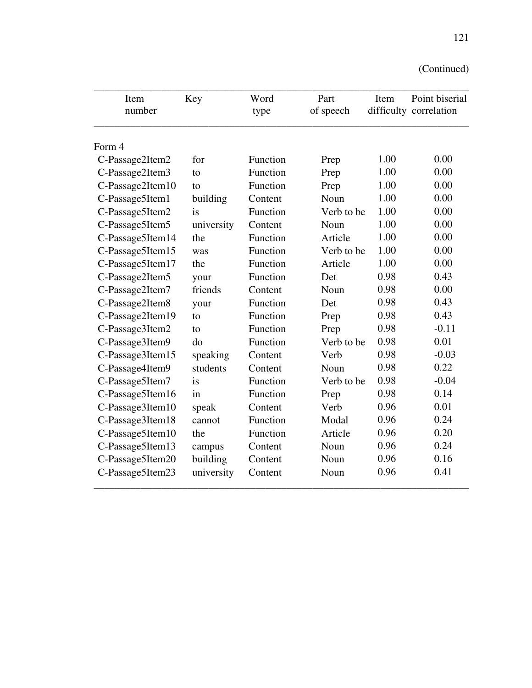| Item<br>number   | Key        | Word<br>type | Part<br>of speech | Item | Point biserial<br>difficulty correlation |
|------------------|------------|--------------|-------------------|------|------------------------------------------|
|                  |            |              |                   |      |                                          |
| Form 4           |            |              |                   |      |                                          |
| C-Passage2Item2  | for        | Function     | Prep              | 1.00 | 0.00                                     |
| C-Passage2Item3  | to         | Function     | Prep              | 1.00 | 0.00                                     |
| C-Passage2Item10 | tο         | Function     | Prep              | 1.00 | 0.00                                     |
| C-Passage5Item1  | building   | Content      | Noun              | 1.00 | 0.00                                     |
| C-Passage5Item2  | is         | Function     | Verb to be        | 1.00 | 0.00                                     |
| C-Passage5Item5  | university | Content      | Noun              | 1.00 | 0.00                                     |
| C-Passage5Item14 | the        | Function     | Article           | 1.00 | 0.00                                     |
| C-Passage5Item15 | was        | Function     | Verb to be        | 1.00 | 0.00                                     |
| C-Passage5Item17 | the        | Function     | Article           | 1.00 | 0.00                                     |
| C-Passage2Item5  | your       | Function     | Det               | 0.98 | 0.43                                     |
| C-Passage2Item7  | friends    | Content      | Noun              | 0.98 | 0.00                                     |
| C-Passage2Item8  | your       | Function     | Det               | 0.98 | 0.43                                     |
| C-Passage2Item19 | to         | Function     | Prep              | 0.98 | 0.43                                     |
| C-Passage3Item2  | to         | Function     | Prep              | 0.98 | $-0.11$                                  |
| C-Passage3Item9  | do         | Function     | Verb to be        | 0.98 | 0.01                                     |
| C-Passage3Item15 | speaking   | Content      | Verb              | 0.98 | $-0.03$                                  |
| C-Passage4Item9  | students   | Content      | Noun              | 0.98 | 0.22                                     |
| C-Passage5Item7  | is         | Function     | Verb to be        | 0.98 | $-0.04$                                  |
| C-Passage5Item16 | in         | Function     | Prep              | 0.98 | 0.14                                     |
| C-Passage3Item10 | speak      | Content      | Verb              | 0.96 | 0.01                                     |
| C-Passage3Item18 | cannot     | Function     | Modal             | 0.96 | 0.24                                     |
| C-Passage5Item10 | the        | Function     | Article           | 0.96 | 0.20                                     |
| C-Passage5Item13 | campus     | Content      | Noun              | 0.96 | 0.24                                     |
| C-Passage5Item20 | building   | Content      | Noun              | 0.96 | 0.16                                     |
| C-Passage5Item23 | university | Content      | Noun              | 0.96 | 0.41                                     |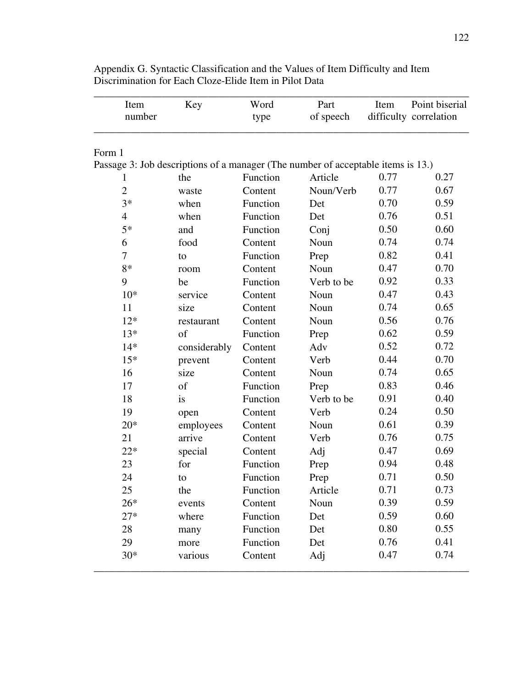| Item                                                                             | Key          | Word     | Part       | Item | Point biserial         |
|----------------------------------------------------------------------------------|--------------|----------|------------|------|------------------------|
| number                                                                           |              | type     | of speech  |      | difficulty correlation |
| Form 1                                                                           |              |          |            |      |                        |
| Passage 3: Job descriptions of a manager (The number of acceptable items is 13.) |              |          |            |      |                        |
| 1                                                                                | the          | Function | Article    | 0.77 | 0.27                   |
| $\overline{2}$                                                                   | waste        | Content  | Noun/Verb  | 0.77 | 0.67                   |
| $3*$                                                                             | when         | Function | Det        | 0.70 | 0.59                   |
| $\overline{4}$                                                                   | when         | Function | Det        | 0.76 | 0.51                   |
| $5*$                                                                             | and          | Function | Conj       | 0.50 | 0.60                   |
| 6                                                                                | food         | Content  | Noun       | 0.74 | 0.74                   |
| 7                                                                                | to           | Function | Prep       | 0.82 | 0.41                   |
| 8*                                                                               | room         | Content  | Noun       | 0.47 | 0.70                   |
| 9                                                                                | be           | Function | Verb to be | 0.92 | 0.33                   |
| $10*$                                                                            | service      | Content  | Noun       | 0.47 | 0.43                   |
| 11                                                                               | size         | Content  | Noun       | 0.74 | 0.65                   |
| $12*$                                                                            | restaurant   | Content  | Noun       | 0.56 | 0.76                   |
| $13*$                                                                            | of           | Function | Prep       | 0.62 | 0.59                   |
| $14*$                                                                            | considerably | Content  | Adv        | 0.52 | 0.72                   |
| $15*$                                                                            | prevent      | Content  | Verb       | 0.44 | 0.70                   |
| 16                                                                               | size         | Content  | Noun       | 0.74 | 0.65                   |
| 17                                                                               | of           | Function | Prep       | 0.83 | 0.46                   |
| 18                                                                               | is           | Function | Verb to be | 0.91 | 0.40                   |
| 19                                                                               | open         | Content  | Verb       | 0.24 | 0.50                   |
| $20*$                                                                            | employees    | Content  | Noun       | 0.61 | 0.39                   |
| 21                                                                               | arrive       | Content  | Verb       | 0.76 | 0.75                   |
| $22*$                                                                            | special      | Content  | Adj        | 0.47 | 0.69                   |
| 23                                                                               | for          | Function | Prep       | 0.94 | 0.48                   |
| 24                                                                               | to           | Function | Prep       | 0.71 | 0.50                   |
| 25                                                                               | the          | Function | Article    | 0.71 | 0.73                   |
| $26*$                                                                            | events       | Content  | Noun       | 0.39 | 0.59                   |
| $27*$                                                                            | where        | Function | Det        | 0.59 | 0.60                   |
| 28                                                                               | many         | Function | Det        | 0.80 | 0.55                   |
| 29                                                                               | more         | Function | Det        | 0.76 | 0.41                   |
| $30*$                                                                            | various      | Content  | Adj        | 0.47 | 0.74                   |

Appendix G. Syntactic Classification and the Values of Item Difficulty and Item Discrimination for Each Cloze-Elide Item in Pilot Data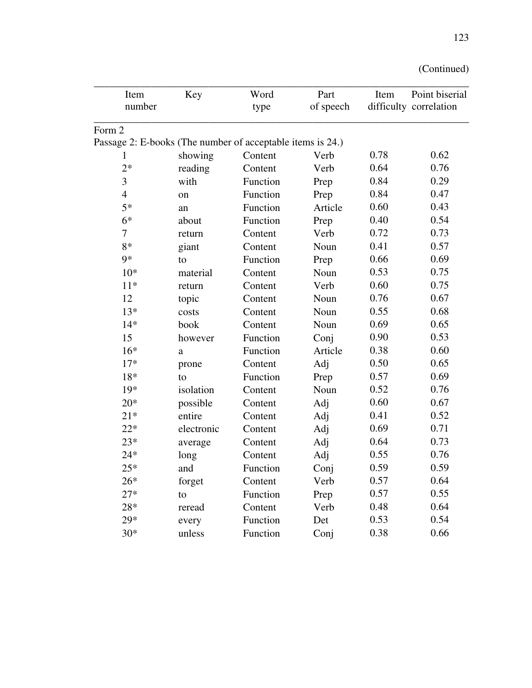| Item                                                       | Key        | Word     | Part      | Item | Point biserial         |
|------------------------------------------------------------|------------|----------|-----------|------|------------------------|
| number                                                     |            | type     | of speech |      | difficulty correlation |
| Form 2                                                     |            |          |           |      |                        |
| Passage 2: E-books (The number of acceptable items is 24.) |            |          |           |      |                        |
| 1                                                          | showing    | Content  | Verb      | 0.78 | 0.62                   |
| $2*$                                                       | reading    | Content  | Verb      | 0.64 | 0.76                   |
| 3                                                          | with       | Function | Prep      | 0.84 | 0.29                   |
| $\overline{4}$                                             | on         | Function | Prep      | 0.84 | 0.47                   |
| $5*$                                                       | an         | Function | Article   | 0.60 | 0.43                   |
| $6*$                                                       | about      | Function | Prep      | 0.40 | 0.54                   |
| 7                                                          | return     | Content  | Verb      | 0.72 | 0.73                   |
| $8*$                                                       | giant      | Content  | Noun      | 0.41 | 0.57                   |
| 9*                                                         | to         | Function | Prep      | 0.66 | 0.69                   |
| $10*$                                                      | material   | Content  | Noun      | 0.53 | 0.75                   |
| $11*$                                                      | return     | Content  | Verb      | 0.60 | 0.75                   |
| 12                                                         | topic      | Content  | Noun      | 0.76 | 0.67                   |
| $13*$                                                      | costs      | Content  | Noun      | 0.55 | 0.68                   |
| $14*$                                                      | book       | Content  | Noun      | 0.69 | 0.65                   |
| 15                                                         | however    | Function | Conj      | 0.90 | 0.53                   |
| $16*$                                                      | $\rm{a}$   | Function | Article   | 0.38 | 0.60                   |
| $17*$                                                      | prone      | Content  | Adj       | 0.50 | 0.65                   |
| 18*                                                        | to         | Function | Prep      | 0.57 | 0.69                   |
| 19*                                                        | isolation  | Content  | Noun      | 0.52 | 0.76                   |
| $20*$                                                      | possible   | Content  | Adj       | 0.60 | 0.67                   |
| $21*$                                                      | entire     | Content  | Adj       | 0.41 | 0.52                   |
| $22*$                                                      | electronic | Content  | Adj       | 0.69 | 0.71                   |
| $23*$                                                      | average    | Content  | Adj       | 0.64 | 0.73                   |
| $24*$                                                      | long       | Content  | Adj       | 0.55 | 0.76                   |
| $25*$                                                      | and        | Function | Conj      | 0.59 | 0.59                   |
| $26*$                                                      | forget     | Content  | Verb      | 0.57 | 0.64                   |
| $27*$                                                      | to         | Function | Prep      | 0.57 | 0.55                   |
| $28*$                                                      | reread     | Content  | Verb      | 0.48 | 0.64                   |
| $29*$                                                      | every      | Function | Det       | 0.53 | 0.54                   |
| $30*$                                                      | unless     | Function | Conj      | 0.38 | 0.66                   |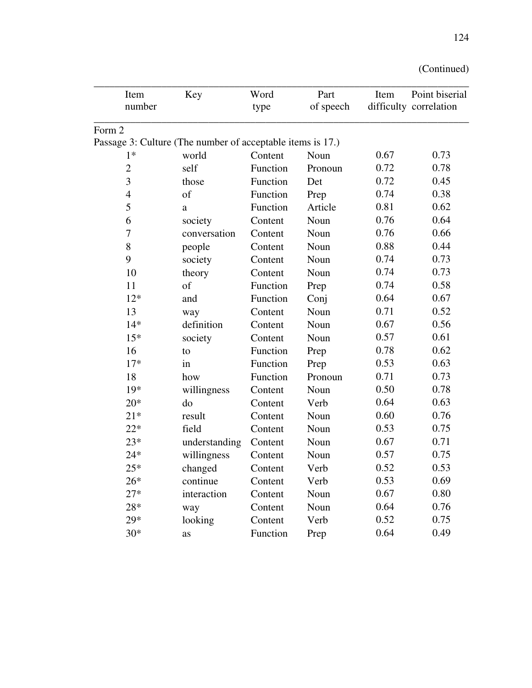| Item             | Key                                                        | Word     | Part      | Item | Point biserial         |
|------------------|------------------------------------------------------------|----------|-----------|------|------------------------|
| number           |                                                            | type     | of speech |      | difficulty correlation |
| Form 2           |                                                            |          |           |      |                        |
|                  | Passage 3: Culture (The number of acceptable items is 17.) |          |           |      |                        |
| $1*$             | world                                                      | Content  | Noun      | 0.67 | 0.73                   |
| $\overline{2}$   | self                                                       | Function | Pronoun   | 0.72 | 0.78                   |
| 3                | those                                                      | Function | Det       | 0.72 | 0.45                   |
| $\overline{4}$   | of                                                         | Function | Prep      | 0.74 | 0.38                   |
| 5                | a                                                          | Function | Article   | 0.81 | 0.62                   |
| 6                | society                                                    | Content  | Noun      | 0.76 | 0.64                   |
| $\boldsymbol{7}$ | conversation                                               | Content  | Noun      | 0.76 | 0.66                   |
| $8\,$            | people                                                     | Content  | Noun      | 0.88 | 0.44                   |
| 9                | society                                                    | Content  | Noun      | 0.74 | 0.73                   |
| 10               | theory                                                     | Content  | Noun      | 0.74 | 0.73                   |
| 11               | of                                                         | Function | Prep      | 0.74 | 0.58                   |
| $12*$            | and                                                        | Function | Conj      | 0.64 | 0.67                   |
| 13               | way                                                        | Content  | Noun      | 0.71 | 0.52                   |
| $14*$            | definition                                                 | Content  | Noun      | 0.67 | 0.56                   |
| $15*$            | society                                                    | Content  | Noun      | 0.57 | 0.61                   |
| 16               | to                                                         | Function | Prep      | 0.78 | 0.62                   |
| $17*$            | in                                                         | Function | Prep      | 0.53 | 0.63                   |
| 18               | how                                                        | Function | Pronoun   | 0.71 | 0.73                   |
| $19*$            | willingness                                                | Content  | Noun      | 0.50 | 0.78                   |
| $20*$            | do                                                         | Content  | Verb      | 0.64 | 0.63                   |
| $21*$            | result                                                     | Content  | Noun      | 0.60 | 0.76                   |
| $22*$            | field                                                      | Content  | Noun      | 0.53 | 0.75                   |
| $23*$            | understanding                                              | Content  | Noun      | 0.67 | 0.71                   |
| $24*$            | willingness                                                | Content  | Noun      | 0.57 | 0.75                   |
| $25\mathrm{*}$   | changed                                                    | Content  | Verb      | 0.52 | 0.53                   |
| $26*$            | continue                                                   | Content  | Verb      | 0.53 | 0.69                   |
| $27*$            | interaction                                                | Content  | Noun      | 0.67 | 0.80                   |
| $28*$            | way                                                        | Content  | Noun      | 0.64 | 0.76                   |
| 29*              | looking                                                    | Content  | Verb      | 0.52 | 0.75                   |
| $30*$            | as                                                         | Function | Prep      | 0.64 | 0.49                   |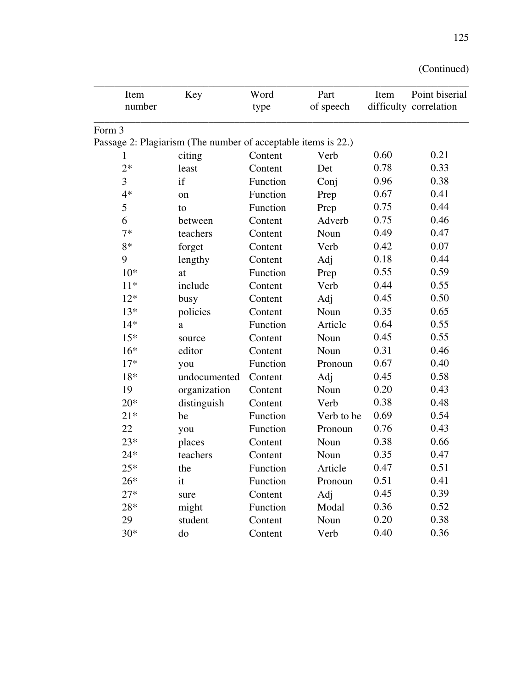| Item   | Key                                                           | Word     | Part       | Item | Point biserial         |
|--------|---------------------------------------------------------------|----------|------------|------|------------------------|
| number |                                                               | type     | of speech  |      | difficulty correlation |
| Form 3 |                                                               |          |            |      |                        |
|        | Passage 2: Plagiarism (The number of acceptable items is 22.) |          |            |      |                        |
| 1      | citing                                                        | Content  | Verb       | 0.60 | 0.21                   |
| $2*$   | least                                                         | Content  | Det        | 0.78 | 0.33                   |
| 3      | if                                                            | Function | Conj       | 0.96 | 0.38                   |
| $4*$   | on                                                            | Function | Prep       | 0.67 | 0.41                   |
| 5      | to                                                            | Function | Prep       | 0.75 | 0.44                   |
| 6      | between                                                       | Content  | Adverb     | 0.75 | 0.46                   |
| $7*$   | teachers                                                      | Content  | Noun       | 0.49 | 0.47                   |
| 8*     | forget                                                        | Content  | Verb       | 0.42 | 0.07                   |
| 9      | lengthy                                                       | Content  | Adj        | 0.18 | 0.44                   |
| $10*$  | at                                                            | Function | Prep       | 0.55 | 0.59                   |
| $11*$  | include                                                       | Content  | Verb       | 0.44 | 0.55                   |
| $12*$  | busy                                                          | Content  | Adj        | 0.45 | 0.50                   |
| $13*$  | policies                                                      | Content  | Noun       | 0.35 | 0.65                   |
| $14*$  | a                                                             | Function | Article    | 0.64 | 0.55                   |
| $15*$  | source                                                        | Content  | Noun       | 0.45 | 0.55                   |
| $16*$  | editor                                                        | Content  | Noun       | 0.31 | 0.46                   |
| $17*$  | you                                                           | Function | Pronoun    | 0.67 | 0.40                   |
| $18*$  | undocumented                                                  | Content  | Adj        | 0.45 | 0.58                   |
| 19     | organization                                                  | Content  | Noun       | 0.20 | 0.43                   |
| $20*$  | distinguish                                                   | Content  | Verb       | 0.38 | 0.48                   |
| $21*$  | be                                                            | Function | Verb to be | 0.69 | 0.54                   |
| 22     | you                                                           | Function | Pronoun    | 0.76 | 0.43                   |
| $23*$  | places                                                        | Content  | Noun       | 0.38 | 0.66                   |
| $24*$  | teachers                                                      | Content  | Noun       | 0.35 | 0.47                   |
| $25*$  | the                                                           | Function | Article    | 0.47 | 0.51                   |
| $26*$  | it                                                            | Function | Pronoun    | 0.51 | 0.41                   |
| $27*$  | sure                                                          | Content  | Adj        | 0.45 | 0.39                   |
| $28*$  | might                                                         | Function | Modal      | 0.36 | 0.52                   |
| 29     | student                                                       | Content  | Noun       | 0.20 | 0.38                   |
| $30*$  | do                                                            | Content  | Verb       | 0.40 | 0.36                   |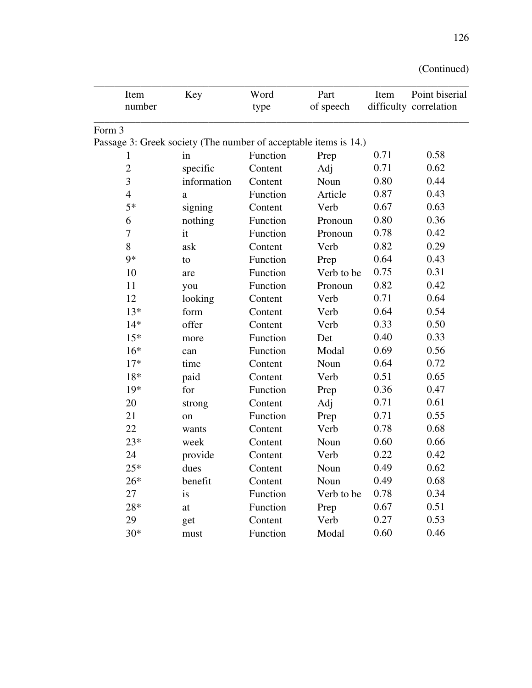| Item             | Key                                                              | Word     | Part       | Item | Point biserial         |
|------------------|------------------------------------------------------------------|----------|------------|------|------------------------|
| number           |                                                                  | type     | of speech  |      | difficulty correlation |
| Form 3           |                                                                  |          |            |      |                        |
|                  | Passage 3: Greek society (The number of acceptable items is 14.) |          |            |      |                        |
| 1                | in                                                               | Function | Prep       | 0.71 | 0.58                   |
| $\overline{2}$   | specific                                                         | Content  | Adj        | 0.71 | 0.62                   |
| $\mathfrak{Z}$   | information                                                      | Content  | Noun       | 0.80 | 0.44                   |
| $\overline{4}$   | a                                                                | Function | Article    | 0.87 | 0.43                   |
| $5*$             | signing                                                          | Content  | Verb       | 0.67 | 0.63                   |
| 6                | nothing                                                          | Function | Pronoun    | 0.80 | 0.36                   |
| $\boldsymbol{7}$ | it                                                               | Function | Pronoun    | 0.78 | 0.42                   |
| 8                | ask                                                              | Content  | Verb       | 0.82 | 0.29                   |
| $9*$             | to                                                               | Function | Prep       | 0.64 | 0.43                   |
| 10               | are                                                              | Function | Verb to be | 0.75 | 0.31                   |
| 11               | you                                                              | Function | Pronoun    | 0.82 | 0.42                   |
| 12               | looking                                                          | Content  | Verb       | 0.71 | 0.64                   |
| $13*$            | form                                                             | Content  | Verb       | 0.64 | 0.54                   |
| $14*$            | offer                                                            | Content  | Verb       | 0.33 | 0.50                   |
| $15*$            | more                                                             | Function | Det        | 0.40 | 0.33                   |
| $16*$            | can                                                              | Function | Modal      | 0.69 | 0.56                   |
| $17*$            | time                                                             | Content  | Noun       | 0.64 | 0.72                   |
| $18*$            | paid                                                             | Content  | Verb       | 0.51 | 0.65                   |
| $19*$            | for                                                              | Function | Prep       | 0.36 | 0.47                   |
| 20               | strong                                                           | Content  | Adj        | 0.71 | 0.61                   |
| 21               | on                                                               | Function | Prep       | 0.71 | 0.55                   |
| 22               | wants                                                            | Content  | Verb       | 0.78 | 0.68                   |
| $23*$            | week                                                             | Content  | Noun       | 0.60 | 0.66                   |
| 24               | provide                                                          | Content  | Verb       | 0.22 | 0.42                   |
| $25*$            | dues                                                             | Content  | Noun       | 0.49 | 0.62                   |
| $26*$            | benefit                                                          | Content  | Noun       | 0.49 | 0.68                   |
| 27               | is                                                               | Function | Verb to be | 0.78 | 0.34                   |
| $28*$            | at                                                               | Function | Prep       | 0.67 | 0.51                   |
| 29               | get                                                              | Content  | Verb       | 0.27 | 0.53                   |
| $30*$            | must                                                             | Function | Modal      | 0.60 | 0.46                   |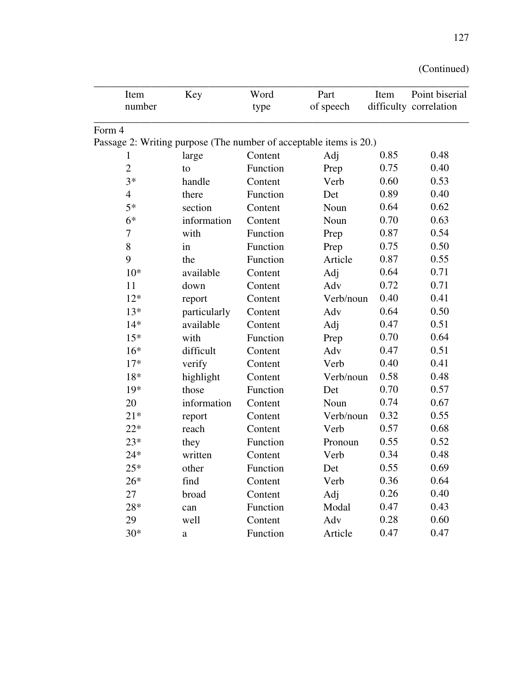| Item                                                               | Key          | Word     | Part      | Item | Point biserial         |
|--------------------------------------------------------------------|--------------|----------|-----------|------|------------------------|
| number                                                             |              | type     | of speech |      | difficulty correlation |
| Form 4                                                             |              |          |           |      |                        |
| Passage 2: Writing purpose (The number of acceptable items is 20.) |              |          |           |      |                        |
| 1                                                                  | large        | Content  | Adj       | 0.85 | 0.48                   |
| $\overline{2}$                                                     | to           | Function | Prep      | 0.75 | 0.40                   |
| $3*$                                                               | handle       | Content  | Verb      | 0.60 | 0.53                   |
| $\overline{4}$                                                     | there        | Function | Det       | 0.89 | 0.40                   |
| $5*$                                                               | section      | Content  | Noun      | 0.64 | 0.62                   |
| $6*$                                                               | information  | Content  | Noun      | 0.70 | 0.63                   |
| $\boldsymbol{7}$                                                   | with         | Function | Prep      | 0.87 | 0.54                   |
| $8\,$                                                              | in           | Function | Prep      | 0.75 | 0.50                   |
| 9                                                                  | the          | Function | Article   | 0.87 | 0.55                   |
| $10*$                                                              | available    | Content  | Adj       | 0.64 | 0.71                   |
| 11                                                                 | down         | Content  | Adv       | 0.72 | 0.71                   |
| $12*$                                                              | report       | Content  | Verb/noun | 0.40 | 0.41                   |
| $13*$                                                              | particularly | Content  | Adv       | 0.64 | 0.50                   |
| $14*$                                                              | available    | Content  | Adj       | 0.47 | 0.51                   |
| $15*$                                                              | with         | Function | Prep      | 0.70 | 0.64                   |
| $16*$                                                              | difficult    | Content  | Adv       | 0.47 | 0.51                   |
| $17*$                                                              | verify       | Content  | Verb      | 0.40 | 0.41                   |
| 18*                                                                | highlight    | Content  | Verb/noun | 0.58 | 0.48                   |
| $19*$                                                              | those        | Function | Det       | 0.70 | 0.57                   |
| 20                                                                 | information  | Content  | Noun      | 0.74 | 0.67                   |
| $21*$                                                              | report       | Content  | Verb/noun | 0.32 | 0.55                   |
| $22*$                                                              | reach        | Content  | Verb      | 0.57 | 0.68                   |
| $23*$                                                              | they         | Function | Pronoun   | 0.55 | 0.52                   |
| $24*$                                                              | written      | Content  | Verb      | 0.34 | 0.48                   |
| $25*$                                                              | other        | Function | Det       | 0.55 | 0.69                   |
| $26*$                                                              | find         | Content  | Verb      | 0.36 | 0.64                   |
| 27                                                                 | broad        | Content  | Adj       | 0.26 | 0.40                   |
| $28*$                                                              | can          | Function | Modal     | 0.47 | 0.43                   |
| 29                                                                 | well         | Content  | Adv       | 0.28 | 0.60                   |
| $30*$                                                              | a            | Function | Article   | 0.47 | 0.47                   |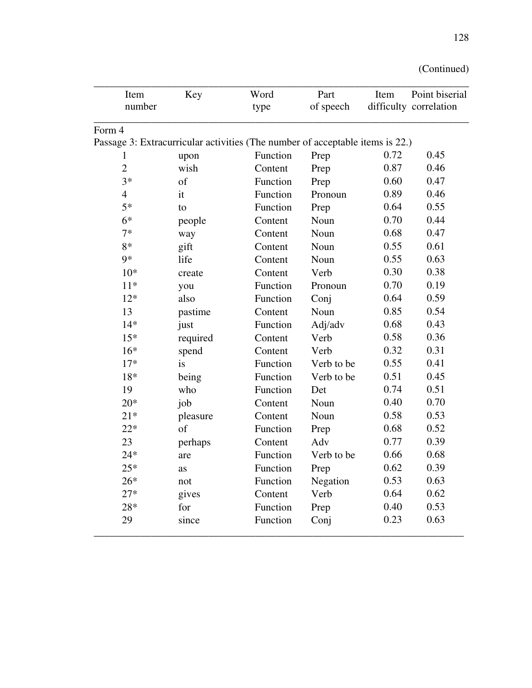| Item                                                                          | Key      | Word     | Part       | Item | Point biserial         |
|-------------------------------------------------------------------------------|----------|----------|------------|------|------------------------|
| number                                                                        |          | type     | of speech  |      | difficulty correlation |
| Form 4                                                                        |          |          |            |      |                        |
| Passage 3: Extracurricular activities (The number of acceptable items is 22.) |          |          |            |      |                        |
| 1                                                                             | upon     | Function | Prep       | 0.72 | 0.45                   |
| $\overline{2}$                                                                | wish     | Content  | Prep       | 0.87 | 0.46                   |
| $3*$                                                                          | of       | Function | Prep       | 0.60 | 0.47                   |
| $\overline{4}$                                                                | it       | Function | Pronoun    | 0.89 | 0.46                   |
| $5*$                                                                          | to       | Function | Prep       | 0.64 | 0.55                   |
| $6*$                                                                          | people   | Content  | Noun       | 0.70 | 0.44                   |
| $7*$                                                                          | way      | Content  | Noun       | 0.68 | 0.47                   |
| $8*$                                                                          | gift     | Content  | Noun       | 0.55 | 0.61                   |
| $9*$                                                                          | life     | Content  | Noun       | 0.55 | 0.63                   |
| $10*$                                                                         | create   | Content  | Verb       | 0.30 | 0.38                   |
| $11*$                                                                         | you      | Function | Pronoun    | 0.70 | 0.19                   |
| $12*$                                                                         | also     | Function | Conj       | 0.64 | 0.59                   |
| 13                                                                            | pastime  | Content  | Noun       | 0.85 | 0.54                   |
| $14*$                                                                         | just     | Function | Adj/adv    | 0.68 | 0.43                   |
| $15*$                                                                         | required | Content  | Verb       | 0.58 | 0.36                   |
| $16*$                                                                         | spend    | Content  | Verb       | 0.32 | 0.31                   |
| $17*$                                                                         | is       | Function | Verb to be | 0.55 | 0.41                   |
| 18*                                                                           | being    | Function | Verb to be | 0.51 | 0.45                   |
| 19                                                                            | who      | Function | Det        | 0.74 | 0.51                   |
| $20*$                                                                         | job      | Content  | Noun       | 0.40 | 0.70                   |
| $21*$                                                                         | pleasure | Content  | Noun       | 0.58 | 0.53                   |
| $22*$                                                                         | of       | Function | Prep       | 0.68 | 0.52                   |
| 23                                                                            | perhaps  | Content  | Adv        | 0.77 | 0.39                   |
| $24*$                                                                         | are      | Function | Verb to be | 0.66 | 0.68                   |
| $25*$                                                                         | as       | Function | Prep       | 0.62 | 0.39                   |
| $26*$                                                                         | not      | Function | Negation   | 0.53 | 0.63                   |
| $27*$                                                                         | gives    | Content  | Verb       | 0.64 | 0.62                   |
| 28*                                                                           | for      | Function | Prep       | 0.40 | 0.53                   |
| 29                                                                            | since    | Function | Conj       | 0.23 | 0.63                   |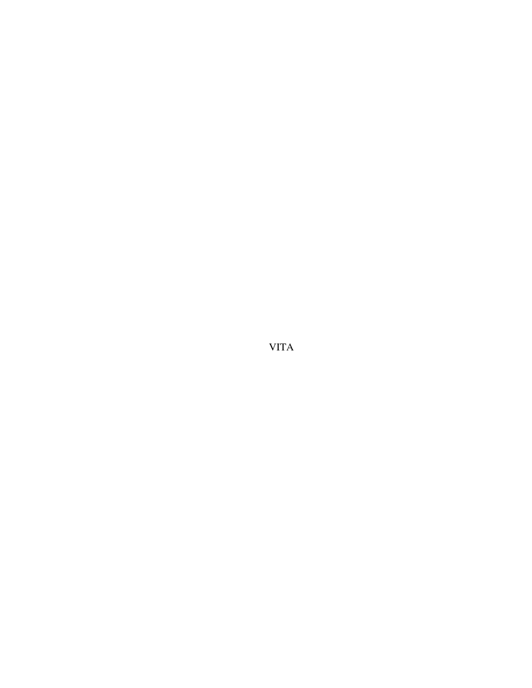VITA